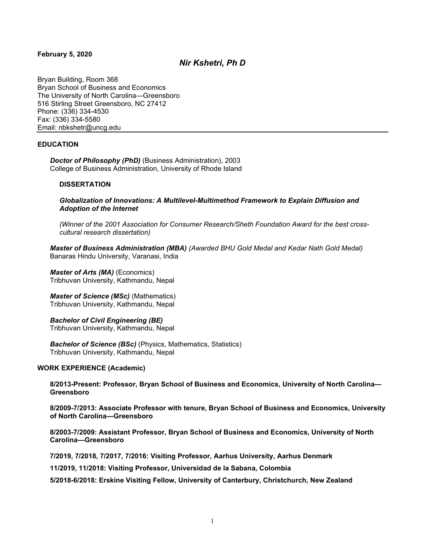## **February 5, 2020**

# *Nir Kshetri, Ph D*

Bryan Building, Room 368 Bryan School of Business and Economics The University of North Carolina—Greensboro 516 Stirling Street Greensboro, NC 27412 Phone: (336) 334-4530 Fax: (336) 334-5580 Email: nbkshetr@uncg.edu

### **EDUCATION**

*Doctor of Philosophy (PhD)* (Business Administration), 2003 College of Business Administration, University of Rhode Island

## **DISSERTATION**

*Globalization of Innovations: A Multilevel-Multimethod Framework to Explain Diffusion and Adoption of the Internet*

*(Winner of the 2001 Association for Consumer Research/Sheth Foundation Award for the best crosscultural research dissertation)* 

*Master of Business Administration (MBA) (Awarded BHU Gold Medal and Kedar Nath Gold Medal)* Banaras Hindu University, Varanasi, India

*Master of Arts (MA)* (Economics) Tribhuvan University, Kathmandu, Nepal

*Master of Science (MSc)* (Mathematics) Tribhuvan University, Kathmandu, Nepal

*Bachelor of Civil Engineering (BE)* Tribhuvan University, Kathmandu, Nepal

*Bachelor of Science (BSc)* (Physics, Mathematics, Statistics) Tribhuvan University, Kathmandu, Nepal

#### **WORK EXPERIENCE (Academic)**

**8/2013-Present: Professor, Bryan School of Business and Economics, University of North Carolina— Greensboro** 

**8/2009-7/2013: Associate Professor with tenure, Bryan School of Business and Economics, University of North Carolina—Greensboro** 

**8/2003-7/2009: Assistant Professor, Bryan School of Business and Economics, University of North Carolina—Greensboro** 

**7/2019, 7/2018, 7/2017, 7/2016: Visiting Professor, Aarhus University, Aarhus Denmark**

**11/2019, 11/2018: Visiting Professor, Universidad de la Sabana, Colombia** 

**5/2018-6/2018: Erskine Visiting Fellow, University of Canterbury, Christchurch, New Zealand**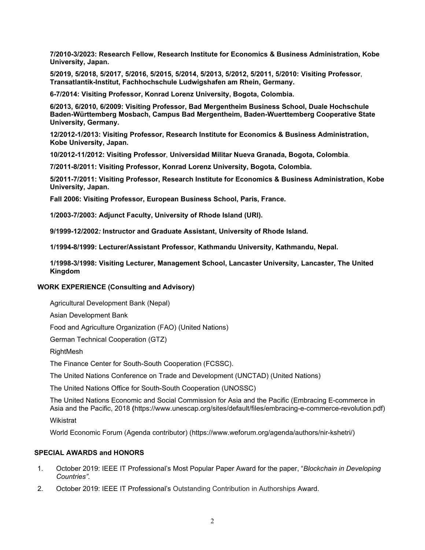**7/2010-3/2023: Research Fellow, Research Institute for Economics & Business Administration, Kobe University, Japan.** 

**5/2019, 5/2018, 5/2017, 5/2016, 5/2015, 5/2014, 5/2013, 5/2012, 5/2011, 5/2010: Visiting Professor**, **Transatlantik-Institut, Fachhochschule Ludwigshafen am Rhein, Germany.** 

**6-7/2014: Visiting Professor, Konrad Lorenz University, Bogota, Colombia.**

**6/2013, 6/2010, 6/2009: Visiting Professor, Bad Mergentheim Business School, Duale Hochschule Baden-Württemberg Mosbach, Campus Bad Mergentheim, Baden-Wuerttemberg Cooperative State University, Germany.** 

**12/2012-1/2013: Visiting Professor, Research Institute for Economics & Business Administration, Kobe University, Japan.** 

**10/2012-11/2012: Visiting Professor**, **Universidad Militar Nueva Granada, Bogota, Colombia**.

**7/2011-8/2011: Visiting Professor, Konrad Lorenz University, Bogota, Colombia.** 

**5/2011-7/2011: Visiting Professor, Research Institute for Economics & Business Administration, Kobe University, Japan.** 

**Fall 2006: Visiting Professor, European Business School, Paris, France.** 

**1/2003-7/2003: Adjunct Faculty, University of Rhode Island (URI).**

**9/1999***-***12/2002***:* **Instructor and Graduate Assistant, University of Rhode Island***.* 

**1/1994-8/1999: Lecturer/Assistant Professor, Kathmandu University, Kathmandu, Nepal.** 

**1/1998-3/1998: Visiting Lecturer, Management School, Lancaster University, Lancaster, The United Kingdom**

## **WORK EXPERIENCE (Consulting and Advisory)**

Agricultural Development Bank (Nepal)

Asian Development Bank

Food and Agriculture Organization (FAO) (United Nations)

German Technical Cooperation (GTZ)

RightMesh

The Finance Center for South-South Cooperation (FCSSC).

The United Nations Conference on Trade and Development (UNCTAD) (United Nations)

The United Nations Office for South-South Cooperation (UNOSSC)

The United Nations Economic and Social Commission for Asia and the Pacific (Embracing E-commerce in Asia and the Pacific, 2018 **(**[https://www.unescap.org/sites/default/files/embracing-e-commerce-revolution.pdf\)](https://www.unescap.org/sites/default/files/embracing-e-commerce-revolution.pdf)

**Wikistrat** 

World Economic Forum (Agenda contributor) [\(https://www.weforum.org/agenda/authors/nir-kshetri/\)](https://www.weforum.org/agenda/authors/nir-kshetri/)

## **SPECIAL AWARDS and HONORS**

- 1. October 2019: IEEE IT Professional's Most Popular Paper Award for the paper, "*Blockchain in Developing Countries".*
- 2. October 2019: IEEE IT Professional's Outstanding Contribution in Authorships Award.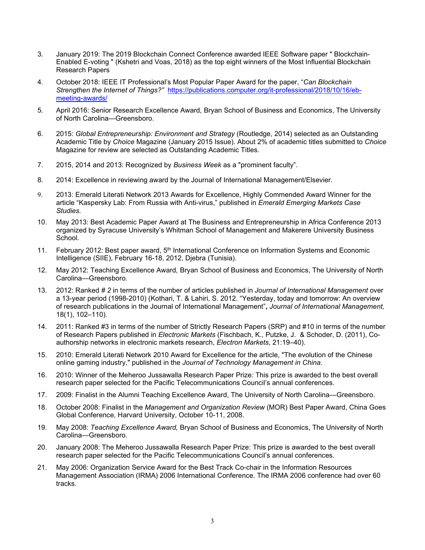- 3. January 2019: The 2019 Blockchain Connect Conference awarded IEEE Software paper " Blockchain-Enabled E-voting " (Kshetri and Voas, 2018) as the top eight winners of the Most Influential Blockchain Research Papers
- 4. October 2018: IEEE IT Professional's Most Popular Paper Award for the paper, "*Can Blockchain Strengthen the Internet of Things?"* [https://publications.computer.org/it-professional/2018/10/16/eb](https://publications.computer.org/it-professional/2018/10/16/eb-meeting-awards/)[meeting-awards/](https://publications.computer.org/it-professional/2018/10/16/eb-meeting-awards/)
- 5. April 2016: Senior Research Excellence Award*,* Bryan School of Business and Economics, The University of North Carolina—Greensboro.
- 6. 2015: *Global Entrepreneurship: Environment and Strategy* (Routledge, 2014) selected as an Outstanding Academic Title by *Choice* Magazine (January 2015 Issue). About 2% of academic titles submitted to *Choice*  Magazine for review are selected as Outstanding Academic Titles.
- 7. 2015, 2014 and 2013: Recognized by *Business Week* as a "prominent faculty".
- 8. 2014: Excellence in reviewing award by the Journal of International Management/Elsevier.
- 9. 2013: Emerald Literati Network 2013 Awards for Excellence, Highly Commended Award Winner for the article "Kaspersky Lab: From Russia with Anti-virus," published in *Emerald Emerging Markets Case Studies.*
- 10. May 2013: Best Academic Paper Award at The Business and Entrepreneurship in Africa Conference 2013 organized by Syracuse University's Whitman School of Management and Makerere University Business School.
- 11. February 2012: Best paper award, 5<sup>th</sup> International Conference on Information Systems and Economic Intelligence (SIIE), February 16-18, 2012, Djebra (Tunisia).
- 12. May 2012: Teaching Excellence Award*,* Bryan School of Business and Economics, The University of North Carolina—Greensboro.
- 13. 2012: Ranked *# 2* in terms of the number of articles published in *Journal of International Management* over a 13-year period (1998-2010) (Kothari, T. & Lahiri, S. 2012. "Yesterday, today and tomorrow: An overview of research publications in the Journal of International Management"**,** *Journal of International Management,* 18(1), 102–110).
- 14. 2011: Ranked #3 in terms of the number of Strictly Research Papers (SRP) and #10 in terms of the number of Research Papers published in *Electronic Markets* (Fischbach, K., Putzke, J. & Schoder, D. (2011), Coauthorship networks in electronic markets research, *Electron Markets*, 21:19–40).
- 15. 2010: Emerald Literati Network 2010 Award for Excellence for the article, "The evolution of the Chinese online gaming industry," published in the *Journal of Technology Management in China*.
- 16. 2010: Winner of the Meheroo Jussawalla Research Paper Prize*:* This prize is awarded to the best overall research paper selected for the Pacific Telecommunications Council's annual conferences.
- 17. 2009: Finalist in the Alumni Teaching Excellence Award, The University of North Carolina—Greensboro.
- 18. October 2008: Finalist in the *Management and Organization Review* (MOR) Best Paper Award, China Goes Global Conference, Harvard University, October 10-11, 2008.
- 19. May 2008: *Teaching Excellence Award,* Bryan School of Business and Economics, The University of North Carolina—Greensboro.
- 20. January 2008: The Meheroo Jussawalla Research Paper Prize: This prize is awarded to the best overall research paper selected for the Pacific Telecommunications Council's annual conferences.
- 21. May 2006: Organization Service Award for the Best Track Co-chair in the Information Resources Management Association (IRMA) 2006 International Conference. The IRMA 2006 conference had over 60 tracks.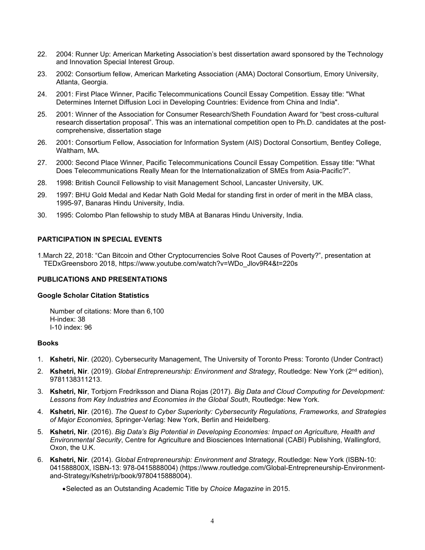- 22. 2004: Runner Up: American Marketing Association's best dissertation award sponsored by the Technology and Innovation Special Interest Group.
- 23. 2002: Consortium fellow, American Marketing Association (AMA) Doctoral Consortium, Emory University, Atlanta, Georgia.
- 24. 2001: First Place Winner, Pacific Telecommunications Council Essay Competition. Essay title: "What Determines Internet Diffusion Loci in Developing Countries: Evidence from China and India".
- 25. 2001: Winner of the Association for Consumer Research/Sheth Foundation Award for "best cross-cultural research dissertation proposal". This was an international competition open to Ph.D. candidates at the postcomprehensive, dissertation stage
- 26. 2001: Consortium Fellow, Association for Information System (AIS) Doctoral Consortium, Bentley College, Waltham, MA.
- 27. 2000: Second Place Winner, Pacific Telecommunications Council Essay Competition. Essay title: "What Does Telecommunications Really Mean for the Internationalization of SMEs from Asia-Pacific?".
- 28. 1998: British Council Fellowship to visit Management School, Lancaster University, UK.
- 29. 1997: BHU Gold Medal and Kedar Nath Gold Medal for standing first in order of merit in the MBA class, 1995-97, Banaras Hindu University, India.
- 30. 1995: Colombo Plan fellowship to study MBA at Banaras Hindu University, India.

## **PARTICIPATION IN SPECIAL EVENTS**

1.March 22, 2018: "Can Bitcoin and Other Cryptocurrencies Solve Root Causes of Poverty?", presentation at TEDxGreensboro 2018, https://www.youtube.com/watch?v=WDo\_Jlov9R4&t=220s

## **PUBLICATIONS AND PRESENTATIONS**

#### **Google Scholar Citation Statistics**

Number of citations: More than 6,100 H-index: 38 I-10 index: 96

## **Books**

- 1. **Kshetri, Nir**. (2020). Cybersecurity Management, The University of Toronto Press: Toronto (Under Contract)
- 2. **Kshetri, Nir**. (2019). *Global Entrepreneurship: Environment and Strategy*, Routledge: New York (2<sup>nd</sup> edition), 9781138311213.
- 3. **Kshetri, Nir**, Torbjorn Fredriksson and Diana Rojas (2017). *Big Data and Cloud Computing for Development: Lessons from Key Industries and Economies in the Global South*, Routledge: New York.
- 4. **Kshetri, Nir**. (2016). *The Quest to Cyber Superiority: Cybersecurity Regulations, Frameworks, and Strategies of Major Economies,* Springer-Verlag: New York, Berlin and Heidelberg.
- 5. **Kshetri, Nir**. (2016). *Big Data's Big Potential in Developing Economies: Impact on Agriculture, Health and Environmental Security*, Centre for Agriculture and Biosciences International (CABI) Publishing, Wallingford, Oxon, the U.K.
- 6. **Kshetri, Nir**. (2014). *Global Entrepreneurship: Environment and Strategy*, Routledge: New York (ISBN-10: 041588800X, ISBN-13: 978-0415888004) (https://www.routledge.com/Global-Entrepreneurship-Environmentand-Strategy/Kshetri/p/book/9780415888004).

•Selected as an Outstanding Academic Title by *Choice Magazine* in 2015.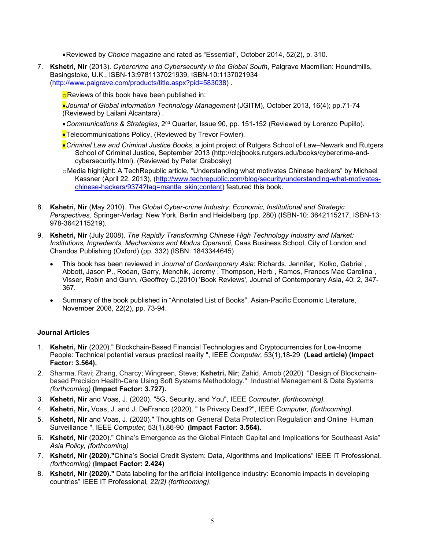- •Reviewed by *Choice* magazine and rated as "Essential", October 2014, 52(2), p. 310.
- 7. **Kshetri, Nir** (2013). *Cybercrime and Cybersecurity in the Global South*, Palgrave Macmillan: Houndmills, Basingstoke, U.K., ISBN-13:9781137021939, ISBN-10:1137021934 [\(http://www.palgrave.com/products/title.aspx?pid=583038\)](http://www.palgrave.com/products/title.aspx?pid=583038) .

**oReviews of this book have been published in:** 

•*Journal of Global Information Technology Management* (JGITM), October 2013, 16(4); pp.71-74 (Reviewed by Lailani Alcantara) .

- •*Communications & Strategies*, 2nd Quarter, Issue 90, pp. 151-152 (Reviewed by Lorenzo Pupillo).
- •Telecommunications Policy, (Reviewed by Trevor Fowler).
- •*Criminal Law and Criminal Justice Books*, a joint project of Rutgers School of Law–Newark and Rutgers School of Criminal Justice, September 2013 (http://clcjbooks.rutgers.edu/books/cybercrime-andcybersecurity.html). (Reviewed by Peter Grabosky)
- oMedia highlight: A TechRepublic article, "Understanding what motivates Chinese hackers" by Michael Kassner (April 22, 2013), [\(http://www.techrepublic.com/blog/security/understanding-what-motivates](http://www.techrepublic.com/blog/security/understanding-what-motivates-chinese-hackers/9374?tag=mantle_skin;content)[chinese-hackers/9374?tag=mantle\\_skin;content\)](http://www.techrepublic.com/blog/security/understanding-what-motivates-chinese-hackers/9374?tag=mantle_skin;content) featured this book.
- 8. **Kshetri, Nir** (May 2010). *The Global Cyber-crime Industry: Economic, Institutional and Strategic Perspectives,* Springer-Verlag: New York, Berlin and Heidelberg (pp. 280) (ISBN-10: 3642115217, ISBN-13: 978-3642115219).
- 9. **Kshetri, Nir** (July 2008). *The Rapidly Transforming Chinese High Technology Industry and Market: Institutions, Ingredients, Mechanisms and Modus Operandi*, Caas Business School, City of London and Chandos Publishing (Oxford) (pp. 332) (ISBN: 1843344645)
	- This book has been reviewed in *Journal of Contemporary Asia*: Richards, Jennifer, Kolko, Gabriel , Abbott, Jason P., Rodan, Garry, Menchik, Jeremy , Thompson, Herb , Ramos, Frances Mae Carolina , Visser, Robin and Gunn, /Geoffrey C.(2010) 'Book Reviews', Journal of Contemporary Asia, 40: 2, 347- 367.
	- Summary of the book published in "Annotated List of Books", Asian-Pacific Economic Literature, November 2008, 22(2), pp. 73-94.

# **Journal Articles**

- 1. **Kshetri, Nir** (2020)." Blockchain-Based Financial Technologies and Cryptocurrencies for Low-Income People: Technical potential versus practical reality ", IEEE *Computer,* 53(1),18-29 **(Lead article) (Impact Factor: 3.564).**
- 2. Sharma, Ravi; Zhang, Charcy; Wingreen, Steve; **Kshetri, Nir**; Zahid, Arnob (2020) "Design of Blockchainbased Precision Health-Care Using Soft Systems Methodology." Industrial Management & Data Systems *(forthcoming)* **(Impact Factor: 3.727).**
- 3. **Kshetri, Nir** and Voas, J. (2020). "5G, Security, and You", IEEE *Computer, (forthcoming).*
- 4. **Kshetri, Nir,** Voas, J. and J. DeFranco (2020). " Is Privacy Dead?", IEEE *Computer, (forthcoming).*
- 5. **Kshetri, Nir** and Voas, J. (2020)." Thoughts on General Data Protection Regulation and Online Human Surveillance ", IEEE *Computer,* 53(1),86-90 **(Impact Factor: 3.564).**
- 6. **Kshetri, Nir** (2020)." China's Emergence as the Global Fintech Capital and Implications for Southeast Asia" *Asia Policy, (forthcoming)*
- 7. **Kshetri, Nir (2020)."**China's Social Credit System: Data, Algorithms and Implications" IEEE IT Professional*, (forthcoming)* (**Impact Factor: 2.424)**
- 8. **Kshetri, Nir (2020)."** Data labeling for the artificial intelligence industry: Economic impacts in developing countries" IEEE IT Professional*, 22(2) (forthcoming).*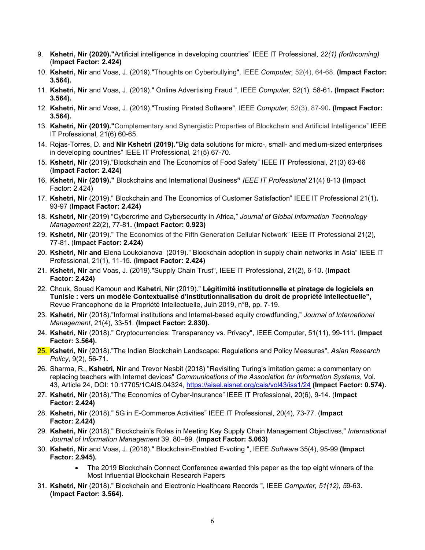- 9. **Kshetri, Nir (2020)."**Artificial intelligence in developing countries" IEEE IT Professional*, 22(1) (forthcoming)* (**Impact Factor: 2.424)**
- 10. **Kshetri, Nir** and Voas, J. (2019)."Thoughts on Cyberbullying", IEEE *Computer,* 52(4), 64-68. **(Impact Factor: 3.564).**
- 11. **Kshetri, Nir** and Voas, J. (2019)." Online Advertising Fraud ", IEEE *Computer,* 52(1), 58-61**. (Impact Factor: 3.564).**
- 12. **Kshetri, Nir** and Voas, J. (2019)."Trusting Pirated Software", IEEE *Computer,* 52(3), 87-90**. (Impact Factor: 3.564).**
- 13. **Kshetri, Nir (2019)."**Complementary and Synergistic Properties of Blockchain and Artificial Intelligence" IEEE IT Professional*,* 21(6) 60-65.
- 14. Rojas-Torres, D. and **Nir Kshetri (2019)."**Big data solutions for micro-, small- and medium-sized enterprises in developing countries" IEEE IT Professional*,* 21(5) 67-70.
- 15. **Kshetri, Nir** (2019)."Blockchain and The Economics of Food Safety" IEEE IT Professional*,* 21(3) 63-66 (**Impact Factor: 2.424)**
- 16. **Kshetri, Nir (2019)."** Blockchains and International Business**"** *IEEE IT Professional* 21(4) 8-13 **(**Impact Factor: 2.424)
- 17. **Kshetri, Nir** (2019)." Blockchain and The Economics of Customer Satisfaction" IEEE IT Professional 21(1)**.** 93-97 (**Impact Factor: 2.424)**
- 18. **Kshetri, Nir** (2019) "Cybercrime and Cybersecurity in Africa," *Journal of Global Information Technology Management* 22(2), 77-81**.** (**Impact Factor: 0.923)**
- 19. **Kshetri, Nir** (2019)." The Economics of the Fifth Generation Cellular Network" IEEE IT Professional 21(2), 77-81**.** (**Impact Factor: 2.424)**
- 20. **Kshetri, Nir and** Elena Loukoianova (2019)." Blockchain adoption in supply chain networks in Asia" IEEE IT Professional, 21(1), 11-15**.** (**Impact Factor: 2.424)**
- 21. **Kshetri, Nir** and Voas, J. (2019)."Supply Chain Trust", IEEE IT Professional, 21(2), 6-10**.** (**Impact Factor: 2.424)**
- 22. Chouk, Souad Kamoun and **Kshetri, Nir** (2019)." **Légitimité institutionnelle et piratage de logiciels en Tunisie : vers un modèle Contextualisé d'institutionnalisation du droit de propriété intellectuelle",** Revue Francophone de la Propriété Intellectuelle, Juin 2019, n°8, pp. 7-19.
- 23. **Kshetri, Nir** (2018)."Informal institutions and Internet-based equity crowdfunding," *Journal of International Management*, 21(4), 33-51. **(Impact Factor: 2.830).**
- 24. **Kshetri, Nir** (2018)." Cryptocurrencies: Transparency vs. Privacy", IEEE Computer, 51(11), 99-111**. (Impact Factor: 3.564).**
- 25. **Kshetri, Nir** (2018)."The Indian Blockchain Landscape: Regulations and Policy Measures", *Asian Research Policy*, 9(2), 56-71**.**
- 26. Sharma, R., **Kshetri, Nir** and Trevor Nesbit (2018) "Revisiting Turing's imitation game: a commentary on replacing teachers with Internet devices" *Communications of the Association for Information Systems*, Vol. 43, Article 24, DOI: 10.17705/1CAIS.04324, <https://aisel.aisnet.org/cais/vol43/iss1/24> **(Impact Factor: 0.574).**
- 27. **Kshetri, Nir** (2018)."The Economics of Cyber-Insurance" IEEE IT Professional, 20(6), 9-14. (**Impact Factor: 2.424)**
- 28. **Kshetri, Nir** (2018)." 5G in E-Commerce Activities" IEEE IT Professional, 20(4), 73-77. (**Impact Factor: 2.424)**
- 29. **Kshetri, Nir** (2018)." Blockchain's Roles in Meeting Key Supply Chain Management Objectives," *International Journal of Information Management* 39, 80–89. (**Impact Factor: 5.063)**
- 30. **Kshetri, Nir** and Voas, J. (2018)." Blockchain-Enabled E-voting ", IEEE *Software* 35(4), 95-99 **(Impact Factor: 2.945)***.*
	- The 2019 Blockchain Connect Conference awarded this paper as the top eight winners of the Most Influential Blockchain Research Papers
- 31. **Kshetri, Nir** (2018)." Blockchain and Electronic Healthcare Records ", IEEE *Computer, 51(12), 5*9-63. **(Impact Factor: 3.564).**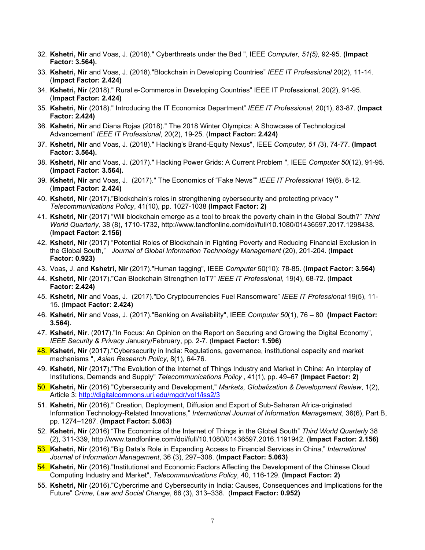- 32. **Kshetri, Nir** and Voas, J. (2018)." Cyberthreats under the Bed ", IEEE *Computer, 51(5),* 92-95. **(Impact Factor: 3.564).**
- 33. **Kshetri, Nir** and Voas, J. (2018)."Blockchain in Developing Countries" *IEEE IT Professional* 20(2), 11-14. (**Impact Factor: 2.424)**
- 34. **Kshetri, Nir** (2018)." Rural e-Commerce in Developing Countries" IEEE IT Professional, 20(2), 91-95. (**Impact Factor: 2.424)**
- 35. **Kshetri, Nir** (2018)." Introducing the IT Economics Department" *IEEE IT Professional*, 20(1), 83-87. (**Impact Factor: 2.424)**
- 36. **Kshetri, Nir** and Diana Rojas (2018)." The 2018 Winter Olympics: A Showcase of Technological Advancement" *IEEE IT Professional*, 20(2), 19-25. (**Impact Factor: 2.424)**
- 37. **Kshetri, Nir** and Voas, J. (2018)." Hacking's Brand-Equity Nexus", IEEE *Computer, 51 (*3), 74-77. **(Impact Factor: 3.564).**
- 38. **Kshetri, Nir** and Voas, J. (2017)." Hacking Power Grids: A Current Problem ", IEEE *Computer 50*(12), 91-95. **(Impact Factor: 3.564).**
- 39. **Kshetri, Nir** and Voas, J. (2017)." The Economics of "Fake News"" *IEEE IT Professional* 19(6), 8-12. (**Impact Factor: 2.424)**
- 40. **Kshetri, Nir** (2017)."Blockchain's roles in strengthening cybersecurity and protecting privacy **"** *Telecommunications Policy*, 41(10), pp. 1027-1038 **(Impact Factor: 2)**
- 41. **Kshetri, Nir** (2017) "Will blockchain emerge as a tool to break the poverty chain in the Global South?" *Third World Quarterly,* 38 (8), 1710-1732, http://www.tandfonline.com/doi/full/10.1080/01436597.2017.1298438. (**Impact Factor: 2.156)**
- 42. **Kshetri, Nir** (2017) "Potential Roles of Blockchain in Fighting Poverty and [Reducing Financial Exclusion in](http://www.tandfonline.com/doi/abs/10.1080/09692290420001672881)  [the Global South,"](http://www.tandfonline.com/doi/abs/10.1080/09692290420001672881) *Journal of Global Information Technology Management* (20), 201-204. (**Impact Factor: 0.923)**
- 43. Voas, J. and **Kshetri, Nir** (2017)."Human tagging", IEEE *Computer* 50(10): 78-85. (**Impact Factor: 3.564)**
- 44. **Kshetri, Nir** (2017)."Can Blockchain Strengthen IoT?" *IEEE IT Professional*, 19(4), 68-72. (**Impact Factor: 2.424)**
- 45. **Kshetri, Nir** and Voas, J. (2017)."Do Cryptocurrencies Fuel Ransomware" *IEEE IT Professional* 19(5), 11- 15. (**Impact Factor: 2.424)**
- 46. **Kshetri, Nir** and Voas, J. (2017)."Banking on Availability", IEEE *Computer 50*(1), 76 80**(Impact Factor: 3.564).**
- 47. **Kshetri, Nir**. (2017)."In Focus: An Opinion on the Report on Securing and Growing the Digital Economy", *IEEE Security & Privacy J*anuary/February, pp. 2-7. (**Impact Factor: 1.596)**
- 48. **Kshetri, Nir** (2017)."Cybersecurity in India: Regulations, governance, institutional capacity and market mechanisms ", *Asian Research Policy*, 8(1), 64-76.
- 49. **Kshetri, Nir** (2017)."The Evolution of the Internet of Things Industry and Market in China: An Interplay of Institutions, Demands and Supply" *Telecommunications Policy* , 41(1), pp. 49–67 **(Impact Factor: 2)**
- 50. **Kshetri, Nir** (2016) "Cybersecurity and Development," *Markets, Globalization & Development Review*, 1(2), Article 3:<http://digitalcommons.uri.edu/mgdr/vol1/iss2/3>
- 51. **Kshetri, Nir** (2016)." Creation, Deployment, Diffusion and Export of Sub-Saharan Africa-originated Information Technology-Related Innovations," *International Journal of Information Management*, 36(6), Part B, pp. 1274–1287. (**Impact Factor: 5.063)**
- 52. **Kshetri, Nir** (2016) "The Economics of the Internet of Things in the Global South" *Third World Quarterly* 38 (2), 311-339, http://www.tandfonline.com/doi/full/10.1080/01436597.2016.1191942. (**Impact Factor: 2.156)**
- 53. **Kshetri, Nir** (2016)."Big Data's Role in Expanding Access to Financial Services in China," *International Journal of Information Management*, 36 (3), 297–308. (**Impact Factor: 5.063)**
- 54. **Kshetri, Nir** (2016)."Institutional and Economic Factors Affecting the Development of the Chinese Cloud Computing Industry and Market", *Telecommunications Policy,* 40, 116-129. **(Impact Factor: 2)**
- 55. **Kshetri, Nir** (2016)."Cybercrime and Cybersecurity in India: Causes, Consequences and Implications for the Future" *Crime, Law and Social Change*, 66 (3), 313–338. (**Impact Factor: 0.952)**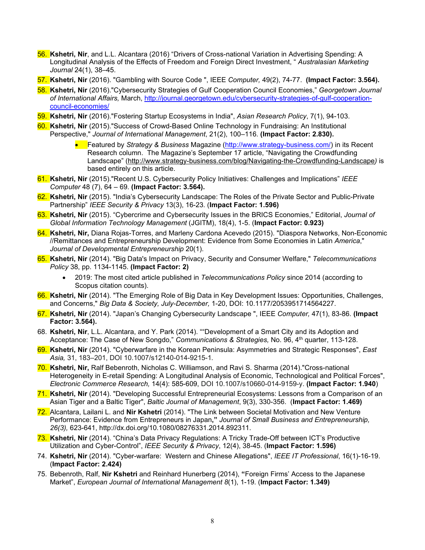- 56. **Kshetri, Nir**, and L.L. Alcantara (2016) "Drivers of Cross-national Variation in Advertising Spending: A Longitudinal Analysis of the Effects of Freedom and Foreign Direct Investment, " *Australasian Marketing Journal* 24(1), 38–45.
- 57. **Kshetri, Nir** (2016). "Gambling with Source Code ", IEEE *Computer,* 49(2), 74-77. **(Impact Factor: 3.564).**
- 58. **Kshetri, Nir** (2016)."Cybersecurity Strategies of Gulf Cooperation Council Economies," *Georgetown Journal of International Affairs,* March, [http://journal.georgetown.edu/cybersecurity-strategies-of-gulf-cooperation](http://journal.georgetown.edu/cybersecurity-strategies-of-gulf-cooperation-council-economies/)[council-economies/](http://journal.georgetown.edu/cybersecurity-strategies-of-gulf-cooperation-council-economies/)
- 59. **Kshetri, Nir** (2016)."Fostering Startup Ecosystems in India", *Asian Research Policy*, 7(1), 94-103.
- 60. **Kshetri, Nir** (2015)."Success of Crowd-Based Online Technology in Fundraising: An Institutional Perspective," *Journal of International Management*, 21(2), 100–116. **(Impact Factor: 2.830).**
	- Featured by *Strategy & Business* Magazine [\(http://www.strategy-business.com/\)](http://www.strategy-business.com/) in its Recent Research column. The Magazine's September 17 article, "Navigating the Crowdfunding Landscape" [\(http://www.strategy-business.com/blog/Navigating-the-Crowdfunding-Landscape](http://www.strategy-business.com/blog/Navigating-the-Crowdfunding-Landscape)*)* is based entirely on this article.
- 61. **Kshetri, Nir** (2015)."Recent U.S. Cybersecurity Policy Initiatives: Challenges and Implications" *IEEE Computer* 48 (7), 64 – 69. **(Impact Factor: 3.564).**
- 62. **Kshetri, Nir** (2015). "India's Cybersecurity Landscape: The Roles of the Private Sector and Public-Private Partnership" *IEEE Security & Privacy* 13(3), 16-23. (**Impact Factor: 1.596)**
- 63. **Kshetri, Nir** (2015). "Cybercrime and Cybersecurity Issues in the BRICS Economies," Editorial, *Journal of Global Information Technology Management* (JGITM), 18(4), 1-5. (**Impact Factor: 0.923)**
- 64. **Kshetri, Nir,** Diana Rojas-Torres, and Marleny Cardona Acevedo (2015). "Diaspora Networks, Non-Economic //Remittances and Entrepreneurship Development: Evidence from Some Economies in Latin *America*," *Journal of Developmental Entrepreneurship* 20(1).
- 65. **Kshetri, Nir** (2014). "Big Data's Impact on Privacy, Security and Consumer Welfare," *Telecommunications Policy* 38, pp. 1134-1145. **(Impact Factor: 2)**
	- 2019: The most cited article published in *Telecommunications Policy* since 2014 (according to Scopus citation counts).
- 66. **Kshetri, Nir** (2014). "The Emerging Role of Big Data in Key Development Issues: Opportunities, Challenges, and Concerns," *Big Data & Society, July-December,* 1-20, DOI: 10.1177/2053951714564227.
- 67. **Kshetri, Nir** (2014). "Japan's Changing Cybersecurity Landscape ", IEEE *Computer,* 47(1), 83-86*.* **(Impact Factor: 3.564).**
- 68. **Kshetri, Nir**, L.L. Alcantara, and Y. Park (2014). ""Development of a Smart City and its Adoption and Acceptance: The Case of New Songdo," *Communications & Strategies,* No. 96, 4th quarter, 113-128.
- 69. **Kshetri, Nir** (2014). "Cyberwarfare in the Korean Peninsula: Asymmetries and Strategic Responses", *East Asia,* 31, 183–201, DOI 10.1007/s12140-014-9215-1*.*
- 70. **Kshetri, Nir,** Ralf Bebenroth, Nicholas C. Williamson, and Ravi S. Sharma (2014)."Cross-national Heterogeneity in E-retail Spending: A Longitudinal Analysis of Economic, Technological and Political Forces", *Electronic Commerce Research,* 14(4): 585-609, DOI 10.1007/s10660-014-9159-y. **(Impact Factor: 1.940**)
- 71. **Kshetri, Nir** (2014). "Developing Successful Entrepreneurial Ecosystems: Lessons from a Comparison of an Asian Tiger and a Baltic Tiger", *Baltic Journal of Management*, 9(3), 330-356. (**Impact Factor: 1.469)**
- 72. Alcantara, Lailani L. and **Nir Kshetri** (2014). "The Link between Societal Motivation and New Venture Performance: Evidence from Entrepreneurs in Japan**,"** *Journal of Small Business and Entrepreneurship, 26(3),* 623-641, http://dx.doi.org/10.1080/08276331.2014.892311.
- 73. **Kshetri, Nir** (2014). "China's Data Privacy Regulations: A Tricky Trade-Off between ICT's Productive Utilization and Cyber-Control", *IEEE Security & Privacy*, 12(4), 38-45. (**Impact Factor: 1.596)**
- 74. **Kshetri, Nir** (2014). "Cyber-warfare: Western and Chinese Allegations", *IEEE IT Professional*, 16(1)-16-19. (**Impact Factor: 2.424)**
- 75. Bebenroth, Ralf, **Nir Kshetri** and Reinhard Hunerberg (2014), **"**Foreign Firms' Access to the Japanese Market", *European Journal of International Management 8*(1), 1-19. (**Impact Factor: 1.349)**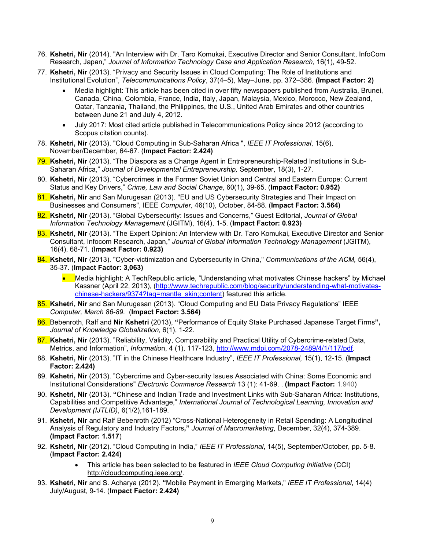- 76. **Kshetri, Nir** (2014). "An Interview with Dr. Taro Komukai, Executive Director and Senior Consultant, InfoCom Research, Japan," *Journal of Information Technology Case and Application Research*, 16(1), 49-52.
- 77. **Kshetri, Nir** (2013). "Privacy and Security Issues in Cloud Computing: The Role of Institutions and Institutional Evolution", *Telecommunications Policy*, 37(4–5), May–June, pp. 372–386. **(Impact Factor: 2)**
	- Media highlight: This article has been cited in over fifty newspapers published from Australia, Brunei, Canada, China, Colombia, France, India, Italy, Japan, Malaysia, Mexico, Morocco, New Zealand, Qatar, Tanzania, Thailand, the Philippines, the U.S., United Arab Emirates and other countries between June 21 and July 4, 2012.
	- July 2017: Most cited article published in Telecommunications Policy since 2012 (according to Scopus citation counts).
- 78. **Kshetri, Nir** (2013). "Cloud Computing in Sub-Saharan Africa ", *IEEE IT Professional*, 15(6), November/December, 64-67. (**Impact Factor: 2.424)**
- 79. **Kshetri, Nir** (2013). "The Diaspora as a Change Agent in Entrepreneurship-Related Institutions in Sub-Saharan Africa," *Journal of Developmental Entrepreneurship,* September, 18(3), 1-27.
- 80. **Kshetri, Nir** (2013). "Cybercrimes in the Former Soviet Union and Central and Eastern Europe: Current Status and Key Drivers," *Crime, Law and Social Change*, 60(1), 39-65. (**Impact Factor: 0.952)**
- 81. **Kshetri, Nir** and San Murugesan (2013). "EU and US Cybersecurity Strategies and Their Impact on Businesses and Consumers", IEEE *Computer,* 46(10), October, 84-88. (**Impact Factor: 3.564)**
- 82. **Kshetri, Nir** (2013). "Global Cybersecurity: Issues and Concerns," Guest Editorial, *Journal of Global Information Technology Management* (JGITM), 16(4), 1-5. (**Impact Factor: 0.923)**
- 83. **Kshetri, Nir** (2013). "The Expert Opinion: An Interview with Dr. Taro Komukai, Executive Director and Senior Consultant, Infocom Research, Japan," *Journal of Global Information Technology Management* (JGITM), 16(4), 68-71. (**Impact Factor: 0.923)**
- 84. **Kshetri, Nir** (2013). "Cyber-victimization and Cybersecurity in China," *Communications of the ACM,* 56(4), 35-37. (**Impact Factor: 3,063)**
	- Media highlight: A TechRepublic article, "Understanding what motivates Chinese hackers" by Michael Kassner (April 22, 2013), [\(http://www.techrepublic.com/blog/security/understanding-what-motivates](http://www.techrepublic.com/blog/security/understanding-what-motivates-chinese-hackers/9374?tag=mantle_skin;content)[chinese-hackers/9374?tag=mantle\\_skin;content\)](http://www.techrepublic.com/blog/security/understanding-what-motivates-chinese-hackers/9374?tag=mantle_skin;content) featured this article.
- 85. **Kshetri, Nir** and San Murugesan (2013). "Cloud Computing and EU Data Privacy Regulations" IEEE *Computer, March 86-89.* (**Impact Factor: 3.564)**
- 86. Bebenroth, Ralf and **Nir Kshetri** (2013), **"**Performance of Equity Stake Purchased Japanese Target Firms**",**  *Journal of Knowledge Globalization*, 6(1), 1-22.
- 87. Kshetri, Nir (2013). "Reliability, Validity, Comparability and Practical Utility of Cybercrime-related Data, Metrics, and Information", *Informatio*n, 4 (1), 117-123, [http://www.mdpi.com/2078-2489/4/1/117/pdf.](http://www.mdpi.com/2078-2489/4/1/117/pdf)
- 88. **Kshetri, Nir** (2013). "IT in the Chinese Healthcare Industry", *IEEE IT Professional,* 15(1), 12-15. (**Impact Factor: 2.424)**
- 89. **Kshetri, Nir** (2013). "Cybercrime and Cyber-security Issues Associated with China: Some Economic and Institutional Considerations" *Electronic Commerce Research* 13 (1): 41-69. . **(Impact Factor:** 1.940)
- 90. **Kshetri, Nir** (2013). **"**Chinese and Indian Trade and Investment Links with Sub-Saharan Africa: Institutions, Capabilities and Competitive Advantage," *International Journal of Technological Learning, Innovation and Development (IJTLID)*, 6(1/2),161-189.
- 91. **Kshetri, Nir** and Ralf Bebenroth (2012) "Cross-National Heterogeneity in Retail Spending: A Longitudinal Analysis of Regulatory and Industry Factors**,"** *Journal of Macromarketing*, December, 32(4), 374-389. **(Impact Factor: 1.517**)
- 92. **Kshetri, Nir** (2012). "Cloud Computing in India," *IEEE IT Professional*, 14(5), September/October, pp. 5-8. (**Impact Factor: 2.424)**
	- This article has been selected to be featured in *IEEE Cloud Computing Initiative* (CCI) [http://cloudcomputing.ieee.org/.](http://cloudcomputing.ieee.org/)
- 93. **Kshetri, Nir** and S. Acharya (2012). **"**Mobile Payment in Emerging Markets," *IEEE IT Professional*, 14(4) July/August, 9-14. (**Impact Factor: 2.424)**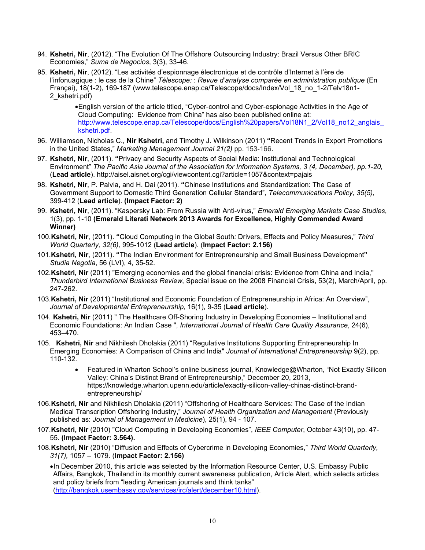- 94. **Kshetri, Nir**, (2012). "The Evolution Of The Offshore Outsourcing Industry: Brazil Versus Other BRIC Economies," *Suma de Negocios*, 3(3), 33-46.
- 95. **Kshetri, Nir**, (2012). "Les activités d'espionnage électronique et de contrôle d'Internet à l'ère de l'infonuagique : le cas de la Chine" *Télescope:* : *Revue d'analyse comparée en administration publique* (En Françai), 18(1-2), 169-187 (www.telescope.enap.ca/Telescope/docs/Index/Vol\_18\_no\_1-2/Telv18n1- 2\_kshetri.pdf)
	- •English version of the article titled, "Cyber-control and Cyber-espionage Activities in the Age of Cloud Computing: Evidence from China" has also been published online at: http://www.telescope.enap.ca/Telescope/docs/English%20papers/Vol18N1\_2/Vol18\_no12\_anglais [kshetri.pdf.](http://www.telescope.enap.ca/Telescope/docs/English%20papers/Vol18N1_2/Vol18_no12_anglais_kshetri.pdf)
- 96. Williamson, Nicholas C., **Nir Kshetri,** and Timothy J. Wilkinson (2011) **"**Recent Trends in Export Promotions in the United States," *Marketing Management Journal 21(2)* pp. 153-166.
- 97. **Kshetri, Nir**, (2011). **"**Privacy and Security Aspects of Social Media: Institutional and Technological Environment" *The Pacific Asia Journal of the Association for Information Systems, 3 (4, December), pp.1-20,*  (**Lead article**). http://aisel.aisnet.org/cgi/viewcontent.cgi?article=1057&context=pajais
- 98. **Kshetri, Nir**, P. Palvia, and H. Dai (2011). **"**Chinese Institutions and Standardization: The Case of Government Support to Domestic Third Generation Cellular Standard", *Telecommunications Policy, 35(5),*  399-412 (**Lead article**). **(Impact Factor: 2)**
- 99. **Kshetri, Nir**, (2011). "Kaspersky Lab: From Russia with Anti-virus," *Emerald Emerging Markets Case Studies*, 1(3), pp. 1-10 **(Emerald Literati Network 2013 Awards for Excellence, Highly Commended Award Winner)**
- 100.**Kshetri, Nir**, (2011). **"**Cloud Computing in the Global South*:* Drivers, Effects and Policy Measures," *Third World Quarterly, 32(6),* 995-1012 (**Lead article**). (**Impact Factor: 2.156)**
- 101.**Kshetri, Nir**, (2011). **"**The Indian Environment for Entrepreneurship and Small Business Development**"**  *Studia Negotia*, 56 (LVI), 4, 35-52.
- 102.**Kshetri, Nir** (2011) "Emerging economies and the global financial crisis: Evidence from China and India," *Thunderbird International Business Review*, Special issue on the 2008 Financial Crisis, 53(2), March/April, pp. 247-262.
- 103.**Kshetri, Nir** (2011) "Institutional and Economic Foundation of Entrepreneurship in Africa: An Overview", *Journal of Developmental Entrepreneurship,* 16(1), 9-35 (**Lead article**).
- 104. **Kshetri, Nir** (2011) " The Healthcare Off-Shoring Industry in Developing Economies Institutional and Economic Foundations: An Indian Case ", *International Journal of Health Care Quality Assurance*, 24(6), 453–470.
- 105. **Kshetri, Nir** and Nikhilesh Dholakia (2011) "Regulative Institutions Supporting Entrepreneurship In Emerging Economies: A Comparison of China and India" *Journal of International Entrepreneurship* 9(2), pp. 110-132.
	- Featured in Wharton School's online business journal, Knowledge@Wharton, "Not Exactly Silicon Valley: China's Distinct Brand of Entrepreneurship," December 20, 2013, https://knowledge.wharton.upenn.edu/article/exactly-silicon-valley-chinas-distinct-brandentrepreneurship/
- 106.**Kshetri, Nir** and Nikhilesh Dholakia (2011) "Offshoring of Healthcare Services: The Case of the Indian Medical Transcription Offshoring Industry," *Journal of Health Organization and Management* (Previously published as: *Journal of Management in Medicine*), 25(1), 94 - 107.
- 107.**Kshetri, Nir** (2010) "Cloud Computing in Developing Economies", *IEEE Computer*, October 43(10), pp. 47- 55. **(Impact Factor: 3.564).**
- 108.**Kshetri, Nir** (2010) "Diffusion and Effects of Cybercrime in Developing Economies," *Third World Quarterly, 31(7),* 1057 – 1079. (**Impact Factor: 2.156)**

•In December 2010, this article was selected by the Information Resource Center, U.S. Embassy Public Affairs, Bangkok, Thailand in its monthly current awareness publication, Article Alert, which selects articles and policy briefs from "leading American journals and think tanks" [\(http://bangkok.usembassy.gov/services/irc/alert/december10.html\)](http://bangkok.usembassy.gov/services/irc/alert/december10.html).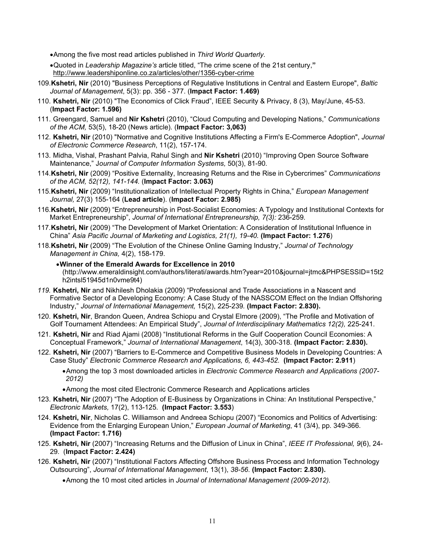•Among the five most read articles published in *Third World Quarterly.*

- •Quoted in *Leadership Magazine's* article titled, "The crime scene of the 21st century,**"** <http://www.leadershiponline.co.za/articles/other/1356-cyber-crime>
- 109.**Kshetri, Nir** (2010) "Business Perceptions of Regulative Institutions in Central and Eastern Europe", *Baltic Journal of Management*, 5(3): pp. 356 - 377. (**Impact Factor: 1.469)**
- 110. **Kshetri, Nir** (2010) "The Economics of Click Fraud", IEEE Security & Privacy, 8 (3), May/June, 45-53. (**Impact Factor: 1.596)**
- 111. Greengard, Samuel and **Nir Kshetri** (2010), "Cloud Computing and Developing Nations," *Communications of the ACM,* 53(5), 18-20 (News article)*.* (**Impact Factor: 3,063)**
- 112. **Kshetri, Nir** (2010) "Normative and Cognitive Institutions Affecting a Firm's E-Commerce Adoption", *Journal of Electronic Commerce Research*, 11(2), 157-174.
- 113. Midha, Vishal, Prashant Palvia, Rahul Singh and **Nir Kshetri** (2010) "Improving Open Source Software Maintenance," J*ournal of Computer Information Systems,* 50(3), 81-90*.*
- 114.**Kshetri, Nir** (2009) "Positive Externality, Increasing Returns and the Rise in Cybercrimes" *Communications of the ACM, 52(12), 141-144.* (**Impact Factor: 3.063)**
- 115.**Kshetri, Nir** (2009) "Institutionalization of Intellectual Property Rights in China," *European Management Journal,* 27(3) 155-164 (**Lead article**). (**Impact Factor: 2.985)**
- 116.**Kshetri, Nir** (2009) "Entrepreneurship in Post-Socialist Economies: A Typology and Institutional Contexts for Market Entrepreneurship", *Journal of International Entrepreneurship, 7(3):* 236-259*.*
- 117.**Kshetri, Nir** (2009) "The Development of Market Orientation: A Consideration of Institutional Influence in China" *Asia Pacific Journal of Marketing and Logistics, 21(1), 19-40.* **(Impact Factor: 1.276**)
- 118.**Kshetri, Nir** (2009) "The Evolution of the Chinese Online Gaming Industry," *Journal of Technology Management in China,* 4(2), 158-179.
	- •**Winner of the Emerald Awards for Excellence in 2010** (http://www.emeraldinsight.com/authors/literati/awards.htm?year=2010&journal=jtmc&PHPSESSID=15t2 h2intsl51945d1n0vme9t4)
- *119.* **Kshetri, Nir** and Nikhilesh Dholakia (2009) "Professional and Trade Associations in a Nascent and Formative Sector of a Developing Economy: A Case Study of the NASSCOM Effect on the Indian Offshoring Industry," *Journal of International Management,* 15(2), 225-239*.* **(Impact Factor: 2.830).**
- 120. **Kshetri, Nir**, Brandon Queen, Andrea Schiopu and Crystal Elmore (2009), "The Profile and Motivation of Golf Tournament Attendees: An Empirical Study", *Journal of Interdisciplinary Mathematics 12(2),* 225-241*.*
- 121. **Kshetri, Nir** and Riad Ajami (2008) "Institutional Reforms in the Gulf Cooperation Council Economies: A Conceptual Framework," *Journal of International Management*, 14(3), 300-318*.* **(Impact Factor: 2.830).**
- 122. **Kshetri, Nir** (2007) "Barriers to E-Commerce and Competitive Business Models in Developing Countries: A Case Study" *Electronic Commerce Research and Applications, 6, 443-452.* **(Impact Factor: 2.911**)
	- •Among the top 3 most downloaded articles in *Electronic Commerce Research and Applications (2007- 2012)*
	- •Among the most cited Electronic Commerce Research and Applications articles
- 123. **Kshetri, Nir** (2007) "The Adoption of E-Business by Organizations in China: An Institutional Perspective," *Electronic Markets,* 17(2), 113-125*.* **(Impact Factor: 3.553**)
- 124. **Kshetri, Nir**, Nicholas C. Williamson and Andreea Schiopu (2007) "Economics and Politics of Advertising: Evidence from the Enlarging European Union," *European Journal of Marketing*, 41 (3/4), pp. 349-366. **(Impact Factor: 1.716)**
- 125. **Kshetri, Nir** (2007) "Increasing Returns and the Diffusion of Linux in China", *IEEE IT Professional, 9*(6), 24- 29. (**Impact Factor: 2.424)**
- 126. **Kshetri, Nir** (2007) "Institutional Factors Affecting Offshore Business Process and Information Technology Outsourcing", *Journal of International Management*, 13(1), *38-56*. **(Impact Factor: 2.830).**

•Among the 10 most cited articles in *Journal of International Management (2009-2012).*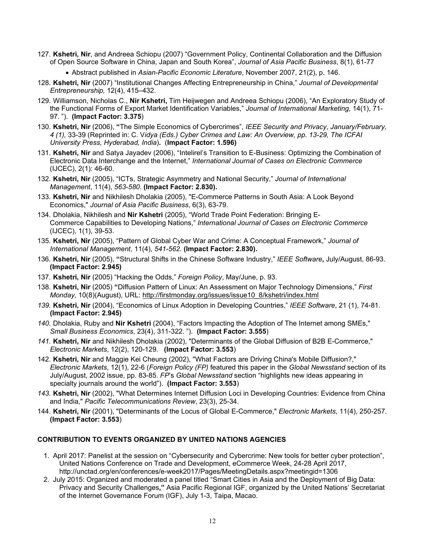- 127. **Kshetri, Nir**, and Andreea Schiopu (2007) "Government Policy, Continental Collaboration and the Diffusion of Open Source Software in China, Japan and South Korea", *Journal of Asia Pacific Business*, 8(1), 61-77
	- Abstract published in *Asian-Pacific Economic Literature*, November 2007, 21(2), p. 146.
- 128. **Kshetri, Nir** (2007) "Institutional Changes Affecting Entrepreneurship in China," *Journal of Developmental Entrepreneurship,* 12(4), 415–432.
- 129. Williamson, Nicholas C., **Nir Kshetri,** Tim Heijwegen and Andreea Schiopu (2006), "An Exploratory Study of the Functional Forms of Export Market Identification Variables," *Journal of International Marketing,* 14(1), 71- 97. "). **(Impact Factor: 3.375**)
- 130. **Kshetri, Nir** (2006), **"**The Simple Economics of Cybercrimes", *IEEE Security and Privacy*, *January/February, 4 (1),* 33-39 (Reprinted in: C. V*idya (Eds.) Cyber Crimes and Law: An Overview, pp. 13-29, The ICFAI University Press, Hyderabad, India*)*.* (**Impact Factor: 1.596)**
- 131. **Kshetri, Nir** and Satya Jayadev (2006), "Intelirel's Transition to E-Business: Optimizing the Combination of Electronic Data Interchange and the Internet," *International Journal of Cases on Electronic Commerce* (IJCEC), 2(1): 46-60.
- 132. **Kshetri, Nir** (2005), "ICTs, Strategic Asymmetry and National Security," *Journal of International Management*, 11(4), *563-580*. **(Impact Factor: 2.830).**
- 133. **Kshetri, Nir** and Nikhilesh Dholakia (2005), "E-Commerce Patterns in South Asia: A Look Beyond Economics," *Journal of Asia Pacific Business*, 6(3), 63-79.
- 134. Dholakia, Nikhilesh and **Nir Kshetri** (2005), "World Trade Point Federation: Bringing E-Commerce Capabilities to Developing Nations," *International Journal of Cases on Electronic Commerce* (IJCEC), 1(1), 39-53.
- 135. **Kshetri, Nir** (2005), "Pattern of Global Cyber War and Crime: A Conceptual Framework," *Journal of International Management*, 11(4), *541-562*. **(Impact Factor: 2.830).**
- 136. **Kshetri, Nir** (2005), **"**Structural Shifts in the Chinese Software Industry," *IEEE Software***,** July/August, 86-93. **(Impact Factor: 2.945)**
- 137. **Kshetri, Nir** (2005) "Hacking the Odds," *Foreign Policy*, May/June, p. 93.
- 138. **Kshetri, Nir** (2005) **"**Diffusion Pattern of Linux: An Assessment on Major Technology Dimensions," *First Monday,* 10(8)(August), URL: [http://firstmonday.org/issues/issue10\\_8/kshetri/index.html](http://firstmonday.org/issues/issue10_8/kshetri/index.html)
- *139.* **Kshetri, Nir** (2004), "Economics of Linux Adoption in Developing Countries," *IEEE Software*, 21 (1), 74-81. **(Impact Factor: 2.945)**
- *140.* Dholakia, Ruby and **Nir Kshetri** (2004), "Factors Impacting the Adoption of The Internet among SMEs," *Small Business Economics*, 23(4), 311-322. "). **(Impact Factor: 3.555**)
- *141.* **Kshetri, Nir** and Nikhilesh Dholakia (2002), "Determinants of the Global Diffusion of B2B E-Commerce," *Electronic Markets*, 12(2), 120-129*.* **(Impact Factor: 3.553**)
- 142. **Kshetri, Nir** and Maggie Kei Cheung (2002), "What Factors are Driving China's Mobile Diffusion?," *Electronic Markets*, 12(1), 22-6 (*Foreign Policy (FP)* featured this paper in the *Global Newsstand* section of its July/August, 2002 issue, pp. 83-85. *FP*'s *Global Newsstand* section "highlights new ideas appearing in specialty journals around the world"). **(Impact Factor: 3.553**)
- *143.* **Kshetri, Nir** (2002), "What Determines Internet Diffusion Loci in Developing Countries: Evidence from China and India," *Pacific Telecommunications Review*, 23(3), 25-34.
- 144. **Kshetri, Nir** (2001), "Determinants of the Locus of Global E-Commerce," *Electronic Markets*, 11(4), 250-257. **(Impact Factor: 3.553**)

# **CONTRIBUTION TO EVENTS ORGANIZED BY UNITED NATIONS AGENCIES**

- 1. April 2017: Panelist at the session on "Cybersecurity and Cybercrime: New tools for better cyber protection", United Nations Conference on Trade and Development, eCommerce Week, 24-28 April 2017, http://unctad.org/en/conferences/e-week2017/Pages/MeetingDetails.aspx?meetingid=1306
- 2. July 2015: Organized and moderated a panel titled "Smart Cities in Asia and the Deployment of Big Data: Privacy and Security Challenges**,"** Asia Pacific Regional IGF, organized by the United Nations' Secretariat of the Internet Governance Forum (IGF), July 1-3, Taipa, Macao.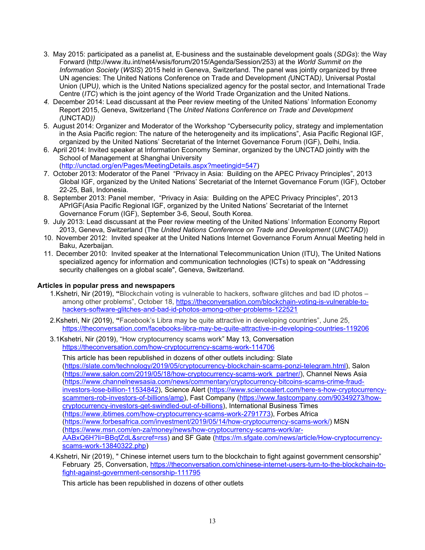- 3. May 2015: participated as a panelist at, E-business and the sustainable development goals (*SDGs*): the Way Forward (http://www.itu.int/net4/wsis/forum/2015/Agenda/Session/253) at the *World Summit on the Information Society* (*WSIS*) 2015 held in Geneva, Switzerland. The panel was jointly organized by three UN agencies: The United Nations Conference on Trade and Development *(*UNCTAD*)*, Universal Postal Union (UPU*),* which is the United Nations specialized agency for the postal sector, and International Trade Centre (*ITC*) which is the joint agency of the World Trade Organization and the United Nations.
- *4.* December 2014: Lead discussant at the Peer review meeting of the United Nations' Information Economy Report 2015, Geneva, Switzerland (The *United Nations Conference on Trade and Development (*UNCTAD*))*
- 5. August 2014: Organizer and Moderator of the Workshop "Cybersecurity policy, strategy and implementation in the Asia Pacific region: The nature of the heterogeneity and its implications", Asia Pacific Regional IGF, organized by the United Nations' Secretariat of the Internet Governance Forum (IGF), Delhi, India.
- 6. April 2014: Invited speaker at Information Economy Seminar, organized by the UNCTAD jointly with the School of Management at Shanghai University [\(http://unctad.org/en/Pages/MeetingDetails.aspx?meetingid=547\)](http://unctad.org/en/Pages/MeetingDetails.aspx?meetingid=547)
- 7. October 2013: Moderator of the Panel "Privacy in Asia: Building on the APEC Privacy Principles", 2013 Global IGF, organized by the United Nations' Secretariat of the Internet Governance Forum (IGF), October 22-25, Bali, Indonesia.
- 8. September 2013: Panel member, "Privacy in Asia: Building on the APEC Privacy Principles", 2013 APrIGF(Asia Pacific Regional IGF, organized by the United Nations' Secretariat of the Internet Governance Forum (IGF), September 3-6, Seoul, South Korea.
- 9. July 2013: Lead discussant at the Peer review meeting of the United Nations' Information Economy Report 2013, Geneva, Switzerland (The *United Nations Conference on Trade and Development* (*UNCTAD*))
- 10. November 2012: Invited speaker at the United Nations Internet Governance Forum Annual Meeting held in Baku, Azerbaijan.
- 11. December 2010: Invited speaker at the International Telecommunication Union (ITU), The United Nations specialized agency for information and communication technologies (ICTs) to speak on "Addressing security challenges on a global scale", Geneva, Switzerland.

# **Articles in popular press and newspapers**

- 1.Kshetri, Nir (2019), **"**Blockchain voting is vulnerable to hackers, software glitches and bad ID photos among other problems", October 18, [https://theconversation.com/blockchain-voting-is-vulnerable-to](https://theconversation.com/blockchain-voting-is-vulnerable-to-hackers-software-glitches-and-bad-id-photos-among-other-problems-122521)[hackers-software-glitches-and-bad-id-photos-among-other-problems-122521](https://theconversation.com/blockchain-voting-is-vulnerable-to-hackers-software-glitches-and-bad-id-photos-among-other-problems-122521)
- 2.Kshetri, Nir (2019), **"**Facebook's Libra may be quite attractive in developing countries", June 25, <https://theconversation.com/facebooks-libra-may-be-quite-attractive-in-developing-countries-119206>
- 3.1Kshetri, Nir (2019), "How cryptocurrency scams work" May 13, Conversation <https://theconversation.com/how-cryptocurrency-scams-work-114706>

This article has been republished in dozens of other outlets including: Slate [\(https://slate.com/technology/2019/05/cryptocurrency-blockchain-scams-ponzi-telegram.html\)](https://slate.com/technology/2019/05/cryptocurrency-blockchain-scams-ponzi-telegram.html), Salon [\(https://www.salon.com/2019/05/18/how-cryptocurrency-scams-work\\_partner/\)](https://www.salon.com/2019/05/18/how-cryptocurrency-scams-work_partner/), Channel News Asia [\(https://www.channelnewsasia.com/news/commentary/cryptocurrency-bitcoins-scams-crime-fraud](https://www.channelnewsasia.com/news/commentary/cryptocurrency-bitcoins-scams-crime-fraud-investors-lose-billion-11534842)[investors-lose-billion-11534842\)](https://www.channelnewsasia.com/news/commentary/cryptocurrency-bitcoins-scams-crime-fraud-investors-lose-billion-11534842), Science Alert [\(https://www.sciencealert.com/here-s-how-cryptocurrency](https://www.sciencealert.com/here-s-how-cryptocurrency-scammers-rob-investors-of-billions/amp)[scammers-rob-investors-of-billions/amp\)](https://www.sciencealert.com/here-s-how-cryptocurrency-scammers-rob-investors-of-billions/amp), Fast Company [\(https://www.fastcompany.com/90349273/how](https://www.fastcompany.com/90349273/how-cryptocurrency-investors-get-swindled-out-of-billions)[cryptocurrency-investors-get-swindled-out-of-billions\)](https://www.fastcompany.com/90349273/how-cryptocurrency-investors-get-swindled-out-of-billions), International Business Times [\(https://www.ibtimes.com/how-cryptocurrency-scams-work-2791773\)](https://www.ibtimes.com/how-cryptocurrency-scams-work-2791773), Forbes Africa [\(https://www.forbesafrica.com/investment/2019/05/14/how-cryptocurrency-scams-work/\)](https://www.forbesafrica.com/investment/2019/05/14/how-cryptocurrency-scams-work/) MSN [\(https://www.msn.com/en-za/money/news/how-cryptocurrency-scams-work/ar-](https://www.msn.com/en-za/money/news/how-cryptocurrency-scams-work/ar-AABxQ6H?li=BBqfZdL&srcref=rss)[AABxQ6H?li=BBqfZdL&srcref=rss\)](https://www.msn.com/en-za/money/news/how-cryptocurrency-scams-work/ar-AABxQ6H?li=BBqfZdL&srcref=rss) and SF Gate [\(https://m.sfgate.com/news/article/How-cryptocurrency](https://m.sfgate.com/news/article/How-cryptocurrency-scams-work-13840322.php)[scams-work-13840322.php\)](https://m.sfgate.com/news/article/How-cryptocurrency-scams-work-13840322.php)

4.Kshetri, Nir (2019), " Chinese internet users turn to the blockchain to fight against government censorship" February 25, Conversation, [https://theconversation.com/chinese-internet-users-turn-to-the-blockchain-to](https://theconversation.com/chinese-internet-users-turn-to-the-blockchain-to-fight-against-government-censorship-111795)[fight-against-government-censorship-111795](https://theconversation.com/chinese-internet-users-turn-to-the-blockchain-to-fight-against-government-censorship-111795) 

This article has been republished in dozens of other outlets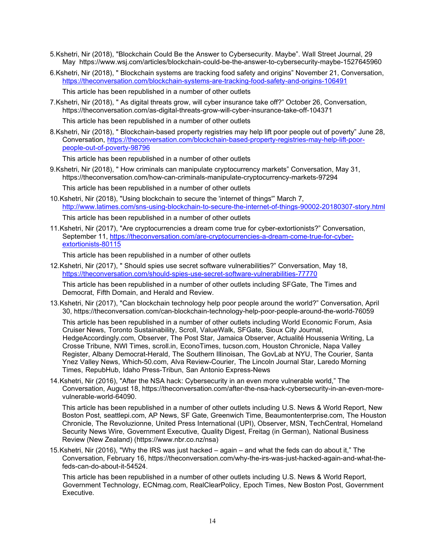- 5.Kshetri, Nir (2018), "Blockchain Could Be the Answer to Cybersecurity. Maybe". Wall Street Journal, 29 May https://www.wsj.com/articles/blockchain-could-be-the-answer-to-cybersecurity-maybe-1527645960
- 6.Kshetri, Nir (2018), " Blockchain systems are tracking food safety and origins" November 21, Conversation, <https://theconversation.com/blockchain-systems-are-tracking-food-safety-and-origins-106491>

This article has been republished in a number of other outlets

7.Kshetri, Nir (2018), " As digital threats grow, will cyber insurance take off?" October 26, Conversation, https://theconversation.com/as-digital-threats-grow-will-cyber-insurance-take-off-104371

This article has been republished in a number of other outlets

8.Kshetri, Nir (2018), " Blockchain-based property registries may help lift poor people out of poverty" June 28, Conversation, [https://theconversation.com/blockchain-based-property-registries-may-help-lift-poor](https://theconversation.com/blockchain-based-property-registries-may-help-lift-poor-people-out-of-poverty-98796)[people-out-of-poverty-98796](https://theconversation.com/blockchain-based-property-registries-may-help-lift-poor-people-out-of-poverty-98796)

This article has been republished in a number of other outlets

9.Kshetri, Nir (2018), " How criminals can manipulate cryptocurrency markets" Conversation, May 31, https://theconversation.com/how-can-criminals-manipulate-cryptocurrency-markets-97294

This article has been republished in a number of other outlets

10.Kshetri, Nir (2018), "Using blockchain to secure the 'internet of things'" March 7, <http://www.latimes.com/sns-using-blockchain-to-secure-the-internet-of-things-90002-20180307-story.html>

This article has been republished in a number of other outlets

11.Kshetri, Nir (2017), "Are cryptocurrencies a dream come true for cyber-extortionists?" Conversation, September 11, [https://theconversation.com/are-cryptocurrencies-a-dream-come-true-for-cyber](https://theconversation.com/are-cryptocurrencies-a-dream-come-true-for-cyber-extortionists-80115)[extortionists-80115](https://theconversation.com/are-cryptocurrencies-a-dream-come-true-for-cyber-extortionists-80115)

This article has been republished in a number of other outlets

12.Kshetri, Nir (2017), " Should spies use secret software vulnerabilities?" Conversation, May 18, <https://theconversation.com/should-spies-use-secret-software-vulnerabilities-77770>

This article has been republished in a number of other outlets including SFGate, The Times and Democrat, Fifth Domain, and Herald and Review.

13.Kshetri, Nir (2017), "Can blockchain technology help poor people around the world?" Conversation, April 30, https://theconversation.com/can-blockchain-technology-help-poor-people-around-the-world-76059

This article has been republished in a number of other outlets including World Economic Forum, Asia Cruiser News, Toronto Sustainability, Scroll, ValueWalk, SFGate, Sioux City Journal, HedgeAccordingly.com, Observer, The Post Star, Jamaica Observer, Actualité Houssenia Writing, La Crosse Tribune, NWI Times, scroll.in, EconoTimes, tucson.com, Houston Chronicle, Napa Valley Register, Albany Democrat-Herald, The Southern Illinoisan, The GovLab at NYU, The Courier, Santa Ynez Valley News, Which-50.com, Alva Review-Courier, The Lincoln Journal Star, Laredo Morning Times, RepubHub, Idaho Press-Tribun, San Antonio Express-News

14.Kshetri, Nir (2016), "After the NSA hack: Cybersecurity in an even more vulnerable world," The Conversation, August 18, https://theconversation.com/after-the-nsa-hack-cybersecurity-in-an-even-morevulnerable-world-64090.

This article has been republished in a number of other outlets including U.S. News & World Report, New Boston Post, seattlepi.com, AP News, SF Gate, Greenwich Time, Beaumontenterprise.com, The Houston Chronicle, The Revoluzionne, United Press International (UPI), Observer, MSN, TechCentral, Homeland Security News Wire, Government Executive, Quality Digest, Freitag (in German), National Business Review (New Zealand) (https://www.nbr.co.nz/nsa)

15.Kshetri, Nir (2016), "Why the IRS was just hacked – again – and what the feds can do about it," The Conversation, February 16, https://theconversation.com/why-the-irs-was-just-hacked-again-and-what-thefeds-can-do-about-it-54524.

This article has been republished in a number of other outlets including U.S. News & World Report, Government Technology, ECNmag.com, RealClearPolicy, Epoch Times, New Boston Post, Government Executive.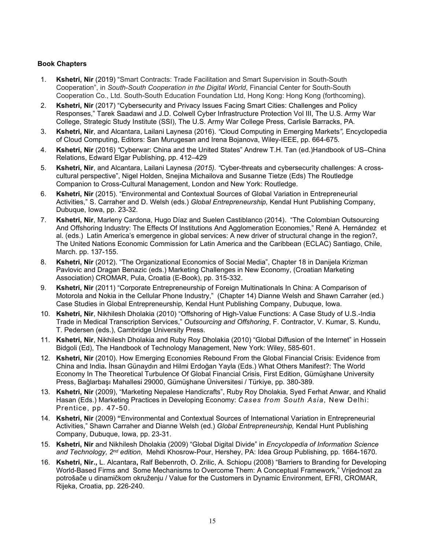# **Book Chapters**

- 1. **Kshetri, Nir** (2019) "Smart Contracts: Trade Facilitation and Smart Supervision in South-South Cooperation", in *South-South Cooperation in the Digital World*, Financial Center for South-South Cooperation Co., Ltd. South-South Education Foundation Ltd, Hong Kong: Hong Kong (forthcoming).
- 2. **Kshetri, Nir** (2017) "Cybersecurity and Privacy Issues Facing Smart Cities: Challenges and Policy Responses," Tarek Saadawi and J.D. Colwell Cyber Infrastructure Protection Vol III, The U.S. Army War College, Strategic Study Institute (SSI), The U.S. Army War College Press, Carlisle Barracks, PA.
- 3. **Kshetri, Nir**, and Alcantara, Lailani Laynesa (2016). *"*Cloud Computing in Emerging Markets*",* Encyclopedia of Cloud Computing, Editors: San Murugesan and Irena Bojanova, Wiley-IEEE, pp. 664-675.
- 4. **Kshetri, Nir** (2016) *"*Cyberwar: China and the United States" Andrew T.H. Tan (ed.)Handbook of US–China Relations, Edward Elgar Publishing, pp. 412–429
- 5. **Kshetri, Nir**, and Alcantara, Lailani Laynesa *(2015). "*Cyber-threats and cybersecurity challenges: A crosscultural perspective", Nigel Holden, Snejina Michailova and Susanne Tietze (Eds) The Routledge Companion to Cross-Cultural Management, London and New York: Routledge.
- 6. **Kshetri, Nir** (2015). "Environmental and Contextual Sources of Global Variation in Entrepreneurial Activities," S. Carraher and D. Welsh (eds.) *Global Entrepreneurship,* Kendal Hunt Publishing Company, Dubuque, Iowa, pp. 23-32.
- 7. **Kshetri, Nir**, Marleny Cardona, Hugo Díaz and Suelen Castiblanco (2014). "The Colombian Outsourcing And Offshoring Industry: The Effects Of Institutions And Agglomeration Economies," René A. Hernández et al. (eds.) Latin America's emergence in global services: A new driver of structural change in the region?, The United Nations Economic Commission for Latin America and the Caribbean (ECLAC) Santiago, Chile, March. pp. 137-155.
- 8. **Kshetri, Nir** (2012). "The Organizational Economics of Social Media", Chapter 18 in Danijela Krizman Pavlovic and Dragan Benazic (eds.) Marketing Challenges in New Economy, (Croatian Marketing Association) CROMAR, Pula, Croatia (E-Book), pp. 315-332.
- 9. **Kshetri, Nir** (2011) "Corporate Entrepreneurship of Foreign Multinationals In China: A Comparison of Motorola and Nokia in the Cellular Phone Industry," (Chapter 14) Dianne Welsh and Shawn Carraher (ed.) Case Studies in Global Entrepreneurship*,* Kendal Hunt Publishing Company, Dubuque, Iowa.
- 10. **Kshetri, Nir**, Nikhilesh Dholakia (2010) "Offshoring of High-Value Functions: A Case Study of U.S.-India Trade in Medical Transcription Services," *Outsourcing and Offshoring*, F. Contractor, V. Kumar, S. Kundu, T. Pedersen (eds.), Cambridge University Press.
- 11. **Kshetri, Nir**, Nikhilesh Dholakia and Ruby Roy Dholakia (2010) "Global Diffusion of the Internet" in Hossein Bidgoli (Ed), The Handbook of Technology Management, New York: Wiley, 585-601.
- 12. **Kshetri, Nir** (2010). How Emerging Economies Rebound From the Global Financial Crisis: Evidence from China and India**.** İhsan Günaydın and Hilmi Erdoğan Yayla (Eds.) What Others Manifest?: The World Economy In The Theoretical Turbulence Of Global Financial Crisis, First Edition, Gümüşhane University Press, Bağlarbaşı Mahallesi 29000, Gümüşhane Üniversitesi / Türkiye, pp. 380-389.
- 13. **Kshetri, Nir** (2009), "Marketing Nepalese Handicrafts", Ruby Roy Dholakia, Syed Ferhat Anwar, and Khalid Hasan (Eds.) Marketing Practices in Developing Economy: *Cases from South Asia*, New Delhi: Prentice, pp. 47-50.
- 14. **Kshetri, Nir** (2009) **"**Environmental and Contextual Sources of International Variation in Entrepreneurial Activities," Shawn Carraher and Dianne Welsh (ed.) *Global Entrepreneurship,* Kendal Hunt Publishing Company, Dubuque, Iowa, pp. 23-31.
- 15. **Kshetri, Nir** and Nikhilesh Dholakia (2009) "Global Digital Divide" in *Encyclopedia of Information Science and Technology, 2nd edition,* Mehdi Khosrow-Pour, Hershey, PA: Idea Group Publishing, pp. 1664-1670.
- 16. **Kshetri, Nir.,** L. Alcantara**,** Ralf Bebenroth, O. Zrilic, A. Schiopu (2008) "Barriers to Branding for Developing World-Based Firms and Some Mechanisms to Overcome Them: A Conceptual Framework," Vrijednost za potrošače u dinamičkom okruženju / Value for the Customers in Dynamic Environment, EFRI, CROMAR, Rijeka, Croatia, pp. 226-240.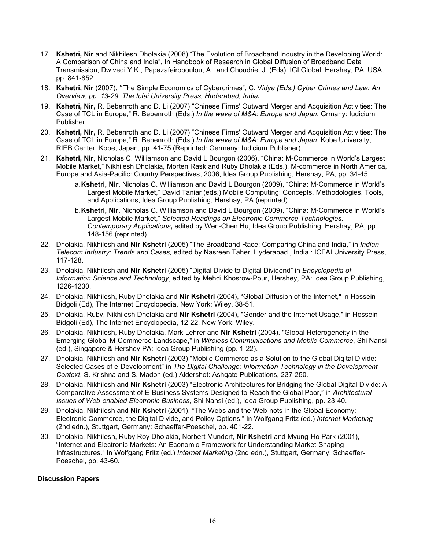- 17. **Kshetri, Nir** and Nikhilesh Dholakia (2008) "The Evolution of Broadband Industry in the Developing World: A Comparison of China and India", In Handbook of Research in Global Diffusion of Broadband Data Transmission, Dwivedi Y.K., Papazafeiropoulou, A., and Choudrie, J. (Eds). IGI Global, Hershey, PA, USA, pp. 841-852.
- 18. **Kshetri, Nir** (2007), **"**The Simple Economics of Cybercrimes", C. V*idya (Eds.) Cyber Crimes and Law: An Overview, pp. 13-29, The Icfai University Press, Huderabad, India.*
- 19. **Kshetri, Nir,** R. Bebenroth and D. Li (2007) "Chinese Firms' Outward Merger and Acquisition Activities: The Case of TCL in Europe," R. Bebenroth (Eds.) *In the wave of M&A: Europe and Japan*, Grmany: Iudicium Publisher.
- 20. **Kshetri, Nir,** R. Bebenroth and D. Li (2007) "Chinese Firms' Outward Merger and Acquisition Activities: The Case of TCL in Europe," R. Bebenroth (Eds.) *In the wave of M&A: Europe and Japan*, Kobe University, RIEB Center, Kobe, Japan, pp. 41-75 (Reprinted: Germany: Iudicium Publisher).
- 21. **Kshetri, Nir**, Nicholas C. Williamson and David L Bourgon (2006), "China: M-Commerce in World's Largest Mobile Market," Nikhilesh Dholakia, Morten Rask and Ruby Dholakia (Eds.), M-commerce in North America, Europe and Asia-Pacific: Country Perspectives, 2006, Idea Group Publishing, Hershay, PA, pp. 34-45.
	- a.**Kshetri, Nir**, Nicholas C. Williamson and David L Bourgon (2009), "China: M-Commerce in World's Largest Mobile Market," [David Taniar](http://www.igi-global.com/reference/authors.asp?id=392&pub_id=8381) (eds.) Mobile Computing: Concepts, Methodologies, Tools, and Applications, Idea Group Publishing, Hershay, PA (reprinted).
	- b.**Kshetri, Nir**, Nicholas C. Williamson and David L Bourgon (2009), "China: M-Commerce in World's Largest Mobile Market," *Selected Readings on Electronic Commerce Technologies: Contemporary Applications***,** edited by Wen-Chen Hu, Idea Group Publishing, Hershay, PA, pp. 148-156 (reprinted).
- 22. Dholakia, Nikhilesh and **Nir Kshetri** (2005) "The Broadband Race: Comparing China and India," in *Indian Telecom Industry: Trends and Cases,* edited by Nasreen Taher, Hyderabad , India : ICFAI University Press, 117-128.
- 23. Dholakia, Nikhilesh and **Nir Kshetri** (2005) "Digital Divide to Digital Dividend" in *Encyclopedia of Information Science and Technology*, edited by Mehdi Khosrow-Pour, Hershey, PA: Idea Group Publishing, 1226-1230.
- 24. Dholakia, Nikhilesh, Ruby Dholakia and **Nir Kshetri** (2004), "Global Diffusion of the Internet," in Hossein Bidgoli (Ed), The Internet Encyclopedia, New York: Wiley, 38-51.
- 25. Dholakia, Ruby, Nikhilesh Dholakia and **Nir Kshetri** (2004), "Gender and the Internet Usage," in Hossein Bidgoli (Ed), The Internet Encyclopedia, 12-22, New York: Wiley.
- 26. Dholakia, Nikhilesh, Ruby Dholakia, Mark Lehrer and **Nir Kshetri** (2004), "Global Heterogeneity in the Emerging Global M-Commerce Landscape," in *Wireless Communications and Mobile Commerce*, Shi Nansi (ed.), Singapore & Hershey PA: Idea Group Publishing (pp. 1-22).
- 27. Dholakia, Nikhilesh and **Nir Kshetri** (2003) "Mobile Commerce as a Solution to the Global Digital Divide: Selected Cases of e-Development" in *The Digital Challenge: Information Technology in the Development Context*, S. Krishna and S. Madon (ed.) Aldershot: Ashgate Publications, 237-250.
- 28. Dholakia, Nikhilesh and **Nir Kshetri** (2003) "Electronic Architectures for Bridging the Global Digital Divide: A Comparative Assessment of E-Business Systems Designed to Reach the Global Poor," in *Architectural Issues of Web-enabled Electronic Business*, Shi Nansi (ed.), Idea Group Publishing, pp. 23-40.
- 29. Dholakia, Nikhilesh and **Nir Kshetri** (2001), "The Webs and the Web-nots in the Global Economy: Electronic Commerce, the Digital Divide, and Policy Options." In Wolfgang Fritz (ed.) *Internet Marketing* (2nd edn.), Stuttgart, Germany: Schaeffer-Poeschel, pp. 401-22.
- 30. Dholakia, Nikhilesh, Ruby Roy Dholakia, Norbert Mundorf, **Nir Kshetri** and Myung-Ho Park (2001), "Internet and Electronic Markets: An Economic Framework for Understanding Market-Shaping Infrastructures." In Wolfgang Fritz (ed.) *Internet Marketing* (2nd edn.), Stuttgart, Germany: Schaeffer-Poeschel, pp. 43-60.

## **Discussion Papers**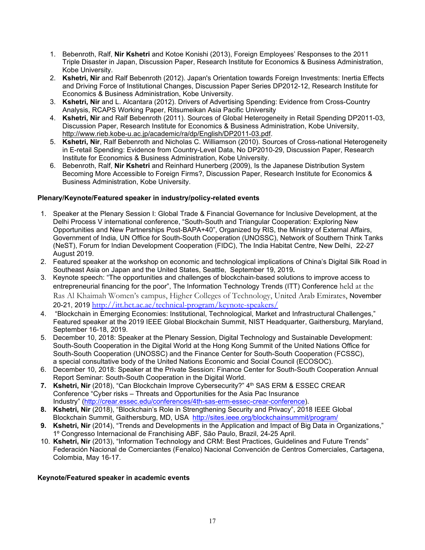- 1. Bebenroth, Ralf, **Nir Kshetri** and Kotoe Konishi (2013), Foreign Employees' [Responses to the 2011](http://www.rieb.kobe-u.ac.jp/academic/ra/dp/English/DP2013-26.pdf)  [Triple Disaster in Japan,](http://www.rieb.kobe-u.ac.jp/academic/ra/dp/English/DP2013-26.pdf) Discussion Paper, Research Institute for Economics & Business Administration, Kobe University.
- 2. **Kshetri, Nir** and Ralf Bebenroth (2012). Japan's Orientation towards Foreign Investments: Inertia Effects and Driving Force of Institutional Changes, Discussion Paper Series DP2012-12, Research Institute for Economics & Business Administration, Kobe University.
- 3. **Kshetri, Nir** and L. Alcantara (2012). Drivers of Advertising Spending: Evidence from Cross-Country Analysis, RCAPS Working Paper, Ritsumeikan Asia Pacific University
- 4. **Kshetri, Nir** and Ralf Bebenroth (2011). Sources of Global Heterogeneity in Retail Spending DP2011-03, Discussion Paper, Research Institute for Economics & Business Administration, Kobe University, [http://www.rieb.kobe-u.ac.jp/academic/ra/dp/English/DP2011-03.pdf.](http://www.rieb.kobe-u.ac.jp/academic/ra/dp/English/DP2011-03.pdf)
- 5. **Kshetri, Nir**, Ralf Bebenroth and Nicholas C. Williamson (2010). Sources of Cross-national Heterogeneity in E-retail Spending: Evidence from Country-Level Data, No DP2010-29, Discussion Paper, Research Institute for Economics & Business Administration, Kobe University.
- 6. Bebenroth, Ralf, **Nir Kshetri** and Reinhard Hunerberg (2009), Is the Japanese Distribution System Becoming More Accessible to Foreign Firms?, Discussion Paper, Research Institute for Economics & Business Administration, Kobe University.

# **Plenary/Keynote/Featured speaker in industry/policy-related events**

- 1. Speaker at the Plenary Session I: Global Trade & Financial Governance for Inclusive Development, at the Delhi Process V international conference, "South-South and Triangular Cooperation: Exploring New Opportunities and New Partnerships Post-BAPA+40", Organized by RIS, the Ministry of External Affairs, Government of India, UN Office for South-South Cooperation (UNOSSC), Network of Southern Think Tanks (NeST), Forum for Indian Development Cooperation (FIDC), The India Habitat Centre, New Delhi, 22-27 August 2019.
- 2. Featured speaker at the workshop on economic and technological implications of China's Digital Silk Road in Southeast Asia on Japan and the United States, Seattle, September 19, 2019**.**
- 3. Keynote speech: "The opportunities and challenges of blockchain-based solutions to improve access to entrepreneurial financing for the poor", The Information Technology Trends (ITT) Conference held at the Ras Al Khaimah Women's campus, Higher Colleges of Technology, United Arab Emirates, November 20-21, 2019 <http://itt.hct.ac.ae/technical-program/keynote-speakers/>
- 4. "Blockchain in Emerging Economies: Institutional, Technological, Market and Infrastructural Challenges," Featured speaker at the 2019 IEEE Global Blockchain Summit, NIST Headquarter, Gaithersburg, Maryland, September 16-18, 2019.
- 5. December 10, 2018: Speaker at the Plenary Session, Digital Technology and Sustainable Development: South-South Cooperation in the Digital World at the Hong Kong Summit of the United Nations Office for South-South Cooperation (UNOSSC) and the Finance Center for South-South Cooperation (FCSSC), a special consultative body of the United Nations Economic and Social Council (ECOSOC).
- 6. December 10, 2018: Speaker at the Private Session: Finance Center for South-South Cooperation Annual Report Seminar: South-South Cooperation in the Digital World.
- **7. Kshetri, Nir** (2018), "Can Blockchain Improve Cybersecurity?" 4th SAS ERM & ESSEC CREAR Conference "Cyber risks – Threats and Opportunities for the Asia Pac Insurance Industry" [\(http://crear.essec.edu/conferences/4th-sas-erm-essec-crear-conference\)](http://crear.essec.edu/conferences/4th-sas-erm-essec-crear-conference).
- **8. Kshetri, Nir** (2018), "Blockchain's Role in Strengthening Security and Privacy", 2018 IEEE Global Blockchain Summit, Gaithersburg, MD, USA <http://sites.ieee.org/blockchainsummit/program/>
- **9. Kshetri, Nir** (2014), "Trends and Developments in the Application and Impact of Big Data in Organizations," 1º Congresso Internacional de Franchising ABF, São Paulo, Brazil, 24-25 April.
- 10. **Kshetri, Nir** (2013), "Information Technology and CRM: Best Practices, Guidelines and Future Trends" Federación Nacional de Comerciantes (Fenalco) Nacional Convención de Centros Comerciales, Cartagena, Colombia, May 16-17.

# **Keynote/Featured speaker in academic events**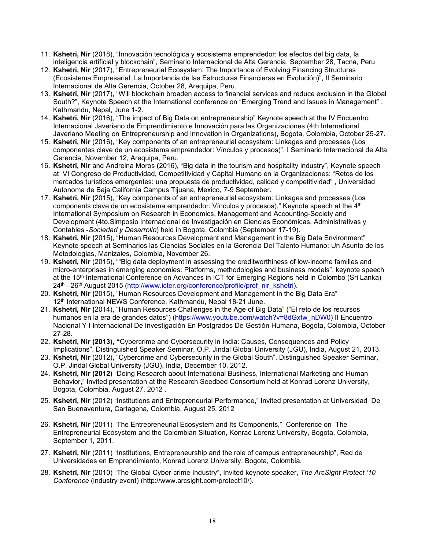- 11. **Kshetri, Nir** (2018), "Innovación tecnológica y ecosistema emprendedor: los efectos del big data, la inteligencia artificial y blockchain", Seminario Internacional de Alta Gerencia, September 28, Tacna, Peru
- 12. **Kshetri, Nir** (2017), "Entrepreneurial Ecosystem: The Importance of Evolving Financing Structures (Ecosistema Empresarial: La Importancia de las Estructuras Financieras en Evolución)", II Seminario Internacional de Alta Gerencia, October 28, Arequipa, Peru.
- 13. **Kshetri, Nir** (2017), "Will blockchain broaden access to financial services and reduce exclusion in the Global South?", Keynote Speech at the International conference on "Emerging Trend and Issues in Management" , Kathmandu, Nepal, June 1-2.
- 14. **Kshetri, Nir** (2016), "The impact of Big Data on entrepreneurship" Keynote speech at the IV Encuentro Internacional Javeriano de Emprendimiento e Innovación para las Organizaciones (4th International Javeriano Meeting on Entrepreneurship and Innovation in Organizations), Bogota, Colombia, October 25-27.
- 15. **Kshetri, Nir** (2016), "Key components of an entrepreneurial ecosystem: Linkages and processes (Los componentes clave de un ecosistema emprendedor: Vínculos y procesos)", I Seminario Internacional de Alta Gerencia, November 12, Arequipa, Peru.
- 16. **Kshetri, Nir** and Andreina Moros **(**2016), "Big data in the tourism and hospitality industry", Keynote speech at VI Congreso de Productividad, Competitividad y Capital Humano en la Organizaciones: "Retos de los mercados turísticos emergentes: una propuesta de productividad, calidad y competitividad" , Universidad Autonoma de Baja California Campus Tijuana, Mexico, 7-9 September.
- 17. **Kshetri, Nir (**2015), "Key components of an entrepreneurial ecosystem: Linkages and processes (Los components clave de un ecosistema emprendedor: Vínculos y procesos)," Keynote speech at the 4<sup>th</sup> International Symposium on Research in Economics, Management and Accounting-Society and Development (4to.Simposio Internacional de Investigación en Ciencias Económicas, Administrativas y Contables -*Sociedad y Desarrollo*) held in Bogota, Colombia (September 17-19).
- 18. **Kshetri, Nir (**2015), "Human Resources Development and Management in the Big Data Environment" Keynote speech at Seminarios las Ciencias Sociales en la Gerencia Del Talento Humano: Un Asunto de los Metodologias, Manizales, Colombia, November 26.
- 19. **Kshetri, Nir** (2015), ""Big data deployment in assessing the creditworthiness of low-income families and micro-enterprises in emerging economies: Platforms, methodologies and business models", keynote speech at the 15th International Conference on Advances in ICT for Emerging Regions held in Colombo (Sri Lanka) 24<sup>th</sup> - 26<sup>th</sup> August 2015 [\(http://www.icter.org/conference/profile/prof\\_nir\\_kshetri\)](http://www.icter.org/conference/profile/prof_nir_kshetri).
- 20. **Kshetri, Nir (**2015), "Human Resources Development and Management in the Big Data Era" 12<sup>th</sup> International NEWS Conference, Kathmandu, Nepal 18-21 June.
- 21. **Kshetri, Nir (**2014), "Human Resources Challenges in the Age of Big Data" ("El reto de los recursos humanos en la era de grandes datos") [\(https://www.youtube.com/watch?v=8dGxfw\\_nDW0\)](https://www.youtube.com/watch?v=8dGxfw_nDW0) II Encuentro Nacional Y I Internacional De Investigación En Postgrados De Gestión Humana, Bogota, Colombia, October 27-28.
- 22. **Kshetri, Nir (2013), "**Cybercrime and Cybersecurity in India: Causes, Consequences and Policy Implications", Distinguished Speaker Seminar, O.P. Jindal Global University (JGU), India, August 21, 2013.
- 23. **Kshetri, Nir** (2012), "Cybercrime and Cybersecurity in the Global South", Distinguished Speaker Seminar, O.P. Jindal Global University (JGU), India, December 10, 2012.
- 24. **Kshetri, Nir (2012)** "Doing Research about International Business, International Marketing and Human Behavior," Invited presentation at the Research Seedbed Consortium held at Konrad Lorenz University, Bogota, Colombia, August 27, 2012 .
- 25. **Kshetri, Nir** (2012) "Institutions and Entrepreneurial Performance," Invited presentation at Universidad De San Buenaventura, Cartagena, Colombia, August 25, 2012
- 26. **Kshetri, Nir** (2011) "The Entrepreneurial Ecosystem and Its Components," Conference on The Entrepreneurial Ecosystem and the Colombian Situation, Konrad Lorenz University, Bogota, Colombia, September 1, 2011.
- 27. **Kshetri, Nir** (2011) "Institutions, Entrepreneurship and the role of campus entrepreneurship", Red de Universidades en Emprendimiento, Konrad Lorenz University, Bogota, Colombia.
- 28. **Kshetri, Nir** (2010) "The Global Cyber-crime Industry", Invited keynote speaker, *The ArcSight Protect '10 Conference* (industry event) (http://www.arcsight.com/protect10/).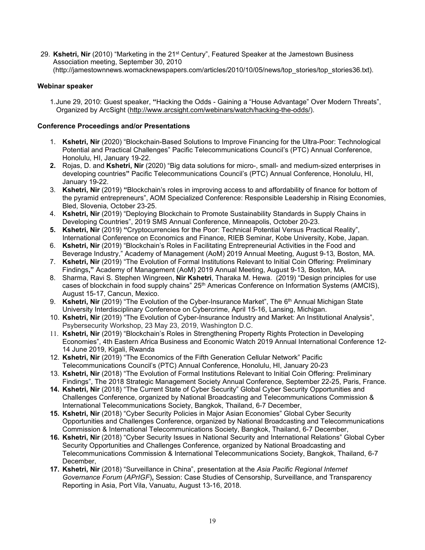29. Kshetri, Nir (2010) "Marketing in the 21<sup>st</sup> Century", Featured Speaker at the Jamestown Business Association meeting, September 30, 2010 (http://jamestownnews.womacknewspapers.com/articles/2010/10/05/news/top\_stories/top\_stories36.txt).

# **Webinar speaker**

1.June 29, 2010: Guest speaker, **"**Hacking the Odds - Gaining a "House Advantage" Over Modern Threats", Organized by ArcSight [\(http://www.arcsight.com/webinars/watch/hacking-the-odds/\)](http://www.arcsight.com/webinars/watch/hacking-the-odds/).

# **Conference Proceedings and/or Presentations**

- 1. **Kshetri, Nir** (2020) "Blockchain-Based Solutions to Improve Financing for the Ultra-Poor: Technological Potential and Practical Challenges" Pacific Telecommunications Council's (PTC) Annual Conference, Honolulu, HI, January 19-22.
- **2.** Rojas, D. and **Kshetri, Nir** (2020) "Big data solutions for micro-, small- and medium-sized enterprises in developing countries**"** Pacific Telecommunications Council's (PTC) Annual Conference, Honolulu, HI, January 19-22.
- 3. **Kshetri, Nir** (2019) **"**Blockchain's roles in improving access to and affordability of finance for bottom of the pyramid entrepreneurs", AOM Specialized Conference: Responsible Leadership in Rising Economies, Bled, Slovenia, October 23-25.
- 4. **Kshetri, Nir** (2019) "Deploying Blockchain to Promote Sustainability Standards in Supply Chains in Developing Countries", 2019 SMS Annual Conference, Minneapolis, October 20-23.
- **5. Kshetri, Nir** (2019) **"**Cryptocurrencies for the Poor: Technical Potential Versus Practical Reality", International Conference on Economics and Finance, RIEB Seminar, Kobe University, Kobe, Japan.
- 6. **Kshetri, Nir** (2019) "Blockchain's Roles in Facilitating Entrepreneurial Activities in the Food and Beverage Industry," Academy of Management (AoM) 2019 Annual Meeting, August 9-13*,* Boston, MA.
- 7. **Kshetri, Nir** (2019) "The Evolution of Formal Institutions Relevant to Initial Coin Offering: Preliminary Findings**,"** Academy of Management (AoM) 2019 Annual Meeting, August 9-13*,* Boston, MA.
- 8. Sharma, Ravi S. Stephen Wingreen, **Nir Kshetri**, Tharaka M. Hewa. (2019) "Design principles for use cases of blockchain in food supply chains" 25<sup>th</sup> Americas Conference on Information Systems (AMCIS), August 15-17, Cancun, Mexico.
- 9. **Kshetri, Nir** (2019) "The Evolution of the Cyber-Insurance Market", The 6<sup>th</sup> Annual Michigan State University Interdisciplinary Conference on Cybercrime, April 15-16, Lansing, Michigan.
- 10. **Kshetri, Nir** (2019) "The Evolution of Cyber-Insurance Industry and Market: An Institutional Analysis", Psybersecurity Workshop, 23 May 23, 2019, Washington D.C.
- 11. **Kshetri, Nir** (2019) "Blockchain's Roles in Strengthening Property Rights Protection in Developing Economies", 4th Eastern Africa Business and Economic Watch 2019 Annual International Conference 12- 14 June 2019, Kigali, Rwanda
- 12. **Kshetri, Nir** (2019) "The Economics of the Fifth Generation Cellular Network" Pacific Telecommunications Council's (PTC) Annual Conference, Honolulu, HI, January 20-23
- 13. **Kshetri, Nir** (2018) "The Evolution of Formal Institutions Relevant to Initial Coin Offering: Preliminary Findings", The 2018 Strategic Management Society Annual Conference, September 22-25, Paris, France.
- **14. Kshetri, Nir** (2018) "The Current State of Cyber Security" Global Cyber Security Opportunities and Challenges Conference, organized by National Broadcasting and Telecommunications Commission & International Telecommunications Society, Bangkok, Thailand, 6-7 December,
- **15. Kshetri, Nir** (2018) "Cyber Security Policies in Major Asian Economies" Global Cyber Security Opportunities and Challenges Conference, organized by National Broadcasting and Telecommunications Commission & International Telecommunications Society, Bangkok, Thailand, 6-7 December,
- **16. Kshetri, Nir** (2018) "Cyber Security Issues in National Security and International Relations" Global Cyber Security Opportunities and Challenges Conference, organized by National Broadcasting and Telecommunications Commission & International Telecommunications Society, Bangkok, Thailand, 6-7 December,
- **17. Kshetri, Nir** (2018) "Surveillance in China", presentation at the *Asia Pacific Regional Internet Governance Forum* (*APrIGF*)**,** Session: Case Studies of Censorship, Surveillance, and Transparency Reporting in Asia, Port Vila, Vanuatu, August 13-16, 2018.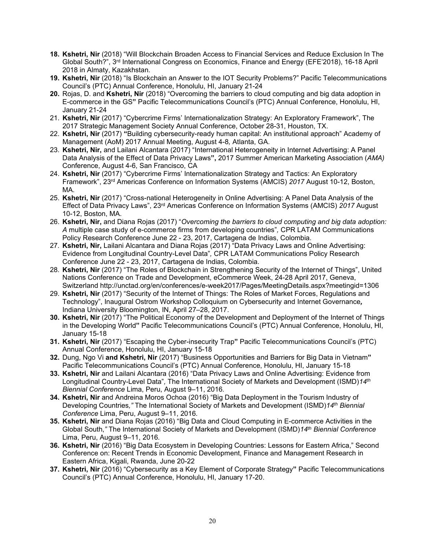- **18. Kshetri, Nir** (2018) "Will Blockchain Broaden Access to Financial Services and Reduce Exclusion In The Global South?", 3<sup>rd</sup> International Congress on Economics, Finance and Energy (EFE'2018), 16-18 April 2018 in Almaty, Kazakhstan.
- **19. Kshetri, Nir** (2018) "Is Blockchain an Answer to the IOT Security Problems?" Pacific Telecommunications Council's (PTC) Annual Conference, Honolulu, HI, January 21-24
- **20.** Rojas, D. and **Kshetri, Nir** (2018) "Overcoming the barriers to cloud computing and big data adoption in E-commerce in the GS**"** Pacific Telecommunications Council's (PTC) Annual Conference, Honolulu, HI, January 21-24
- 21. **Kshetri, Nir** (2017) "Cybercrime Firms' Internationalization Strategy: An Exploratory Framework", The 2017 Strategic Management Society Annual Conference, October 28-31, Houston, TX.
- 22. **Kshetri, Nir** (2017) **"**Building cybersecurity-ready human capital: An institutional approach" Academy of Management (AoM) 2017 Annual Meeting, August 4-8*,* Atlanta, GA.
- 23. **Kshetri, Nir,** and Lailani Alcantara (2017) "International Heterogeneity in Internet Advertising: A Panel Data Analysis of the Effect of Data Privacy Laws**",** 2017 Summer American Marketing Association (*AMA)* Conference, August 4-6, San Francisco, CA
- 24. **Kshetri, Nir** (2017) "Cybercrime Firms' Internationalization Strategy and Tactics: An Exploratory Framework", 23rd Americas Conference on Information Systems (AMCIS) *2017* August 10-12, Boston, MA.
- 25. **Kshetri, Nir** (2017) "Cross-national Heterogeneity in Online Advertising: A Panel Data Analysis of the Effect of Data Privacy Laws", 23rd Americas Conference on Information Systems (AMCIS) *2017* August 10-12, Boston, MA.
- 26. **Kshetri, Nir,** and Diana Rojas (2017) "*Overcoming the barriers to cloud computing and big data adoption: A* multiple case study of e-commerce firms from developing countries"*,* CPR LATAM Communications Policy Research Conference June 22 - 23, 2017, Cartagena de Indias, Colombia.
- 27. **Kshetri, Nir,** Lailani Alcantara and Diana Rojas (2017) "Data Privacy Laws and Online Advertising: Evidence from Longitudinal Country-Level Data"*,* CPR LATAM Communications Policy Research Conference June 22 - 23, 2017, Cartagena de Indias, Colombia.
- 28. **Kshetri, Nir** (2017) "The Roles of Blockchain in Strengthening Security of the Internet of Things", United Nations Conference on Trade and Development, eCommerce Week, 24-28 April 2017, Geneva, Switzerland http://unctad.org/en/conferences/e-week2017/Pages/MeetingDetails.aspx?meetingid=1306
- 29. **Kshetri, Nir** (2017) "Security of the Internet of Things: The Roles of Market Forces, Regulations and Technology", Inaugural Ostrom Workshop Colloquium on Cybersecurity and Internet Governance*,* Indiana University Bloomington, IN, April 27–28, 2017.
- **30. Kshetri, Nir** (2017) "The Political Economy of the Development and Deployment of the Internet of Things in the Developing World**"** Pacific Telecommunications Council's (PTC) Annual Conference, Honolulu, HI, January 15-18
- **31. Kshetri, Nir** (2017) "Escaping the Cyber-insecurity Trap**"** Pacific Telecommunications Council's (PTC) Annual Conference, Honolulu, HI, January 15-18
- **32.** Dung, Ngo Vi **and Kshetri, Nir** (2017) "Business Opportunities and Barriers for Big Data in Vietnam**"** Pacific Telecommunications Council's (PTC) Annual Conference, Honolulu, HI, January 15-18
- **33. Kshetri, Nir** and Lailani Alcantara (2016) "Data Privacy Laws and Online Advertising: Evidence from Longitudinal Country-Level Data"*,* The International Society of Markets and Development (ISMD)*14th Biennial Conference* Lima, Peru, August 9–11, 2016*.*
- **34. Kshetri, Nir** and Andreina Moros Ochoa (2016) "Big Data Deployment in the Tourism Industry of Developing Countries*,"* The International Society of Markets and Development (ISMD)*14th Biennial Conference* Lima, Peru, August 9–11, 2016*.*
- **35. Kshetri, Nir** and Diana Rojas (2016) "Big Data and Cloud Computing in E-commerce Activities in the Global South,*"* The International Society of Markets and Development (ISMD)*14th Biennial Conference*  Lima, Peru, August 9–11, 2016*.*
- **36. Kshetri, Nir** (2016) "Big Data Ecosystem in Developing Countries: Lessons for Eastern Africa," Second Conference on: Recent Trends in Economic Development, Finance and Management Research in Eastern Africa, Kigali, Rwanda, June 20-22
- **37. Kshetri, Nir** (2016) "Cybersecurity as a Key Element of Corporate Strategy**"** Pacific Telecommunications Council's (PTC) Annual Conference, Honolulu, HI, January 17-20.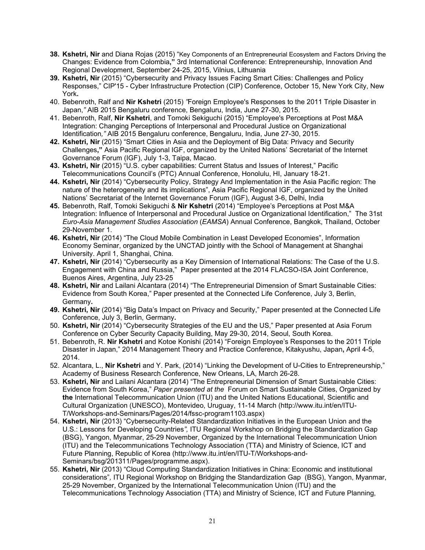- **38. Kshetri, Nir** and Diana Rojas (2015) "Key Components of an Entrepreneurial Ecosystem and Factors Driving the Changes: Evidence from Colombia**,"** 3rd International Conference: Entrepreneurship, Innovation And Regional Development, September 24-25, 2015, Vilnius, Lithuania
- **39. Kshetri, Nir** (2015) "Cybersecurity and Privacy Issues Facing Smart Cities: Challenges and Policy Responses," CIP'15 - Cyber Infrastructure Protection (CIP) Conference, October 15, New York City, New York**.**
- 40. Bebenroth, Ralf and **Nir Kshetri** (2015) *"*Foreign Employee's Responses to the 2011 Triple Disaster in Japan,*"* AIB 2015 Bengaluru conference, Bengaluru, India, June 27-30, 2015.
- 41. Bebenroth, Ralf, **Nir Kshetri**, and Tomoki Sekiguchi (2015) "Employee's Perceptions at Post M&A Integration: Changing Perceptions of Interpersonal and Procedural Justice on Organizational Identification*,"* AIB 2015 Bengaluru conference, Bengaluru, India, June 27-30, 2015.
- **42. Kshetri, Nir** (2015) "Smart Cities in Asia and the Deployment of Big Data: Privacy and Security Challenges**,"** Asia Pacific Regional IGF, organized by the United Nations' Secretariat of the Internet Governance Forum (IGF), July 1-3, Taipa, Macao.
- **43. Kshetri, Nir** (2015) "U.S. cyber capabilities: Current Status and Issues of Interest," Pacific Telecommunications Council's (PTC) Annual Conference, Honolulu, HI, January 18-21.
- **44. Kshetri, Nir** (2014) "Cybersecurity Policy, Strategy And Implementation in the Asia Pacific region: The nature of the heterogeneity and its implications", Asia Pacific Regional IGF, organized by the United Nations' Secretariat of the Internet Governance Forum (IGF), August 3-6, Delhi, India
- **45.** Bebenroth, Ralf, Tomoki Sekiguchi & **Nir Kshetri** (2014) "Employee's Perceptions at Post M&A Integration: Influence of Interpersonal and Procedural Justice on Organizational Identification," The 31st *Euro-Asia Management Studies Association* (*EAMSA*) Annual Conference, Bangkok, Thailand, October 29-November 1.
- **46. Kshetri, Nir** (2014) "The Cloud Mobile Combination in Least Developed Economies", Information Economy Seminar, organized by the UNCTAD jointly with the School of Management at Shanghai University. April 1, Shanghai, China.
- **47. Kshetri, Nir** (2014) "Cybersecurity as a Key Dimension of International Relations: The Case of the U.S. Engagement with China and Russia," Paper presented at the 2014 FLACSO-ISA Joint Conference, Buenos Aires, Argentina, July 23-25
- **48. Kshetri, Nir** and Lailani Alcantara (2014) "The Entrepreneurial Dimension of Smart Sustainable Cities: Evidence from South Korea," Paper presented at the Connected Life Conference, July 3, Berlin, Germany**.**
- **49. Kshetri, Nir** (2014) "Big Data's Impact on Privacy and Security," Paper presented at the Connected Life Conference, July 3, Berlin, Germany**.**
- 50. **Kshetri, Nir** (2014) "Cybersecurity Strategies of the EU and the US," Paper presented at Asia Forum Conference on Cyber Security Capacity Building, May 29-30, 2014, Seoul, South Korea.
- 51. Bebenroth, R. **Nir Kshetri** and Kotoe Konishi (2014) "Foreign Employee's Responses to the 2011 Triple Disaster in Japan," 2014 Management Theory and Practice Conference, Kitakyushu, Japan**,** April 4-5, 2014.
- 52. Alcantara, L., **Nir Kshetri** and Y. Park, (2014) "Linking the Development of U-Cities to Entrepreneurship," Academy of Business Research Conference, New Orleans, LA, March 26-28.
- 53. **Kshetri, Nir** and Lailani Alcantara (2014) "The Entrepreneurial Dimension of Smart Sustainable Cities: Evidence from South Korea," *Paper presented at the* Forum on Smart Sustainable Cities, Organized by **the** International Telecommunication Union (ITU) and the United Nations Educational, Scientific and Cultural Organization (UNESCO), Montevideo, Uruguay, 11-14 March (http://www.itu.int/en/ITU-T/Workshops-and-Seminars/Pages/2014/fssc-program1103.aspx)
- 54. **Kshetri, Nir** (2013) "Cybersecurity-Related Standardization Initiatives in the European Union and the U.S.: Lessons for Developing Countries*",* ITU Regional Workshop on Bridging the Standardization Gap (BSG), Yangon, Myanmar, 25-29 November, Organized by the International Telecommunication Union (ITU) and the Telecommunications Technology Association (TTA) and Ministry of Science, ICT and Future Planning, Republic of Korea (http://www.itu.int/en/ITU-T/Workshops-and-Seminars/bsg/201311/Pages/programme.aspx).
- 55. **Kshetri, Nir** (2013) "Cloud Computing Standardization Initiatives in China: Economic and institutional considerations"*,* ITU Regional Workshop on Bridging the Standardization Gap (BSG), Yangon, Myanmar, 25-29 November, Organized by the International Telecommunication Union (ITU) and the Telecommunications Technology Association (TTA) and Ministry of Science, ICT and Future Planning,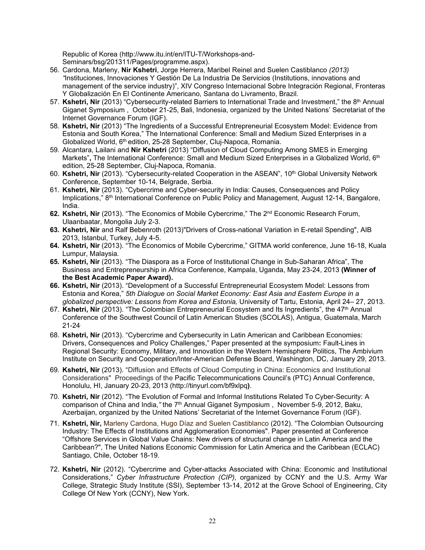Republic of Korea (http://www.itu.int/en/ITU-T/Workshops-and-Seminars/bsg/201311/Pages/programme.aspx).

- 56. Cardona, Marleny, **Nir Kshetri**, Jorge Herrera, Maribel Reinel and Suelen Castiblanco *(2013) "*Instituciones, Innovaciones Y Gestión De La Industria De Servicios (Institutions, innovations and management of the service industry)", XIV Congreso Internacional Sobre Integración Regional, Fronteras Y Globalización En El Continente Americano, Santana do Livramento, Brazil.
- 57. Kshetri, Nir (2013) "Cybersecurity-related Barriers to International Trade and Investment," the 8<sup>th</sup> Annual Giganet Symposium , October 21-25, Bali, Indonesia, organized by the United Nations' Secretariat of the Internet Governance Forum (IGF).
- 58. **Kshetri, Nir** (2013) "The Ingredients of a Successful Entrepreneurial Ecosystem Model: Evidence from Estonia and South Korea," The International Conference: Small and Medium Sized Enterprises in a Globalized World, 6<sup>th</sup> edition, 25-28 September, Cluj-Napoca, Romania.
- 59. Alcantara, Lailani and **Nir Kshetri** (2013) "Diffusion of Cloud Computing Among SMES in Emerging Markets"**,** The International Conference: Small and Medium Sized Enterprises in a Globalized World, 6th edition, 25-28 September, Cluj-Napoca, Romania.
- 60. Kshetri, Nir (2013). "Cybersecurity-related Cooperation in the ASEAN", 10<sup>th</sup> Global University Network Conference, September 10-14, Belgrade, Serbia.
- 61. **Kshetri, Nir** (2013). "Cybercrime and Cyber-security in India: Causes, Consequences and Policy Implications," 8<sup>th</sup> International Conference on Public Policy and Management, August 12-14, Bangalore, India.
- **62. Kshetri, Nir** (2013). "The Economics of Mobile Cybercrime," The 2nd Economic Research Forum, Ulaanbaatar, Mongolia July 2-3.
- **63. Kshetri, Nir** and Ralf Bebenroth (2013)"Drivers of Cross-national Variation in E-retail Spending", AIB 2013, Istanbul, Turkey, July 4-5.
- **64. Kshetri, Nir** (2013). "The Economics of Mobile Cybercrime," GITMA world conference, June 16-18, Kuala Lumpur, Malaysia.
- **65. Kshetri, Nir** (2013). "The Diaspora as a Force of Institutional Change in Sub-Saharan Africa", The Business and Entrepreneurship in Africa Conference, Kampala, Uganda, May 23-24, 2013 **(Winner of the Best Academic Paper Award).**
- **66. Kshetri, Nir** (2013). "Development of a Successful Entrepreneurial Ecosystem Model: Lessons from Estonia and Korea," *5th Dialogue on Social Market Economy: East Asia and Eastern Europe in a globalized perspective: Lessons from Korea and Estonia,* University of Tartu, Estonia, April 24– 27, 2013.
- 67. **Kshetri, Nir** (2013). "The Colombian Entrepreneurial Ecosystem and Its Ingredients", the 47th Annual Conference of the Southwest Council of Latin American Studies (SCOLAS), Antigua, Guatemala, March 21-24.
- 68. **Kshetri, Nir** (2013). "Cybercrime and Cybersecurity in Latin American and Caribbean Economies: Drivers, Consequences and Policy Challenges," Paper presented at the symposium**:** Fault-Lines in Regional Security: Economy, Military, and Innovation in the Western Hemisphere Politics, The Ambivium Institute on Security and Cooperation/Inter-American Defense Board, Washington, DC, January 29, 2013.
- 69. **Kshetri, Nir** (2013). "Diffusion and Effects of Cloud Computing in China: Economics and Institutional Considerations" Proceedings of the Pacific Telecommunications Council's (PTC) Annual Conference, Honolulu, HI, January 20-23, 2013 (http://tinyurl.com/bf9xlpq**)**.
- 70. **Kshetri, Nir** (2012). "The Evolution of Formal and Informal Institutions Related To Cyber-Security: A comparison of China and India,*"* the 7th Annual Giganet Symposium , November 5-9, 2012, Baku, Azerbaijan, organized by the United Nations' Secretariat of the Internet Governance Forum (IGF).
- 71. **Kshetri, Nir,** Marleny Cardona, Hugo Díaz and Suelen Castiblanco (2012). "The Colombian Outsourcing Industry: The Effects of Institutions and Agglomeration Economies". Paper presented at Conference "Offshore Services in Global Value Chains: New drivers of structural change in Latin America and the Caribbean?", The United Nations Economic Commission for Latin America and the Caribbean (ECLAC) Santiago, Chile, October 18-19.
- 72. **Kshetri, Nir** (2012). "Cybercrime and Cyber-attacks Associated with China: Economic and Institutional Considerations," *Cyber Infrastructure Protection (CIP)*, organized by CCNY and the U.S. Army War College, Strategic Study Institute (SSI), September 13-14, 2012 at the Grove School of Engineering, City College Of New York (CCNY), New York.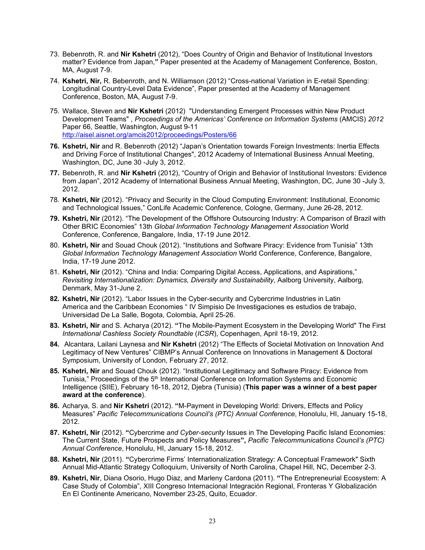- 73. Bebenroth, R. and **Nir Kshetri** (2012), "Does Country of Origin and Behavior of Institutional Investors matter? Evidence from Japan,**"** Paper presented at the Academy of Management Conference, Boston, MA, August 7-9.
- 74. **Kshetri, Nir,** R. Bebenroth, and N. Williamson (2012) "Cross-national Variation in E-retail Spending: Longitudinal Country-Level Data Evidence", Paper presented at the Academy of Management Conference, Boston, MA, August 7-9.
- 75. Wallace, Steven and **Nir Kshetri** (2012) "Understanding Emergent Processes within New Product Development Teams" , *Proceedings of the Americas' Conference on Information Systems* (AMCIS) *2012* Paper 66, Seattle, Washington, August 9-11 <http://aisel.aisnet.org/amcis2012/proceedings/Posters/66>
- **76. Kshetri, Nir** and R. Bebenroth (2012) "Japan's Orientation towards Foreign Investments: Inertia Effects and Driving Force of Institutional Changes", 2012 Academy of International Business Annual Meeting, Washington, DC, June 30 -July 3, 2012.
- **77.** Bebenroth, R. and **Nir Kshetri** (2012), "Country of Origin and Behavior of Institutional Investors: Evidence from Japan", 2012 Academy of International Business Annual Meeting, Washington, DC, June 30 -July 3, 2012.
- 78. **Kshetri, Nir** (2012). "Privacy and Security in the Cloud Computing Environment: Institutional, Economic and Technological Issues," ConLife Academic Conference, Cologne, Germany, June 26-28, 2012.
- **79. Kshetri, Nir** (2012). "The Development of the Offshore Outsourcing Industry: A Comparison of Brazil with Other BRIC Economies" 13th *Global Information Technology Management Association* World Conference, Conference, Bangalore, India, 17-19 June 2012.
- 80. **Kshetri, Nir** and Souad Chouk (2012). "Institutions and Software Piracy: Evidence from Tunisia" 13th *Global Information Technology Management Association* World Conference, Conference, Bangalore, India, 17-19 June 2012.
- 81. **Kshetri, Nir** (2012). "China and India: Comparing Digital Access, Applications, and Aspirations," *Revisiting Internationalization: Dynamics, Diversity and Sustainability,* Aalborg University, Aalborg, Denmark, May 31-June 2.
- **82. Kshetri, Nir** (2012). "Labor Issues in the Cyber-security and Cybercrime Industries in Latin America and the Caribbean Economies " IV Simpisio De Investigaciones es estudios de trabajo, Universidad De La Salle, Bogota, Colombia, April 25-26.
- **83. Kshetri, Nir** and S. Acharya (2012). **"**The Mobile-Payment Ecosystem in the Developing World" The First *International Cashless Society Roundtable* (*ICSR*), Copenhagen, April 18-19, 2012.
- **84.** Alcantara, Lailani Laynesa and **Nir Kshetri** (2012) "The Effects of Societal Motivation on Innovation And Legitimacy of New Ventures" CIBMP's Annual Conference on Innovations in Management & Doctoral Symposium, University of London, February 27, 2012.
- **85. Kshetri, Nir** and Souad Chouk (2012). "Institutional Legitimacy and Software Piracy: Evidence from Tunisia," Proceedings of the 5<sup>th</sup> International Conference on Information Systems and Economic Intelligence (SIIE), February 16-18, 2012, Djebra (Tunisia) (**This paper was a winner of a best paper award at the conference**).
- **86.** Acharya, S. and **Nir Kshetri** (2012). **"**M-Payment in Developing World: Drivers, Effects and Policy Measures" *Pacific Telecommunications Council's (PTC) Annual Conference*, Honolulu, HI, January 15-18, 2012.
- **87. Kshetri, Nir** (2012). **"**Cybercrime *and Cyber-security* Issues in The Developing Pacific Island Economies: The Current State, Future Prospects and Policy Measures**",** *Pacific Telecommunications Council's (PTC) Annual Conference*, Honolulu, HI, January 15-18, 2012.
- **88. Kshetri, Nir** (2011). **"**Cybercrime Firms' Internationalization Strategy: A Conceptual Framework" Sixth Annual Mid-Atlantic Strategy Colloquium, University of North Carolina, Chapel Hill, NC, December 2-3.
- **89. Kshetri, Nir**, Diana Osorio, Hugo Diaz, and Marleny Cardona (2011). **"**The Entrepreneurial Ecosystem: A Case Study of Colombia", XIII Congreso Internacional Integración Regional, Fronteras Y Globalización En El Continente Americano, November 23-25, Quito, Ecuador.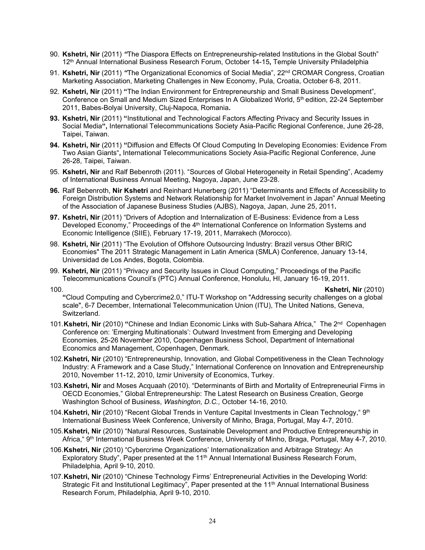- 90. **Kshetri, Nir** (2011) *"*The Diaspora Effects on Entrepreneurship-related Institutions in the Global South" 12th Annual International Business Research Forum, October 14-15**,** Temple University Philadelphia
- 91. Kshetri, Nir (2011) *"*The Organizational Economics of Social Media", 22<sup>nd</sup> CROMAR Congress, Croatian Marketing Association, Marketing Challenges in New Economy, Pula, Croatia, October 6-8, 2011.
- 92. **Kshetri, Nir** (2011) **"**The Indian Environment for Entrepreneurship and Small Business Development", Conference on Small and Medium Sized Enterprises In A Globalized World, 5th edition, 22-24 September 2011, Babes-Bolyai University, Cluj-Napoca, Romania**.**
- **93. Kshetri, Nir** (2011) **"**Institutional and Technological Factors Affecting Privacy and Security Issues in Social Media**",** International Telecommunications Society Asia-Pacific Regional Conference, June 26-28, Taipei, Taiwan.
- **94. Kshetri, Nir** (2011) **"**Diffusion and Effects Of Cloud Computing In Developing Economies: Evidence From Two Asian Giants"**,** International Telecommunications Society Asia-Pacific Regional Conference, June 26-28, Taipei, Taiwan.
- 95. **Kshetri, Nir** and Ralf Bebenroth (2011). "Sources of Global Heterogeneity in Retail Spending", Academy of International Business Annual Meeting, Nagoya, Japan, June 23-28.
- **96.** Ralf Bebenroth, **Nir Kshetri** and Reinhard Hunerberg (2011) "Determinants and Effects of Accessibility to Foreign Distribution Systems and Network Relationship for Market Involvement in Japan" Annual Meeting of the Association of Japanese Business Studies (AJBS), Nagoya, Japan, June 25, 2011**.**
- **97. Kshetri, Nir** (2011) "Drivers of Adoption and Internalization of E-Business: Evidence from a Less Developed Economy," Proceedings of the 4<sup>th</sup> International Conference on Information Systems and Economic Intelligence (SIIE), February 17-19, 2011, Marrakech (Morocco).
- 98. **Kshetri, Nir** (2011) "The Evolution of Offshore Outsourcing Industry: Brazil versus Other BRIC Economies" The 2011 Strategic Management in Latin America (SMLA) Conference, January 13-14, Universidad de Los Andes, Bogota, Colombia.
- 99. **Kshetri, Nir** (2011) "Privacy and Security Issues in Cloud Computing," Proceedings of the Pacific Telecommunications Council's (PTC) Annual Conference, Honolulu, HI, January 16-19, 2011.

100. **Kshetri, Nir** (2010)

**"**Cloud Computing and Cybercrime2.0," ITU-T Workshop on "Addressing security challenges on a global scale", 6-7 December, International Telecommunication Union (ITU), The United Nations, Geneva, Switzerland.

- 101.**Kshetri, Nir** (2010) **"**Chinese and Indian Economic Links with Sub-Sahara Africa," The 2nd Copenhagen Conference on: 'Emerging Multinationals': Outward Investment from Emerging and Developing Economies, 25-26 November 2010, Copenhagen Business School, Department of International Economics and Management, Copenhagen, Denmark.
- 102.**Kshetri, Nir** (2010) "Entrepreneurship, Innovation, and Global Competitiveness in the Clean Technology Industry: A Framework and a Case Study," International Conference on Innovation and Entrepreneurship 2010, November 11-12, 2010, Izmir University of Economics, Turkey.
- 103.**Kshetri, Nir** and Moses Acquaah (2010). "Determinants of Birth and Mortality of Entrepreneurial Firms in OECD Economies," Global Entrepreneurship: The Latest Research on Business Creation, George Washington School of Business, *Washington, D.C.,* October 14-16, 2010.
- 104.**Kshetri, Nir** (2010) "Recent Global Trends in Venture Capital Investments in Clean Technology," 9th International Business Week Conference, University of Minho, Braga, Portugal, May 4-7, 2010.
- 105.**Kshetri, Nir** (2010) "Natural Resources, Sustainable Development and Productive Entrepreneurship in Africa," 9<sup>th</sup> International Business Week Conference, University of Minho, Braga, Portugal, May 4-7, 2010.
- 106.**Kshetri, Nir** (2010) "Cybercrime Organizations' Internationalization and Arbitrage Strategy: An Exploratory Study", Paper presented at the 11<sup>th</sup> Annual International Business Research Forum, Philadelphia, April 9-10, 2010.
- 107.**Kshetri, Nir** (2010) "Chinese Technology Firms' Entrepreneurial Activities in the Developing World: Strategic Fit and Institutional Legitimacy", Paper presented at the 11<sup>th</sup> Annual International Business Research Forum, Philadelphia, April 9-10, 2010.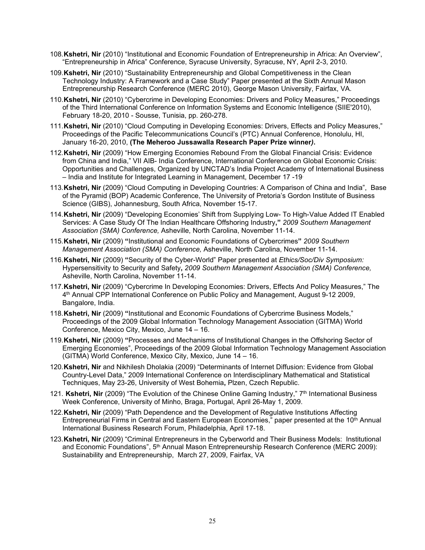- 108.**Kshetri, Nir** (2010) "Institutional and Economic Foundation of Entrepreneurship in Africa: An Overview", "Entrepreneurship in Africa" Conference, Syracuse University, Syracuse, NY, April 2-3, 2010.
- 109.**Kshetri, Nir** (2010) "Sustainability Entrepreneurship and Global Competitiveness in the Clean Technology Industry: A Framework and a Case Study" Paper presented at the Sixth Annual Mason Entrepreneurship Research Conference (MERC 2010), George Mason University, Fairfax, VA.
- 110.**Kshetri, Nir** (2010) "Cybercrime in Developing Economies: Drivers and Policy Measures," Proceedings of the Third International Conference on Information Systems and Economic Intelligence (SIIE'2010), February 18-20, 2010 - Sousse, Tunisia, pp. 260-278.
- 111.**Kshetri, Nir** (2010) "Cloud Computing in Developing Economies: Drivers, Effects and Policy Measures," Proceedings of the Pacific Telecommunications Council's (PTC) Annual Conference, Honolulu, HI, January 16-20, 2010, **(The Meheroo Jussawalla Research Paper Prize winner***)***.**
- 112.**Kshetri, Nir** (2009) "How Emerging Economies Rebound From the Global Financial Crisis: Evidence from China and India," VII AIB- India Conference, International Conference on Global Economic Crisis: Opportunities and Challenges, Organized by UNCTAD's India Project Academy of International Business – India and Institute for Integrated Learning in Management, December 17 -19.
- 113.**Kshetri, Nir** (2009) "Cloud Computing in Developing Countries: A Comparison of China and India", Base of the Pyramid (BOP) Academic Conference, The University of Pretoria's Gordon Institute of Business Science (GIBS), Johannesburg, South Africa, November 15-17.
- 114.**Kshetri, Nir** (2009) "Developing Economies' Shift from Supplying Low- To High-Value Added IT Enabled Services: A Case Study Of The Indian Healthcare Offshoring Industry**,"** *2009 Southern Management Association (SMA) Conference,* Asheville, North Carolina, November 11-14.
- 115.**Kshetri, Nir** (2009) **"**Institutional and Economic Foundations of Cybercrimes**"** *2009 Southern Management Association (SMA) Conference,* Asheville, North Carolina, November 11-14.
- 116.**Kshetri, Nir** (2009) **"**Security of the Cyber-World" Paper presented at *Ethics/Soc/Div Symposium:* Hypersensitivity to Security and Safety**,** *2009 Southern Management Association (SMA) Conference,*  Asheville, North Carolina, November 11-14.
- 117.**Kshetri, Nir** (2009) "Cybercrime In Developing Economies: Drivers, Effects And Policy Measures," The 4th Annual CPP International Conference on Public Policy and Management, August 9-12 2009, Bangalore, India.
- 118.**Kshetri, Nir** (2009) **"**Institutional and Economic Foundations of Cybercrime Business Models," Proceedings of the 2009 Global Information Technology Management Association (GITMA) World Conference, Mexico City, Mexico, June 14 – 16.
- 119.**Kshetri, Nir** (2009) **"**Processes and Mechanisms of Institutional Changes in the Offshoring Sector of Emerging Economies", Proceedings of the 2009 Global Information Technology Management Association (GITMA) World Conference, Mexico City, Mexico, June 14 – 16.
- 120.**Kshetri, Nir** and Nikhilesh Dholakia (2009) "Determinants of Internet Diffusion: Evidence from Global Country-Level Data," 2009 International Conference on Interdisciplinary Mathematical and Statistical Techniques, May 23-26, University of West Bohemia**,** Plzen, Czech Republic.
- 121. Kshetri, Nir (2009) "The Evolution of the Chinese Online Gaming Industry," 7<sup>th</sup> International Business Week Conference, University of Minho, Braga, Portugal, April 26-May 1, 2009.
- 122.**Kshetri, Nir** (2009) "Path Dependence and the Development of Regulative Institutions Affecting Entrepreneurial Firms in Central and Eastern European Economies," paper presented at the 10<sup>th</sup> Annual International Business Research Forum, Philadelphia, April 17-18.
- 123.**Kshetri, Nir** (2009) "Criminal Entrepreneurs in the Cyberworld and Their Business Models: Institutional and Economic Foundations", 5<sup>th</sup> Annual Mason Entrepreneurship Research Conference (MERC 2009): Sustainability and Entrepreneurship, March 27, 2009, Fairfax, VA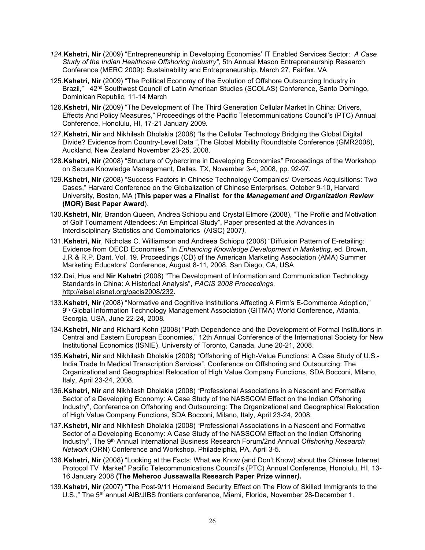- *124.***Kshetri, Nir** (2009) "Entrepreneurship in Developing Economies' IT Enabled Services Sector: *A Case Study of the Indian Healthcare Offshoring Industry",* 5th Annual Mason Entrepreneurship Research Conference (MERC 2009): Sustainability and Entrepreneurship, March 27, Fairfax, VA
- 125.**Kshetri, Nir** (2009) "The Political Economy of the Evolution of Offshore Outsourcing Industry in Brazil," 42<sup>nd</sup> Southwest Council of Latin American Studies (SCOLAS) Conference, Santo Domingo, Dominican Republic, 11-14 March
- 126.**Kshetri, Nir** (2009) "The Development of The Third Generation Cellular Market In China: Drivers, Effects And Policy Measures," Proceedings of the Pacific Telecommunications Council's (PTC) Annual Conference, Honolulu, HI, 17-21 January 2009*.*
- 127.**Kshetri, Nir** and Nikhilesh Dholakia (2008) "Is the Cellular Technology Bridging the Global Digital Divide? Evidence from Country-Level Data ",The Global Mobility Roundtable Conference (GMR2008), Auckland, New Zealand November 23-25, 2008.
- 128.**Kshetri, Nir** (2008) "Structure of Cybercrime in Developing Economies" Proceedings of the Workshop on Secure Knowledge Management, Dallas, TX, November 3-4, 2008, pp. 92-97.
- 129.**Kshetri, Nir** (2008) "Success Factors in Chinese Technology Companies' Overseas Acquisitions: Two Cases," Harvard Conference on the Globalization of Chinese Enterprises, October 9-10, Harvard University, Boston, MA (**This paper was a Finalist for the** *Management and Organization Review* **(MOR) Best Paper Award**).
- 130.**Kshetri, Nir**, Brandon Queen, Andrea Schiopu and Crystal Elmore (2008), "The Profile and Motivation of Golf Tournament Attendees: An Empirical Study", Paper presented at the Advances in Interdisciplinary Statistics and Combinatorics (AISC) 2007*).*
- 131.**Kshetri, Nir**, Nicholas C. Williamson and Andreea Schiopu (2008) "Diffusion Pattern of E-retailing: Evidence from OECD Economies," In *Enhancing Knowledge Development in Marketing*, ed. Brown, J.R & R.P. Dant. Vol. 19. Proceedings (CD) of the American Marketing Association (AMA) Summer Marketing Educators' Conference, August 8-11, 2008, San Diego, CA, USA
- 132.Dai, Hua and **Nir Kshetri** (2008) "The Development of Information and Communication Technology Standards in China: A Historical Analysis", *PACIS 2008 Proceedings*. [http://aisel.aisnet.org/pacis2008/232.](http://aisel.aisnet.org/pacis2008/232)
- 133.**Kshetri, Nir** (2008) "Normative and Cognitive Institutions Affecting A Firm's E-Commerce Adoption," 9th Global Information Technology Management Association (GITMA) World Conference, Atlanta, Georgia, USA, June 22-24, 2008*.*
- 134.**Kshetri, Nir** and Richard Kohn (2008) "Path Dependence and the Development of Formal Institutions in Central and Eastern European Economies," 12th Annual Conference of the International Society for New Institutional Economics (ISNIE), University of Toronto, Canada, June 20-21, 2008.
- 135.**Kshetri, Nir** and Nikhilesh Dholakia (2008) "Offshoring of High-Value Functions: A Case Study of U.S.- India Trade In Medical Transcription Services", Conference on Offshoring and Outsourcing: The Organizational and Geographical Relocation of High Value Company Functions, SDA Bocconi, Milano, Italy, April 23-24, 2008.
- 136.**Kshetri, Nir** and Nikhilesh Dholakia (2008) "Professional Associations in a Nascent and Formative Sector of a Developing Economy: A Case Study of the NASSCOM Effect on the Indian Offshoring Industry", Conference on Offshoring and Outsourcing: The Organizational and Geographical Relocation of High Value Company Functions, SDA Bocconi, Milano, Italy, April 23-24, 2008.
- 137.**Kshetri, Nir** and Nikhilesh Dholakia (2008) "Professional Associations in a Nascent and Formative Sector of a Developing Economy: A Case Study of the NASSCOM Effect on the Indian Offshoring Industry", The 9th Annual International Business Research Forum/2nd Annual *Offshoring Research Network* (ORN) Conference and Workshop, Philadelphia, PA, April 3-5.
- 138.**Kshetri, Nir** (2008) "Looking at the Facts: What we Know (and Don't Know) about the Chinese Internet Protocol TV Market" Pacific Telecommunications Council's (PTC) Annual Conference, Honolulu, HI, 13- 16 January 2008 **(The Meheroo Jussawalla Research Paper Prize winner***)***.**
- 139.**Kshetri, Nir** (2007) "The Post-9/11 Homeland Security Effect on The Flow of Skilled Immigrants to the U.S.," The 5<sup>th</sup> annual AIB/JIBS frontiers conference, Miami, Florida, November 28-December 1.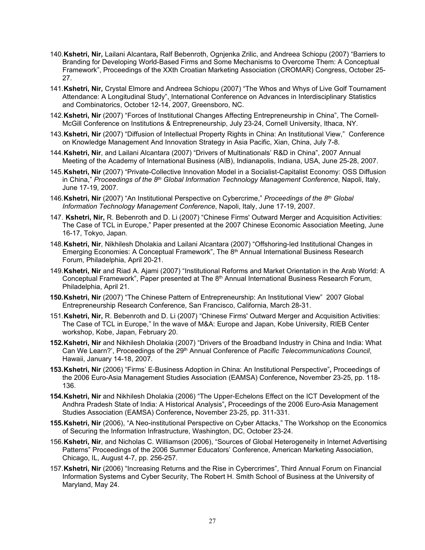- 140.**Kshetri, Nir,** Lailani Alcantara**,** Ralf Bebenroth, Ognjenka Zrilic, and Andreea Schiopu (2007) "Barriers to Branding for Developing World-Based Firms and Some Mechanisms to Overcome Them: A Conceptual Framework", Proceedings of the XXth Croatian Marketing Association (CROMAR) Congress, October 25- 27.
- 141.**Kshetri, Nir,** Crystal Elmore and Andreea Schiopu (2007) "The Whos and Whys of Live Golf Tournament Attendance: A Longitudinal Study", International Conference on Advances in Interdisciplinary Statistics and Combinatorics, October 12-14, 2007, Greensboro, NC.
- 142.**Kshetri, Nir** (2007) "Forces of Institutional Changes Affecting Entrepreneurship in China", The Cornell-McGill Conference on Institutions & Entrepreneurship, July 23-24, Cornell University, Ithaca, NY.
- 143.**Kshetri, Nir** (2007) "Diffusion of Intellectual Property Rights in China: An Institutional View," Conference on Knowledge Management And Innovation Strategy in Asia Pacific, Xian, China, July 7-8.
- 144.**Kshetri, Nir**, and Lailani Alcantara (2007) "Drivers of Multinationals' R&D in China", 2007 Annual Meeting of the Academy of International Business (AIB), Indianapolis, Indiana, USA, June 25-28, 2007.
- 145.**Kshetri, Nir** (2007) "Private-Collective Innovation Model in a Socialist-Capitalist Economy: OSS Diffusion in China," *Proceedings of the 8th Global Information Technology Management Conference*, Napoli, Italy, June 17-19, 2007.
- 146.**Kshetri, Nir** (2007) "An Institutional Perspective on Cybercrime," *Proceedings of the 8th Global Information Technology Management Conference*, Napoli, Italy, June 17-19, 2007.
- 147. **Kshetri, Nir,** R. Bebenroth and D. Li (2007) "Chinese Firms' Outward Merger and Acquisition Activities: The Case of TCL in Europe," Paper presented at the 2007 Chinese Economic Association Meeting, June 16-17, Tokyo, Japan.
- 148.**Kshetri, Nir**, Nikhilesh Dholakia and Lailani Alcantara (2007) "Offshoring-led Institutional Changes in Emerging Economies: A Conceptual Framework", The 8<sup>th</sup> Annual International Business Research Forum, Philadelphia, April 20-21.
- 149.**Kshetri, Nir** and Riad A. Ajami (2007) "Institutional Reforms and Market Orientation in the Arab World: A Conceptual Framework", Paper presented at The 8th Annual International Business Research Forum, Philadelphia, April 21.
- **150.Kshetri, Nir** (2007) "The Chinese Pattern of Entrepreneurship: An Institutional View" 2007 Global Entrepreneurship Research Conference, San Francisco, California, March 28-31.
- 151.**Kshetri, Nir,** R. Bebenroth and D. Li (2007) "Chinese Firms' Outward Merger and Acquisition Activities: The Case of TCL in Europe," In the wave of M&A: Europe and Japan, Kobe University, RIEB Center workshop, Kobe, Japan, February 20.
- **152.Kshetri, Nir** and Nikhilesh Dholakia (2007) "Drivers of the Broadband Industry in China and India: What Can We Learn?', Proceedings of the 29th Annual Conference of *Pacific Telecommunications Council*, Hawaii, January 14-18, 2007.
- **153.Kshetri, Nir** (2006) "Firms' E-Business Adoption in China: An Institutional Perspective"**,** Proceedings of the 2006 Euro-Asia Management Studies Association (EAMSA) Conference**,** November 23-25, pp. 118- 136.
- **154.Kshetri, Nir** and Nikhilesh Dholakia (2006) "The Upper-Echelons Effect on the ICT Development of the Andhra Pradesh State of India: A Historical Analysis"**,** Proceedings of the 2006 Euro-Asia Management Studies Association (EAMSA) Conference**,** November 23-25, pp. 311-331.
- **155.Kshetri, Nir** (2006), "A Neo-institutional Perspective on Cyber Attacks," The Workshop on the Economics of Securing the Information Infrastructure, Washington, DC, October 23-24.
- 156.**Kshetri, Nir**, and Nicholas C. Williamson (2006), "Sources of Global Heterogeneity in Internet Advertising Patterns" Proceedings of the 2006 Summer Educators' Conference, American Marketing Association, Chicago, IL, August 4-7, pp. 256-257.
- 157.**Kshetri, Nir** (2006) "Increasing Returns and the Rise in Cybercrimes", Third Annual Forum on Financial Information Systems and Cyber Security, The Robert H. Smith School of Business at the University of Maryland, May 24.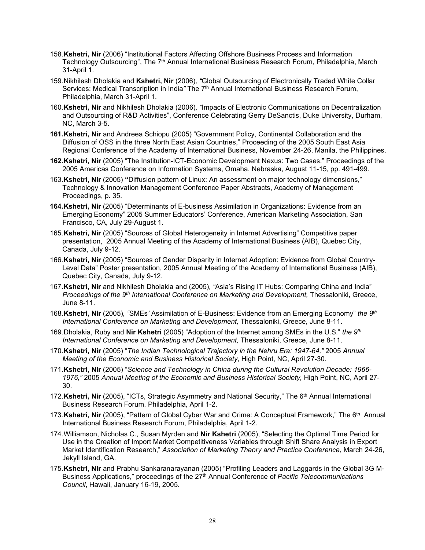- 158.**Kshetri, Nir** (2006) "Institutional Factors Affecting Offshore Business Process and Information Technology Outsourcing", The 7<sup>th</sup> Annual International Business Research Forum, Philadelphia, March 31-April 1.
- 159.Nikhilesh Dholakia and **Kshetri, Nir** (2006)*, "*Global Outsourcing of Electronically Traded White Collar Services: Medical Transcription in India<sup>n</sup> The 7<sup>th</sup> Annual International Business Research Forum, Philadelphia, March 31-April 1.
- 160.**Kshetri, Nir** and Nikhilesh Dholakia (2006)*, "*Impacts of Electronic Communications on Decentralization and Outsourcing of R&D Activities", Conference Celebrating Gerry DeSanctis, Duke University, Durham, NC, March 3-5.
- **161.Kshetri, Nir** and Andreea Schiopu (2005) "Government Policy, Continental Collaboration and the Diffusion of OSS in the three North East Asian Countries," Proceeding of the 2005 South East Asia Regional Conference of the Academy of International Business, November 24-26, Manila, the Philippines.
- **162.Kshetri, Nir** (2005) "The Institution-ICT-Economic Development Nexus: Two Cases," Proceedings of the 2005 Americas Conference on Information Systems, Omaha, Nebraska, August 11-15, pp. 491-499.
- 163.**Kshetri, Nir** (2005) **"**Diffusion pattern of Linux: An assessment on major technology dimensions," Technology & Innovation Management Conference Paper Abstracts, Academy of Management Proceedings, p. 35.
- **164.Kshetri, Nir** (2005) "Determinants of E-business Assimilation in Organizations: Evidence from an Emerging Economy" 2005 Summer Educators' Conference, American Marketing Association, San Francisco, CA, July 29-August 1.
- 165.**Kshetri, Nir** (2005) "Sources of Global Heterogeneity in Internet Advertising" Competitive paper presentation, 2005 Annual Meeting of the Academy of International Business (AIB), Quebec City, Canada, July 9-12.
- 166.**Kshetri, Nir** (2005) "Sources of Gender Disparity in Internet Adoption: Evidence from Global Country-Level Data" Poster presentation, 2005 Annual Meeting of the Academy of International Business (AIB), Quebec City, Canada, July 9-12.
- 167.**Kshetri, Nir** and Nikhilesh Dholakia and (2005)*, "*Asia's Rising IT Hubs: Comparing China and India" *Proceedings of the 9th International Conference on Marketing and Development,* Thessaloniki, Greece, June 8-11.
- 168.**Kshetri, Nir** (2005)*, "*SMEs*'* Assimilation of E-Business: Evidence from an Emerging Economy" *the 9th International Conference on Marketing and Development,* Thessaloniki, Greece, June 8-11.
- 169.Dholakia, Ruby and **Nir Kshetri** (2005) "Adoption of the Internet among SMEs in the U.S." *the 9th International Conference on Marketing and Development,* Thessaloniki, Greece, June 8-11.
- 170.**Kshetri, Nir** (2005) "*The Indian Technological Trajectory in the Nehru Era: 1947-64,"* 2005 *Annual Meeting of the Economic and Business Historical Society*, High Point, NC, April 27-30.
- 171.**Kshetri, Nir** (2005) "*Science and Technology in China during the Cultural Revolution Decade: 1966- 1976,"* 2005 *Annual Meeting of the Economic and Business Historical Society,* High Point, NC, April 27- 30.
- 172. Kshetri, Nir (2005), "ICTs, Strategic Asymmetry and National Security," The 6<sup>th</sup> Annual International Business Research Forum, Philadelphia, April 1-2.
- 173.**Kshetri, Nir** (2005), "Pattern of Global Cyber War and Crime: A Conceptual Framework," The 6th Annual International Business Research Forum, Philadelphia, April 1-2.
- 174.Williamson, Nicholas C., Susan Myrden and **Nir Kshetri** (2005), "Selecting the Optimal Time Period for Use in the Creation of Import Market Competitiveness Variables through Shift Share Analysis in Export Market Identification Research," *Association of Marketing Theory and Practice Conference,* March 24-26, Jekyll Island, GA.
- 175.**Kshetri, Nir** and Prabhu Sankaranarayanan (2005) "Profiling Leaders and Laggards in the Global 3G M-Business Applications," proceedings of the 27th Annual Conference of *Pacific Telecommunications Council*, Hawaii, January 16-19, 2005.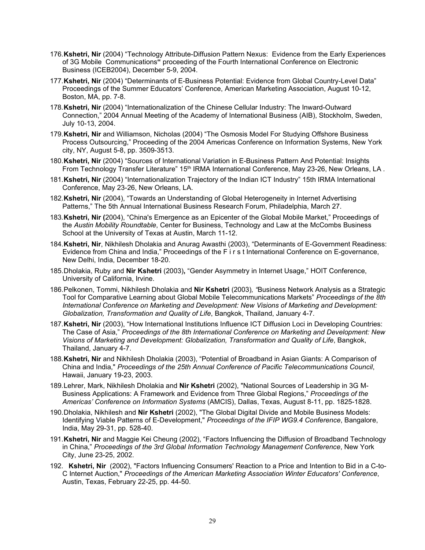- 176.**Kshetri, Nir** (2004) "Technology Attribute-Diffusion Pattern Nexus: Evidence from the Early Experiences of 3G Mobile Communications**"** proceeding of the Fourth International Conference on Electronic Business (ICEB2004), December 5-9, 2004.
- 177.**Kshetri, Nir** (2004) "Determinants of E-Business Potential: Evidence from Global Country-Level Data" Proceedings of the Summer Educators' Conference, American Marketing Association, August 10-12, Boston, MA, pp. 7-8.
- 178.**Kshetri, Nir** (2004) "Internationalization of the Chinese Cellular Industry: The Inward-Outward Connection," 2004 Annual Meeting of the Academy of International Business (AIB), Stockholm, Sweden, July 10-13, 2004.
- 179.**Kshetri, Nir** and Williamson, Nicholas (2004) "The Osmosis Model For Studying Offshore Business Process Outsourcing," Proceeding of the 2004 Americas Conference on Information Systems, New York city, NY, August 5-8, pp. 3509-3513.
- 180.**Kshetri, Nir** (2004) "Sources of International Variation in E-Business Pattern And Potential: Insights From Technology Transfer Literature" 15<sup>th</sup> IRMA International Conference, May 23-26, New Orleans, LA.
- 181.**Kshetri, Nir** (2004) "Internationalization Trajectory of the Indian ICT Industry" 15th IRMA International Conference, May 23-26, New Orleans, LA.
- 182.**Kshetri, Nir** (2004), "Towards an Understanding of Global Heterogeneity in Internet Advertising Patterns," The 5th Annual International Business Research Forum, Philadelphia, March 27.
- 183.**Kshetri, Nir (**2004), "China's Emergence as an Epicenter of the Global Mobile Market," Proceedings of the *Austin Mobility Roundtable*, Center for Business, Technology and Law at the McCombs Business School at the University of Texas at Austin, March 11-12.
- 184.**Kshetri, Nir**, Nikhilesh Dholakia and Anurag Awasthi (2003), "Determinants of E-Government Readiness: Evidence from China and India," Proceedings of the F i r s t International Conference on E-governance, New Delhi, India, December 18-20.
- 185.Dholakia, Ruby and **Nir Kshetri** (2003)**,** "Gender Asymmetry in Internet Usage," HOIT Conference, University of California, Irvine.
- 186.Pelkonen, Tommi, Nikhilesh Dholakia and **Nir Kshetri** (2003)*, "*Business Network Analysis as a Strategic Tool for Comparative Learning about Global Mobile Telecommunications Markets" *Proceedings of the 8th International Conference on Marketing and Development: New Visions of Marketing and Development: Globalization, Transformation and Quality of Life*, Bangkok, Thailand, January 4-7.
- 187.**Kshetri, Nir** (2003), "How International Institutions Influence ICT Diffusion Loci in Developing Countries: The Case of Asia," *Proceedings of the 8th International Conference on Marketing and Development: New Visions of Marketing and Development: Globalization, Transformation and Quality of Life*, Bangkok, Thailand, January 4-7.
- 188.**Kshetri, Nir** and Nikhilesh Dholakia (2003), "Potential of Broadband in Asian Giants: A Comparison of China and India," *Proceedings of the 25th Annual Conference of Pacific Telecommunications Council*, Hawaii, January 19-23, 2003.
- 189.Lehrer, Mark, Nikhilesh Dholakia and **Nir Kshetri** (2002), "National Sources of Leadership in 3G M-Business Applications: A Framework and Evidence from Three Global Regions," *Proceedings of the Americas' Conference on Information Systems* (AMCIS), Dallas, Texas, August 8-11, pp. 1825-1828.
- 190.Dholakia, Nikhilesh and **Nir Kshetri** (2002), "The Global Digital Divide and Mobile Business Models: Identifying Viable Patterns of E-Development," *Proceedings of the IFIP WG9.4 Conference*, Bangalore, India, May 29-31, pp. 528-40.
- 191.**Kshetri, Nir** and Maggie Kei Cheung (2002), "Factors Influencing the Diffusion of Broadband Technology in China," *Proceedings of the 3rd Global Information Technology Management Conference*, New York City, June 23-25, 2002.
- 192. **Kshetri, Nir** (2002), "Factors Influencing Consumers' Reaction to a Price and Intention to Bid in a C-to-C Internet Auction," *Proceedings of the American Marketing Association Winter Educators' Conference*, Austin, Texas, February 22-25, pp. 44-50.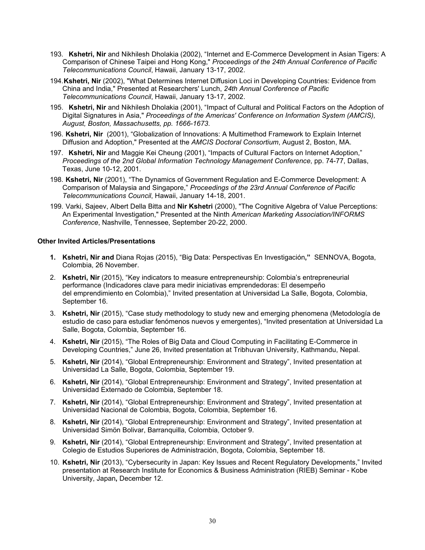- 193. **Kshetri, Nir** and Nikhilesh Dholakia (2002), "Internet and E-Commerce Development in Asian Tigers: A Comparison of Chinese Taipei and Hong Kong," *Proceedings of the 24th Annual Conference of Pacific Telecommunications Council*, Hawaii, January 13-17, 2002.
- 194.**Kshetri, Nir** (2002), "What Determines Internet Diffusion Loci in Developing Countries: Evidence from China and India," Presented at Researchers' Lunch, *24th Annual Conference of Pacific Telecommunications Council*, Hawaii, January 13-17, 2002.
- 195. **Kshetri, Nir** and Nikhilesh Dholakia (2001), "Impact of Cultural and Political Factors on the Adoption of Digital Signatures in Asia," *Proceedings of the Americas' Conference on Information System (AMCIS), August, Boston, Massachusetts, pp. 1666-1673*.
- 196. **Kshetri, Nir** (2001), "Globalization of Innovations: A Multimethod Framework to Explain Internet Diffusion and Adoption," Presented at the *AMCIS Doctoral Consortium*, August 2, Boston, MA.
- 197. **Kshetri, Nir** and Maggie Kei Cheung (2001), "Impacts of Cultural Factors on Internet Adoption," *Proceedings of the 2nd Global Information Technology Management Conference*, pp. 74-77, Dallas, Texas, June 10-12, 2001.
- 198. **Kshetri, Nir** (2001), "The Dynamics of Government Regulation and E-Commerce Development: A Comparison of Malaysia and Singapore," *Proceedings of the 23rd Annual Conference of Pacific Telecommunications Council*, Hawaii, January 14-18, 2001.
- 199. Varki, Sajeev, Albert Della Bitta and **Nir Kshetri** (2000), "The Cognitive Algebra of Value Perceptions: An Experimental Investigation," Presented at the Ninth *American Marketing Association/INFORMS Conference*, Nashville, Tennessee, September 20-22, 2000.

## **Other Invited Articles/Presentations**

- **1. Kshetri, Nir and** Diana Rojas (2015), "Big Data: Perspectivas En Investigación**,"** SENNOVA, Bogota, Colombia, 26 November.
- 2. **Kshetri, Nir** (2015), "Key indicators to measure entrepreneurship: Colombia's entrepreneurial performance (Indicadores clave para medir iniciativas emprendedoras: El desempeño del emprendimiento en Colombia)," Invited presentation at Universidad La Salle, Bogota, Colombia, September 16.
- 3. **Kshetri, Nir** (2015), "Case study methodology to study new and emerging phenomena (Metodología de estudio de caso para estudiar fenómenos nuevos y emergentes), "Invited presentation at Universidad La Salle, Bogota, Colombia, September 16.
- 4. **Kshetri, Nir** (2015), "The Roles of Big Data and Cloud Computing in Facilitating E-Commerce in Developing Countries," June 26, Invited presentation at Tribhuvan University, Kathmandu, Nepal.
- 5. **Kshetri, Nir** (2014), "Global Entrepreneurship: Environment and Strategy", Invited presentation at Universidad La Salle, Bogota, Colombia, September 19.
- 6. **Kshetri, Nir** (2014), "Global Entrepreneurship: Environment and Strategy", Invited presentation at Universidad Externado de Colombia, September 18.
- 7. **Kshetri, Nir** (2014), "Global Entrepreneurship: Environment and Strategy", Invited presentation at Universidad Nacional de Colombia, Bogota, Colombia, September 16.
- 8. **Kshetri, Nir** (2014), "Global Entrepreneurship: Environment and Strategy", Invited presentation at Universidad Simön Bolivar, Barranquilla, Colombia, October 9.
- 9. **Kshetri, Nir** (2014), "Global Entrepreneurship: Environment and Strategy", Invited presentation at Colegio de Estudios Superiores de Administración, Bogota, Colombia, September 18.
- 10. **Kshetri, Nir** (2013), "Cybersecurity in Japan: Key Issues and Recent Regulatory Developments," Invited presentation at Research Institute for Economics & Business Administration (RIEB) Seminar - Kobe University, Japan**,** December 12.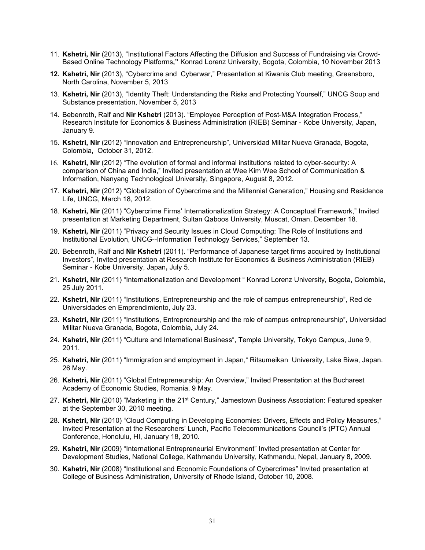- 11. **Kshetri, Nir** (2013), "Institutional Factors Affecting the Diffusion and Success of Fundraising via Crowd-Based Online Technology Platforms**,"** Konrad Lorenz University, Bogota, Colombia, 10 November 2013
- **12. Kshetri, Nir** (2013), "Cybercrime and Cyberwar," Presentation at Kiwanis Club meeting, Greensboro, North Carolina, November 5, 2013
- 13. **Kshetri, Nir** (2013), "Identity Theft: Understanding the Risks and Protecting Yourself," UNCG Soup and Substance presentation, November 5, 2013
- 14. Bebenroth, Ralf and **Nir Kshetri** (2013). "Employee Perception of Post‐M&A Integration Process," Research Institute for Economics & Business Administration (RIEB) Seminar - Kobe University, Japan**,** January 9.
- 15. **Kshetri, Nir** (2012) "Innovation and Entrepreneurship", Universidad Militar Nueva Granada, Bogota, Colombia**,** October 31, 2012.
- 16. **Kshetri, Nir** (2012) "The evolution of formal and informal institutions related to cyber-security: A comparison of China and India," Invited presentation at Wee Kim Wee School of Communication & Information, Nanyang Technological University, Singapore, August 8, 2012.
- 17. **Kshetri, Nir** (2012) "Globalization of Cybercrime and the Millennial Generation," Housing and Residence Life, UNCG, March 18, 2012.
- 18. **Kshetri, Nir** (2011) "Cybercrime Firms' Internationalization Strategy: A Conceptual Framework," Invited presentation at Marketing Department, Sultan Qaboos University, Muscat, Oman, December 18.
- 19. **Kshetri, Nir** (2011) "Privacy and Security Issues in Cloud Computing: The Role of Institutions and Institutional Evolution, UNCG--Information Technology Services," September 13.
- 20. Bebenroth, Ralf and **Nir Kshetri** (2011). "Performance of Japanese target firms acquired by Institutional Investors", Invited presentation at Research Institute for Economics & Business Administration (RIEB) Seminar - Kobe University, Japan**,** July 5.
- 21. **Kshetri, Nir** (2011) "Internationalization and Development " Konrad Lorenz University, Bogota, Colombia, 25 July 2011.
- 22. **Kshetri, Nir** (2011) "Institutions, Entrepreneurship and the role of campus entrepreneurship", Red de Universidades en Emprendimiento, July 23.
- 23. **Kshetri, Nir** (2011) "Institutions, Entrepreneurship and the role of campus entrepreneurship", Universidad Militar Nueva Granada, Bogota, Colombia**,** July 24.
- 24. **Kshetri, Nir** (2011) "Culture and International Business", Temple University, Tokyo Campus, June 9, 2011.
- 25. **Kshetri, Nir** (2011) "Immigration and employment in Japan," Ritsumeikan University, Lake Biwa, Japan. 26 May.
- 26. **Kshetri, Nir** (2011) "Global Entrepreneurship: An Overview," Invited Presentation at the Bucharest Academy of Economic Studies, Romania, 9 May.
- 27. **Kshetri, Nir** (2010) "Marketing in the 21st Century," Jamestown Business Association: Featured speaker at the September 30, 2010 meeting.
- 28. **Kshetri, Nir** (2010) "Cloud Computing in Developing Economies: Drivers, Effects and Policy Measures," Invited Presentation at the Researchers' Lunch, Pacific Telecommunications Council's (PTC) Annual Conference, Honolulu, HI, January 18, 2010*.*
- 29. **Kshetri, Nir** (2009) "International Entrepreneurial Environment" Invited presentation at Center for Development Studies, National College, Kathmandu University, Kathmandu, Nepal, January 8, 2009.
- 30. **Kshetri, Nir** (2008) "Institutional and Economic Foundations of Cybercrimes" Invited presentation at College of Business Administration, University of Rhode Island, October 10, 2008.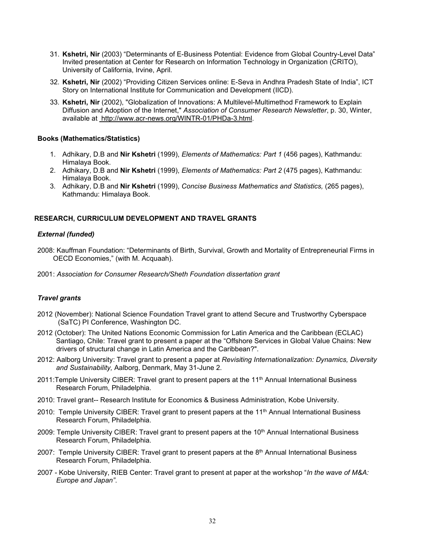- 31. **Kshetri, Nir** (2003) "Determinants of E-Business Potential: Evidence from Global Country-Level Data" Invited presentation at Center for Research on Information Technology in Organization (CRITO), University of California, Irvine, April.
- 32. **Kshetri, Nir** (2002) "Providing Citizen Services online: E-Seva in Andhra Pradesh State of India", ICT Story on International Institute for Communication and Development (IICD).
- 33. **Kshetri, Nir** (2002), "Globalization of Innovations: A Multilevel-Multimethod Framework to Explain Diffusion and Adoption of the Internet," *Association of Consumer Research Newsletter*, p. 30, Winter, available at [http://www.acr-news.org/WINTR-01/PHDa-3.html.](http://www.acr-news.org/PHDa-3.html)

## **Books (Mathematics/Statistics)**

- 1. Adhikary, D.B and **Nir Kshetri** (1999), *Elements of Mathematics: Part 1* (456 pages), Kathmandu: Himalaya Book.
- 2. Adhikary, D.B and **Nir Kshetri** (1999), *Elements of Mathematics: Part 2* (475 pages), Kathmandu: Himalaya Book.
- 3. Adhikary, D.B and **Nir Kshetri** (1999), *Concise Business Mathematics and Statistics,* (265 pages), Kathmandu: Himalaya Book.

## **RESEARCH, CURRICULUM DEVELOPMENT AND TRAVEL GRANTS**

## *External (funded)*

- 2008: Kauffman Foundation: "Determinants of Birth, Survival, Growth and Mortality of Entrepreneurial Firms in OECD Economies," (with M. Acquaah).
- 2001: *Association for Consumer Research/Sheth Foundation dissertation grant*

## *Travel grants*

- 2012 (November): National Science Foundation Travel grant to attend Secure and Trustworthy Cyberspace (SaTC) PI Conference, Washington DC.
- 2012 (October): The United Nations Economic Commission for Latin America and the Caribbean (ECLAC) Santiago, Chile: Travel grant to present a paper at the "Offshore Services in Global Value Chains: New drivers of structural change in Latin America and the Caribbean?".
- 2012: Aalborg University: Travel grant to present a paper at *Revisiting Internationalization: Dynamics, Diversity and Sustainability,* Aalborg, Denmark, May 31-June 2.
- 2011: Temple University CIBER: Travel grant to present papers at the 11<sup>th</sup> Annual International Business Research Forum, Philadelphia.
- 2010: Travel grant-- Research Institute for Economics & Business Administration, Kobe University.
- 2010: Temple University CIBER: Travel grant to present papers at the 11<sup>th</sup> Annual International Business Research Forum, Philadelphia.
- 2009: Temple University CIBER: Travel grant to present papers at the 10<sup>th</sup> Annual International Business Research Forum, Philadelphia.
- 2007: Temple University CIBER: Travel grant to present papers at the 8<sup>th</sup> Annual International Business Research Forum, Philadelphia.
- 2007 Kobe University, RIEB Center: Travel grant to present at paper at the workshop "*In the wave of M&A: Europe and Japan"*.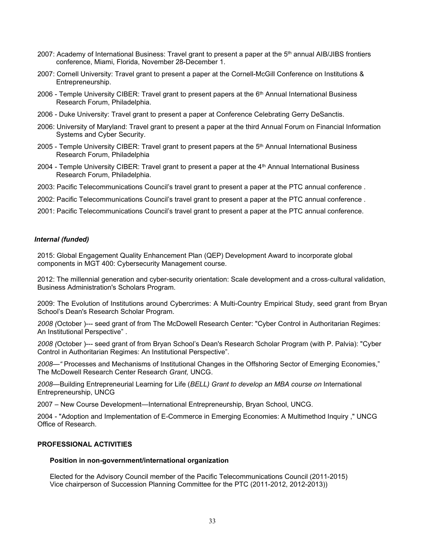- 2007: Academy of International Business: Travel grant to present a paper at the 5th annual AIB/JIBS frontiers conference, Miami, Florida, November 28-December 1.
- 2007: Cornell University: Travel grant to present a paper at the Cornell-McGill Conference on Institutions & Entrepreneurship.
- 2006 Temple University CIBER: Travel grant to present papers at the 6<sup>th</sup> Annual International Business Research Forum, Philadelphia.
- 2006 Duke University: Travel grant to present a paper at Conference Celebrating Gerry DeSanctis.
- 2006: University of Maryland: Travel grant to present a paper at the third Annual Forum on Financial Information Systems and Cyber Security.
- 2005 Temple University CIBER: Travel grant to present papers at the 5<sup>th</sup> Annual International Business Research Forum, Philadelphia
- 2004 Temple University CIBER: Travel grant to present a paper at the 4<sup>th</sup> Annual International Business Research Forum, Philadelphia.
- 2003: Pacific Telecommunications Council's travel grant to present a paper at the PTC annual conference .
- 2002: Pacific Telecommunications Council's travel grant to present a paper at the PTC annual conference .
- 2001: Pacific Telecommunications Council's travel grant to present a paper at the PTC annual conference.

### *Internal (funded)*

2015: Global Engagement Quality Enhancement Plan (QEP) Development Award to incorporate global components in MGT 400: Cybersecurity Management course.

2012: The millennial generation and cyber-security orientation: Scale development and a cross‐cultural validation, Business Administration's Scholars Program.

2009: The Evolution of Institutions around Cybercrimes: A Multi-Country Empirical Study, seed grant from Bryan School's Dean's Research Scholar Program.

*2008 (*October )--- seed grant of from The McDowell Research Center: "Cyber Control in Authoritarian Regimes: An Institutional Perspective" .

*2008 (*October )--- seed grant of from Bryan School's Dean's Research Scholar Program (with P. Palvia): "Cyber Control in Authoritarian Regimes: An Institutional Perspective".

*2008—"* Processes and Mechanisms of Institutional Changes in the Offshoring Sector of Emerging Economies," The McDowell Research Center Research *Grant,* UNCG.

*2008—*Building Entrepreneurial Learning for Life (*BELL) Grant to develop an MBA course on* International Entrepreneurship, UNCG

2007 – New Course Development—International Entrepreneurship, Bryan School, UNCG.

2004 - "Adoption and Implementation of E-Commerce in Emerging Economies: A Multimethod Inquiry ," UNCG Office of Research.

## **PROFESSIONAL ACTIVITIES**

#### **Position in non-government/international organization**

Elected for the Advisory Council member of the Pacific Telecommunications Council (2011-2015) Vice chairperson of Succession Planning Committee for the PTC (2011-2012, 2012-2013))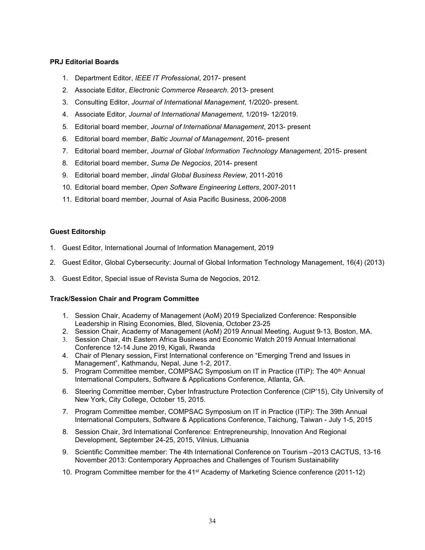## **PRJ Editorial Boards**

- 1. Department Editor, *IEEE IT Professional*, 2017- present
- 2. Associate Editor, *Electronic Commerce Research*. 2013- present
- 3. Consulting Editor, *Journal of International Management*, 1/2020- present.
- 4. Associate Editor, *Journal of International Management*, 1/2019- 12/2019.
- 5. Editorial board member, *Journal of International Management*, 2013- present
- 6. Editorial board member, *Baltic Journal of Management*, 2016- present
- 7. Editorial board member, *Journal of Global Information Technology Management,* 2015- present
- 8. Editorial board member, *Suma De Negocios*, 2014- present
- 9. Editorial board member, *Jindal Global Business Review*, 2011-2016
- 10. Editorial board member, *Open Software Engineering Letters*, 2007-2011
- 11. Editorial board member, Journal of Asia Pacific Business, 2006-2008

## **Guest Editorship**

- 1. Guest Editor, International Journal of Information Management, 2019
- 2. Guest Editor, Global Cybersecurity: Journal of Global Information Technology Management, 16(4) (2013)
- 3. Guest Editor, Special issue of Revista Suma de Negocios, 2012.

## **Track/Session Chair and Program Committee**

- 1. Session Chair, Academy of Management (AoM) 2019 Specialized Conference: Responsible Leadership in Rising Economies, Bled, Slovenia, October 23-25
- 2. Session Chair, Academy of Management (AoM) 2019 Annual Meeting, August 9-13*,* Boston, MA.
- 3. Session Chair, 4th Eastern Africa Business and Economic Watch 2019 Annual International Conference 12-14 June 2019, Kigali, Rwanda
- 4. Chair of Plenary session**,** First International conference on "Emerging Trend and Issues in Management", Kathmandu, Nepal, June 1-2, 2017.
- 5. Program Committee member, COMPSAC Symposium on IT in Practice (ITiP): The 40<sup>th</sup> Annual International Computers, Software & Applications Conference, Atlanta, GA.
- 6. Steering Committee member, Cyber Infrastructure Protection Conference (CIP'15), City University of New York, City College, October 15, 2015.
- 7. Program Committee member, COMPSAC Symposium on IT in Practice (ITiP): The 39th Annual International Computers, Software & Applications Conference, Taichung, Taiwan - July 1-5, 2015
- 8. Session Chair, 3rd International Conference: Entrepreneurship, Innovation And Regional Development, September 24-25, 2015, Vilnius, Lithuania
- 9. Scientific Committee member: The 4th International Conference on Tourism –2013 CACTUS, 13-16 November 2013: Contemporary Approaches and Challenges of Tourism Sustainability
- 10. Program Committee member for the 41st Academy of Marketing Science conference (2011-12)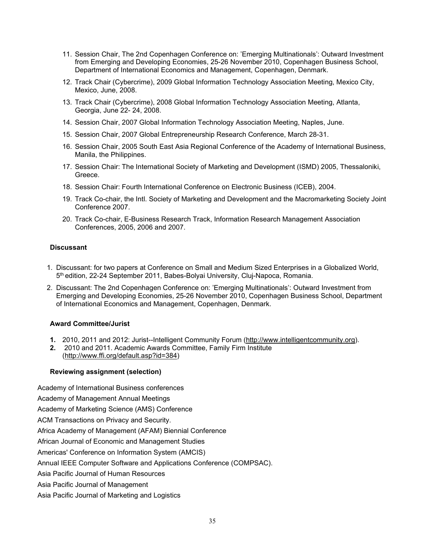- 11. Session Chair, The 2nd Copenhagen Conference on: 'Emerging Multinationals': Outward Investment from Emerging and Developing Economies, 25-26 November 2010, Copenhagen Business School, Department of International Economics and Management, Copenhagen, Denmark.
- 12. Track Chair (Cybercrime), 2009 Global Information Technology Association Meeting, Mexico City, Mexico, June, 2008.
- 13. Track Chair (Cybercrime), 2008 Global Information Technology Association Meeting, Atlanta, Georgia, June 22- 24, 2008.
- 14. Session Chair, 2007 Global Information Technology Association Meeting, Naples, June.
- 15. Session Chair, 2007 Global Entrepreneurship Research Conference, March 28-31.
- 16. Session Chair, 2005 South East Asia Regional Conference of the Academy of International Business, Manila, the Philippines.
- 17. Session Chair: The International Society of Marketing and Development (ISMD) 2005, Thessaloniki, Greece.
- 18. Session Chair: Fourth International Conference on Electronic Business (ICEB), 2004.
- 19. Track Co-chair, the Intl. Society of Marketing and Development and the Macromarketing Society Joint Conference 2007.
- 20. Track Co-chair, E-Business Research Track, Information Research Management Association Conferences, 2005, 2006 and 2007.

## **Discussant**

- 1. Discussant: for two papers at Conference on Small and Medium Sized Enterprises in a Globalized World, 5<sup>th</sup> edition, 22-24 September 2011, Babes-Bolyai University, Cluj-Napoca, Romania.
- 2. Discussant: The 2nd Copenhagen Conference on: 'Emerging Multinationals': Outward Investment from Emerging and Developing Economies, 25-26 November 2010, Copenhagen Business School, Department of International Economics and Management, Copenhagen, Denmark.

# **Award Committee/Jurist**

- **1.** 2010, 2011 and 2012: Jurist--Intelligent Community Forum [\(http://www.intelligentcommunity.org\)](http://www.intelligentcommunity.org/).
- **2.** 2010 and 2011. Academic Awards Committee, Family Firm Institute [\(http://www.ffi.org/default.asp?id=384\)](http://www.ffi.org/default.asp?id=384)

## **Reviewing assignment (selection)**

Academy of International Business conferences Academy of Management Annual Meetings Academy of Marketing Science (AMS) Conference ACM Transactions on Privacy and Security. Africa Academy of Management (AFAM) Biennial Conference African Journal of Economic and Management Studies Americas' Conference on Information System (AMCIS) Annual IEEE Computer Software and Applications Conference (COMPSAC). Asia Pacific Journal of Human Resources Asia Pacific Journal of Management Asia Pacific Journal of Marketing and Logistics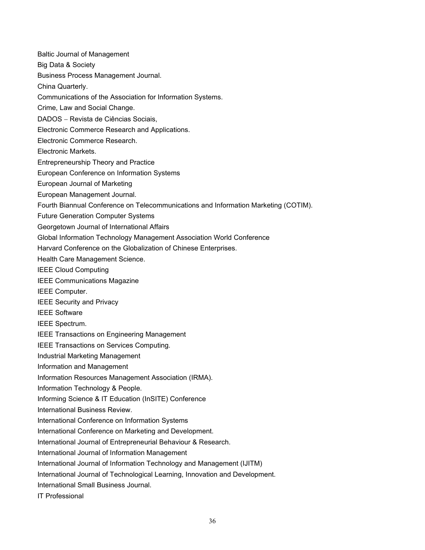- Baltic Journal of Management Big Data & Society
- Business Process Management Journal.
- China Quarterly.
- Communications of the Association for Information Systems.
- Crime, Law and Social Change.
- DADOS − Revista de Ciências Sociais,
- Electronic Commerce Research and Applications.
- Electronic Commerce Research.
- Electronic Markets.
- Entrepreneurship Theory and Practice
- European Conference on Information Systems
- European Journal of Marketing
- European Management Journal.
- Fourth Biannual Conference on Telecommunications and Information Marketing (COTIM).
- Future Generation Computer Systems
- Georgetown Journal of International Affairs
- Global Information Technology Management Association World Conference
- Harvard Conference on the Globalization of Chinese Enterprises.
- Health Care Management Science.
- IEEE Cloud Computing
- IEEE Communications Magazine
- IEEE Computer.
- IEEE Security and Privacy
- IEEE Software
- IEEE Spectrum.
- IEEE Transactions on Engineering Management
- IEEE Transactions on Services Computing.
- Industrial Marketing Management
- Information and Management
- Information Resources Management Association (IRMA).
- Information Technology & People.
- Informing Science & IT Education (InSITE) Conference
- International Business Review.
- International Conference on Information Systems
- International Conference on Marketing and Development.
- International Journal of Entrepreneurial Behaviour & Research.
- International Journal of Information Management
- International Journal of Information Technology and Management (IJITM)
- International Journal of Technological Learning, Innovation and Development.
- International Small Business Journal.
- IT Professional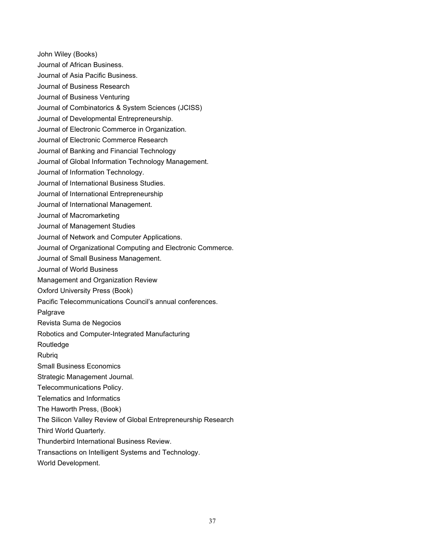John Wiley (Books) Journal of African Business. Journal of Asia Pacific Business. Journal of Business Research Journal of Business Venturing Journal of Combinatorics & System Sciences (JCISS) Journal of Developmental Entrepreneurship. Journal of Electronic Commerce in Organization. Journal of Electronic Commerce Research Journal of Banking and Financial Technology Journal of Global Information Technology Management. Journal of Information Technology. Journal of International Business Studies. Journal of International Entrepreneurship Journal of International Management. Journal of Macromarketing Journal of Management Studies Journal of Network and Computer Applications. Journal of Organizational Computing and Electronic Commerce. Journal of Small Business Management. Journal of World Business Management and Organization Review Oxford University Press (Book) Pacific Telecommunications Council's annual conferences. Palgrave Revista Suma de Negocios Robotics and Computer-Integrated Manufacturing Routledge Rubriq Small Business Economics Strategic Management Journal. Telecommunications Policy. Telematics and Informatics The Haworth Press, (Book) The Silicon Valley Review of Global Entrepreneurship Research Third World Quarterly. Thunderbird International Business Review. Transactions on Intelligent Systems and Technology. World Development.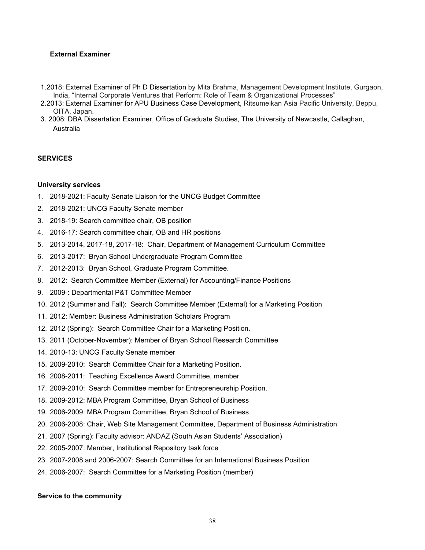## **External Examiner**

- 1.2018: External Examiner of Ph D Dissertation by Mita Brahma, Management Development Institute, Gurgaon, India, "Internal Corporate Ventures that Perform: Role of Team & Organizational Processes"
- 2.2013: External Examiner for APU Business Case Development, Ritsumeikan Asia Pacific University, Beppu, OITA, Japan.
- 3. 2008: DBA Dissertation Examiner, Office of Graduate Studies, The University of Newcastle, Callaghan, Australia

## **SERVICES**

### **University services**

- 1. 2018-2021: Faculty Senate Liaison for the UNCG Budget Committee
- 2. 2018-2021: UNCG Faculty Senate member
- 3. 2018-19: Search committee chair, OB position
- 4. 2016-17: Search committee chair, OB and HR positions
- 5. 2013-2014, 2017-18, 2017-18: Chair, Department of Management Curriculum Committee
- 6. 2013-2017: Bryan School Undergraduate Program Committee
- 7. 2012-2013: Bryan School, Graduate Program Committee.
- 8. 2012: Search Committee Member (External) for Accounting/Finance Positions
- 9. 2009-: Departmental P&T Committee Member
- 10. 2012 (Summer and Fall): Search Committee Member (External) for a Marketing Position
- 11. 2012: Member: Business Administration Scholars Program
- 12. 2012 (Spring): Search Committee Chair for a Marketing Position.
- 13. 2011 (October-November): Member of Bryan School Research Committee
- 14. 2010-13: UNCG Faculty Senate member
- 15. 2009-2010: Search Committee Chair for a Marketing Position.
- 16. 2008-2011: Teaching Excellence Award Committee, member
- 17. 2009-2010: Search Committee member for Entrepreneurship Position.
- 18. 2009-2012: MBA Program Committee, Bryan School of Business
- 19. 2006-2009: MBA Program Committee, Bryan School of Business
- 20. 2006-2008: Chair, Web Site Management Committee, Department of Business Administration
- 21. 2007 (Spring): Faculty advisor: ANDAZ (South Asian Students' Association)
- 22. 2005-2007: Member, Institutional Repository task force
- 23. 2007-2008 and 2006-2007: Search Committee for an International Business Position
- 24. 2006-2007: Search Committee for a Marketing Position (member)

## **Service to the community**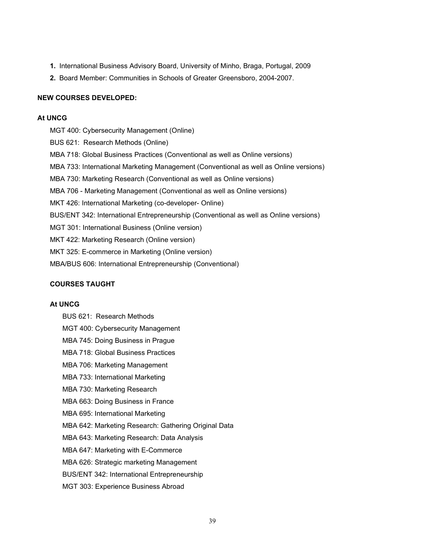- **1.** International Business Advisory Board, University of Minho, Braga, Portugal, 2009
- **2.** Board Member: Communities in Schools of Greater Greensboro, 2004-2007.

### **NEW COURSES DEVELOPED:**

## **At UNCG**

MGT 400: Cybersecurity Management (Online) BUS 621: Research Methods (Online) MBA 718: Global Business Practices (Conventional as well as Online versions) MBA 733: International Marketing Management (Conventional as well as Online versions) MBA 730: Marketing Research (Conventional as well as Online versions) MBA 706 - Marketing Management (Conventional as well as Online versions) MKT 426: International Marketing (co-developer- Online) BUS/ENT 342: International Entrepreneurship (Conventional as well as Online versions) MGT 301: International Business (Online version) MKT 422: Marketing Research (Online version) MKT 325: E-commerce in Marketing (Online version) MBA/BUS 606: International Entrepreneurship (Conventional)

#### **COURSES TAUGHT**

#### **At UNCG**

- BUS 621: Research Methods
- MGT 400: Cybersecurity Management
- MBA 745: Doing Business in Prague
- MBA 718: Global Business Practices
- MBA 706: Marketing Management
- MBA 733: International Marketing
- MBA 730: Marketing Research
- MBA 663: Doing Business in France
- MBA 695: International Marketing
- MBA 642: Marketing Research: Gathering Original Data
- MBA 643: Marketing Research: Data Analysis
- MBA 647: Marketing with E-Commerce
- MBA 626: Strategic marketing Management
- BUS/ENT 342: International Entrepreneurship
- MGT 303: Experience Business Abroad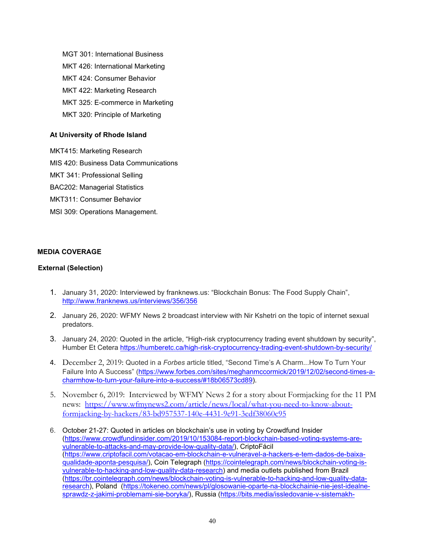- MGT 301: International Business
- MKT 426: International Marketing
- MKT 424: Consumer Behavior
- MKT 422: Marketing Research
- MKT 325: E-commerce in Marketing
- MKT 320: Principle of Marketing

# **At University of Rhode Island**

MKT415: Marketing Research

- MIS 420: Business Data Communications
- MKT 341: Professional Selling
- BAC202: Managerial Statistics
- MKT311: Consumer Behavior
- MSI 309: Operations Management.

## **MEDIA COVERAGE**

## **External (Selection)**

- 1. January 31, 2020: Interviewed by franknews.us: "Blockchain Bonus: The Food Supply Chain", <http://www.franknews.us/interviews/356/356>
- 2. January 26, 2020: WFMY News 2 broadcast interview with Nir Kshetri on the topic of internet sexual predators.
- 3. January 24, 2020: Quoted in the article, "High-risk cryptocurrency trading event shutdown by security", Humber Et Cetera <https://humberetc.ca/high-risk-cryptocurrency-trading-event-shutdown-by-security/>
- 4. December 2, 2019: Quoted in a *Forbes* article titled, "Second Time's A Charm...How To Turn Your Failure Into A Success" [\(https://www.forbes.com/sites/meghanmccormick/2019/12/02/second-times-a](https://www.forbes.com/sites/meghanmccormick/2019/12/02/second-times-a-charmhow-to-turn-your-failure-into-a-success/#18b06573cd89)[charmhow-to-turn-your-failure-into-a-success/#18b06573cd89\)](https://www.forbes.com/sites/meghanmccormick/2019/12/02/second-times-a-charmhow-to-turn-your-failure-into-a-success/#18b06573cd89).
- 5. November 6, 2019: Interviewed by WFMY News 2 for a story about Formjacking for the 11 PM news: [https://www.wfmynews2.com/article/news/local/what-you-need-to-know-about](https://www.wfmynews2.com/article/news/local/what-you-need-to-know-about-formjacking-by-hackers/83-bd957537-140e-4431-9e91-3cdf38060c95)[formjacking-by-hackers/83-bd957537-140e-4431-9e91-3cdf38060c95](https://www.wfmynews2.com/article/news/local/what-you-need-to-know-about-formjacking-by-hackers/83-bd957537-140e-4431-9e91-3cdf38060c95)
- 6. October 21-27: Quoted in articles on blockchain's use in voting by Crowdfund Insider [\(https://www.crowdfundinsider.com/2019/10/153084-report-blockchain-based-voting-systems-are](https://www.crowdfundinsider.com/2019/10/153084-report-blockchain-based-voting-systems-are-vulnerable-to-attacks-and-may-provide-low-quality-data/)[vulnerable-to-attacks-and-may-provide-low-quality-data/\)](https://www.crowdfundinsider.com/2019/10/153084-report-blockchain-based-voting-systems-are-vulnerable-to-attacks-and-may-provide-low-quality-data/), CriptoFácil [\(https://www.criptofacil.com/votacao-em-blockchain-e-vulneravel-a-hackers-e-tem-dados-de-baixa](https://www.criptofacil.com/votacao-em-blockchain-e-vulneravel-a-hackers-e-tem-dados-de-baixa-qualidade-aponta-pesquisa/)[qualidade-aponta-pesquisa/\)](https://www.criptofacil.com/votacao-em-blockchain-e-vulneravel-a-hackers-e-tem-dados-de-baixa-qualidade-aponta-pesquisa/), Coin Telegraph [\(https://cointelegraph.com/news/blockchain-voting-is](https://cointelegraph.com/news/blockchain-voting-is-vulnerable-to-hacking-and-low-quality-data-research)[vulnerable-to-hacking-and-low-quality-data-research\)](https://cointelegraph.com/news/blockchain-voting-is-vulnerable-to-hacking-and-low-quality-data-research) and media outlets published from Brazil [\(https://br.cointelegraph.com/news/blockchain-voting-is-vulnerable-to-hacking-and-low-quality-data](https://br.cointelegraph.com/news/blockchain-voting-is-vulnerable-to-hacking-and-low-quality-data-research)[research\)](https://br.cointelegraph.com/news/blockchain-voting-is-vulnerable-to-hacking-and-low-quality-data-research), Poland [\(https://tokeneo.com/news/pl/glosowanie-oparte-na-blockchainie-nie-jest-idealne](https://tokeneo.com/news/pl/glosowanie-oparte-na-blockchainie-nie-jest-idealne-sprawdz-z-jakimi-problemami-sie-boryka/)[sprawdz-z-jakimi-problemami-sie-boryka/\)](https://tokeneo.com/news/pl/glosowanie-oparte-na-blockchainie-nie-jest-idealne-sprawdz-z-jakimi-problemami-sie-boryka/), Russia [\(https://bits.media/issledovanie-v-sistemakh-](https://bits.media/issledovanie-v-sistemakh-golosovaniya-na-blokcheyne-vyyavlen-ryad-uyazvimostey/)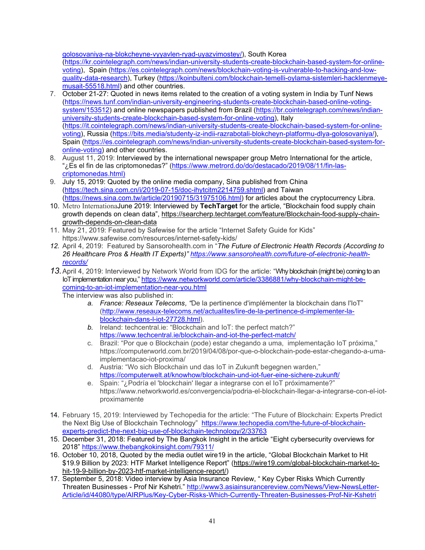[golosovaniya-na-blokcheyne-vyyavlen-ryad-uyazvimostey/\)](https://bits.media/issledovanie-v-sistemakh-golosovaniya-na-blokcheyne-vyyavlen-ryad-uyazvimostey/), South Korea

[\(https://kr.cointelegraph.com/news/indian-university-students-create-blockchain-based-system-for-online](https://kr.cointelegraph.com/news/indian-university-students-create-blockchain-based-system-for-online-voting)[voting\)](https://kr.cointelegraph.com/news/indian-university-students-create-blockchain-based-system-for-online-voting), Spain [\(https://es.cointelegraph.com/news/blockchain-voting-is-vulnerable-to-hacking-and-low](https://es.cointelegraph.com/news/blockchain-voting-is-vulnerable-to-hacking-and-low-quality-data-research)[quality-data-research\)](https://es.cointelegraph.com/news/blockchain-voting-is-vulnerable-to-hacking-and-low-quality-data-research), Turkey [\(https://koinbulteni.com/blockchain-temelli-oylama-sistemleri-hacklenmeye](https://koinbulteni.com/blockchain-temelli-oylama-sistemleri-hacklenmeye-musait-55518.html)[musait-55518.html\)](https://koinbulteni.com/blockchain-temelli-oylama-sistemleri-hacklenmeye-musait-55518.html) and other countries.

- 7. October 21-27: Quoted in news items related to the creation of a voting system in India by Tunf News [\(https://news.tunf.com/indian-university-engineering-students-create-blockchain-based-online-voting](https://news.tunf.com/indian-university-engineering-students-create-blockchain-based-online-voting-system/153512)[system/153512\)](https://news.tunf.com/indian-university-engineering-students-create-blockchain-based-online-voting-system/153512) and online newspapers published from Brazil [\(https://br.cointelegraph.com/news/indian](https://br.cointelegraph.com/news/indian-university-students-create-blockchain-based-system-for-online-voting)[university-students-create-blockchain-based-system-for-online-voting\)](https://br.cointelegraph.com/news/indian-university-students-create-blockchain-based-system-for-online-voting), Italy [\(https://it.cointelegraph.com/news/indian-university-students-create-blockchain-based-system-for-online](https://it.cointelegraph.com/news/indian-university-students-create-blockchain-based-system-for-online-voting)[voting\)](https://it.cointelegraph.com/news/indian-university-students-create-blockchain-based-system-for-online-voting), Russia [\(https://bits.media/studenty-iz-indii-razrabotali-blokcheyn-platformu-dlya-golosovaniya/\)](https://bits.media/studenty-iz-indii-razrabotali-blokcheyn-platformu-dlya-golosovaniya/), Spain [\(https://es.cointelegraph.com/news/indian-university-students-create-blockchain-based-system-for](https://es.cointelegraph.com/news/indian-university-students-create-blockchain-based-system-for-online-voting)[online-voting\)](https://es.cointelegraph.com/news/indian-university-students-create-blockchain-based-system-for-online-voting) and other countries.
- 8. August 11, 2019: Interviewed by the international newspaper group Metro International for the article, "¿Es el fin de las criptomonedas?" [\(https://www.metrord.do/do/destacado/2019/08/11/fin-las](https://www.metrord.do/do/destacado/2019/08/11/fin-las-criptomonedas.html)/)[criptomonedas.html\)](https://www.metrord.do/do/destacado/2019/08/11/fin-las-criptomonedas.html)/)
- 9. July 15, 2019: Quoted by the online media company, Sina published from China [\(https://tech.sina.com.cn/i/2019-07-15/doc-ihytcitm2214759.shtml\)](https://tech.sina.com.cn/i/2019-07-15/doc-ihytcitm2214759.shtml) and Taiwan [\(https://news.sina.com.tw/article/20190715/31975106.html\)](https://news.sina.com.tw/article/20190715/31975106.html) for articles about the cryptocurrency Libra.
- 10. Metro InternationaJune 2019: Interviewed by **TechTarget** for the article, "Blockchain food supply chain growth depends on clean data", [https://searcherp.techtarget.com/feature/Blockchain-food-supply-chain](https://searcherp.techtarget.com/feature/Blockchain-food-supply-chain-growth-depends-on-clean-data)[growth-depends-on-clean-data](https://searcherp.techtarget.com/feature/Blockchain-food-supply-chain-growth-depends-on-clean-data)
- 11. May 21, 2019: Featured by Safewise for the article "Internet Safety Guide for Kids" <https://www.safewise.com/resources/internet-safety-kids/>
- *12.* April 4, 2019: Featured by Sansorohealth.com in "*The Future of Electronic Health Records (According to 26 Healthcare Pros & Health IT Experts)" [https://www.sansorohealth.com/future-of-electronic-health](https://www.sansorohealth.com/future-of-electronic-health-records/)[records/](https://www.sansorohealth.com/future-of-electronic-health-records/)*
- *13.*April 4, 2019: Interviewed by Network World from IDG for the article: "Why blockchain (might be) coming to an IoT implementation near you," [https://www.networkworld.com/article/3386881/why-blockchain-might-be](https://www.networkworld.com/article/3386881/why-blockchain-might-be-coming-to-an-iot-implementation-near-you.html)[coming-to-an-iot-implementation-near-you.html](https://www.networkworld.com/article/3386881/why-blockchain-might-be-coming-to-an-iot-implementation-near-you.html) The interview was also published in:
	- - *a. France: Reseaux Telecoms, "*De la pertinence d'implémenter la blockchain dans l'IoT" [\(http://www.reseaux-telecoms.net/actualites/lire-de-la-pertinence-d-implementer-la](http://www.reseaux-telecoms.net/actualites/lire-de-la-pertinence-d-implementer-la-blockchain-dans-l-iot-27728.html)[blockchain-dans-l-iot-27728.html\)](http://www.reseaux-telecoms.net/actualites/lire-de-la-pertinence-d-implementer-la-blockchain-dans-l-iot-27728.html).
		- *b.* Ireland: techcentral.ie: "Blockchain and IoT: the perfect match?" <https://www.techcentral.ie/blockchain-and-iot-the-perfect-match/>
		- c. Brazil: "Por que o Blockchain (pode) estar chegando a uma, implementação IoT próxima," [https://computerworld.com.br/2019/04/08/por-que-o-blockchain-pode-estar-chegando-a-uma](https://computerworld.com.br/2019/04/08/por-que-o-blockchain-pode-estar-chegando-a-uma-implementacao-iot-proxima/)[implementacao-iot-proxima/](https://computerworld.com.br/2019/04/08/por-que-o-blockchain-pode-estar-chegando-a-uma-implementacao-iot-proxima/)
		- d. Austria: "Wo sich Blockchain und das IoT in Zukunft begegnen warden," <https://computerwelt.at/knowhow/blockchain-und-iot-fuer-eine-sichere-zukunft/>
		- e. Spain: "¿Podría el 'blockchain' llegar a integrarse con el IoT próximamente?" https://www.networkworld.es/convergencia/podria-el-blockchain-llegar-a-integrarse-con-el-iotproximamente
- 14. February 15, 2019: Interviewed by Techopedia for the article: "The Future of Blockchain: Experts Predict the Next Big Use of Blockchain Technology" [https://www.techopedia.com/the-future-of-blockchain](https://www.techopedia.com/the-future-of-blockchain-experts-predict-the-next-big-use-of-blockchain-technology/2/33763)[experts-predict-the-next-big-use-of-blockchain-technology/2/33763](https://www.techopedia.com/the-future-of-blockchain-experts-predict-the-next-big-use-of-blockchain-technology/2/33763)
- 15. December 31, 2018: Featured by The Bangkok Insight in the article "Eight cybersecurity overviews for 2018"<https://www.thebangkokinsight.com/79311/>
- 16. October 10, 2018, Quoted by the media outlet wire19 in the article, "Global Blockchain Market to Hit \$19.9 Billion by 2023: HTF Market Intelligence Report" [\(https://wire19.com/global-blockchain-market-to](https://wire19.com/global-blockchain-market-to-hit-19-9-billion-by-2023-htf-market-intelligence-report/)[hit-19-9-billion-by-2023-htf-market-intelligence-report/\)](https://wire19.com/global-blockchain-market-to-hit-19-9-billion-by-2023-htf-market-intelligence-report/)
- 17. September 5, 2018: Video interview by Asia Insurance Review, " Key Cyber Risks Which Currently Threaten Businesses - Prof Nir Kshetri." [http://www3.asiainsurancereview.com/News/View-NewsLetter-](http://www3.asiainsurancereview.com/News/View-NewsLetter-Article/id/44080/type/AIRPlus/Key-Cyber-Risks-Which-Currently-Threaten-Businesses-Prof-Nir-Kshetri)[Article/id/44080/type/AIRPlus/Key-Cyber-Risks-Which-Currently-Threaten-Businesses-Prof-Nir-Kshetri](http://www3.asiainsurancereview.com/News/View-NewsLetter-Article/id/44080/type/AIRPlus/Key-Cyber-Risks-Which-Currently-Threaten-Businesses-Prof-Nir-Kshetri)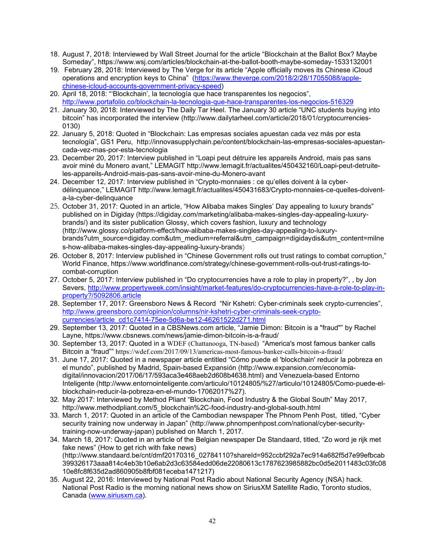- 18. August 7, 2018: Interviewed by Wall Street Journal for the article "Blockchain at the Ballot Box? Maybe Someday", https://www.wsj.com/articles/blockchain-at-the-ballot-booth-maybe-someday-1533132001
- 19. February 28, 2018: Interviewed by The Verge for its article "Apple officially moves its Chinese iCloud operations and encryption keys to China" [\(https://www.theverge.com/2018/2/28/17055088/apple](https://www.theverge.com/2018/2/28/17055088/apple-chinese-icloud-accounts-government-privacy-speed)[chinese-icloud-accounts-government-privacy-speed\)](https://www.theverge.com/2018/2/28/17055088/apple-chinese-icloud-accounts-government-privacy-speed)
- 20. April 18, 2018: "'Blockchain', la tecnología que hace transparentes los negocios", <http://www.portafolio.co/blockchain-la-tecnologia-que-hace-transparentes-los-negocios-516329>
- 21. January 30, 2018: Interviewed by The Daily Tar Heel. The January 30 article "UNC students buying into bitcoin" has incorporated the interview [\(http://www.dailytarheel.com/article/2018/01/cryptocurrencies-](http://www.dailytarheel.com/article/2018/01/cryptocurrencies-0130)[0130\)](http://www.dailytarheel.com/article/2018/01/cryptocurrencies-0130)
- 22. January 5, 2018: Quoted in "Blockchain: Las empresas sociales apuestan cada vez más por esta tecnología", GS1 Peru, http://innovasupplychain.pe/content/blockchain-las-empresas-sociales-apuestancada-vez-mas-por-esta-tecnologia
- 23. December 20, 2017: Interview published in "Loapi peut détruire les appareils Android, mais pas sans avoir miné du Monero avant," LEMAGIT http://www.lemagit.fr/actualites/450432160/Loapi-peut-detruiteles-appareils-Android-mais-pas-sans-avoir-mine-du-Monero-avant
- 24. December 12, 2017: Interview published in "Crypto-monnaies : ce qu'elles doivent à la cyberdélinquance," LEMAGIT http://www.lemagit.fr/actualites/450431683/Crypto-monnaies-ce-quelles-doiventa-la-cyber-delinquance
- 25. October 31, 2017: Quoted in an article, ["How Alibaba makes Singles'](https://digiday.com/marketing/alibaba-makes-singles-day-appealing-luxury-brands/) Day appealing to luxury brands" published on in Digiday [\(https://digiday.com/marketing/alibaba-makes-singles-day-appealing-luxury](https://digiday.com/marketing/alibaba-makes-singles-day-appealing-luxury-brands/)[brands/\)](https://digiday.com/marketing/alibaba-makes-singles-day-appealing-luxury-brands/) and its sister publication Glossy, which covers fashion, luxury and technology [\(http://www.glossy.co/platform-effect/how-alibaba-makes-singles-day-appealing-to-luxury](http://www.glossy.co/platform-effect/how-alibaba-makes-singles-day-appealing-to-luxury-brands?utm_source=digiday.com&utm_medium=referral&utm_campaign=digidaydis&utm_content=milnes-how-alibaba-makes-singles-day-appealing-luxury-brands)[brands?utm\\_source=digiday.com&utm\\_medium=referral&utm\\_campaign=digidaydis&utm\\_content=milne](http://www.glossy.co/platform-effect/how-alibaba-makes-singles-day-appealing-to-luxury-brands?utm_source=digiday.com&utm_medium=referral&utm_campaign=digidaydis&utm_content=milnes-how-alibaba-makes-singles-day-appealing-luxury-brands) [s-how-alibaba-makes-singles-day-appealing-luxury-brands](http://www.glossy.co/platform-effect/how-alibaba-makes-singles-day-appealing-to-luxury-brands?utm_source=digiday.com&utm_medium=referral&utm_campaign=digidaydis&utm_content=milnes-how-alibaba-makes-singles-day-appealing-luxury-brands))
- 26. October 8, 2017: Interview published in "Chinese Government rolls out trust ratings to combat corruption," World Finance, https://www.worldfinance.com/strategy/chinese-government-rolls-out-trust-ratings-tocombat-corruption
- 27. October 5, 2017: Interview published in "Do cryptocurrencies have a role to play in property?", , by Jon Severs, [http://www.propertyweek.com/insight/market-features/do-cryptocurrencies-have-a-role-to-play-in](http://www.propertyweek.com/insight/market-features/do-cryptocurrencies-have-a-role-to-play-in-property?/5092806.article)[property?/5092806.article](http://www.propertyweek.com/insight/market-features/do-cryptocurrencies-have-a-role-to-play-in-property?/5092806.article)
- 28. September 17, 2017: Greensboro News & Record "Nir Kshetri: Cyber-criminals seek crypto-currencies", [http://www.greensboro.com/opinion/columns/nir-kshetri-cyber-criminals-seek-crypto](http://www.greensboro.com/opinion/columns/nir-kshetri-cyber-criminals-seek-crypto-currencies/article_cd1c7414-75ee-5d6a-be12-46261522d271.html)[currencies/article\\_cd1c7414-75ee-5d6a-be12-46261522d271.html](http://www.greensboro.com/opinion/columns/nir-kshetri-cyber-criminals-seek-crypto-currencies/article_cd1c7414-75ee-5d6a-be12-46261522d271.html)
- 29. September 13, 2017: Quoted in a CBSNews.com article, "Jamie Dimon: Bitcoin is a "fraud"" by Rachel Layne, https://www.cbsnews.com/news/jamie-dimon-bitcoin-is-a-fraud/
- 30. September 13, 2017: Quoted in a WDEF (Chattanooga, TN-based) "America's most famous banker calls Bitcoin a "fraud"" <https://wdef.com/2017/09/13/americas-most-famous-banker-calls-bitcoin-a-fraud/>
- 31. June 17, 2017: Quoted in a newspaper article entitled "Cómo puede el 'blockchain' reducir la pobreza en el mundo", published by Madrid, Spain-based Expansión (http://www.expansion.com/economiadigital/innovacion/2017/06/17/593aca3e468aeb2d608b4638.html) and Venezuela-based Entorno Inteligente [\(http://www.entornointeligente.com/articulo/10124805/%27/articulo/10124805/Como-puede-el](http://www.entornointeligente.com/articulo/10124805/%27/articulo/10124805/Como-puede-el-blockchain-reducir-la-pobreza-en-el-mundo-17062017%27)[blockchain-reducir-la-pobreza-en-el-mundo-17062017%27\)](http://www.entornointeligente.com/articulo/10124805/%27/articulo/10124805/Como-puede-el-blockchain-reducir-la-pobreza-en-el-mundo-17062017%27).
- 32. May 2017: Interviewed by Method Pliant "Blockchain, Food Industry & the Global South" May 2017, http://www.methodpliant.com/5\_blockchain%2C-food-industry-and-global-south.html
- 33. March 1, 2017: Quoted in an article of the Cambodian newspaper The Phnom Penh Post, titled, "Cyber security training now underway in Japan" [\(http://www.phnompenhpost.com/national/cyber-security](http://www.phnompenhpost.com/national/cyber-security-training-now-underway-japan)[training-now-underway-japan\)](http://www.phnompenhpost.com/national/cyber-security-training-now-underway-japan) published on March 1, 2017.
- 34. March 18, 2017: Quoted in an article of the Belgian newspaper De Standaard, titled, "Zo word je rijk met fake news" (How to get rich with fake news) (http://www.standaard.be/cnt/dmf20170316\_02784110?shareId=952ccbf292a7ec914a682f5d7e99efbcab 399326173aaa814c4eb3b10e6ab2d3c63584edd06de22080613c1787623985882bc0d5e2011483c03fc08 10e8fc8f635d2ad860905b8fbf081eceba1471217)
- 35. August 22, 2016: Interviewed by National Post Radio about National Security Agency (NSA) hack. National Post Radio is the morning national news show on SiriusXM Satellite Radio, Toronto studios, Canada [\(www.siriusxm.ca\)](http://www.siriusxm.ca/).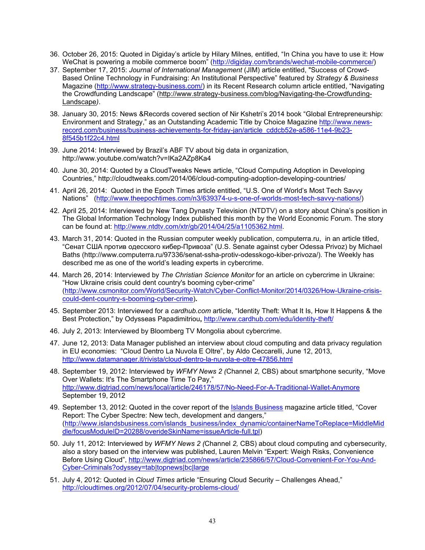- 36. October 26, 2015: Quoted in Digiday's article by Hilary Milnes*,* entitled, "In China you have to use it: How WeChat is powering a mobile commerce boom" [\(http://digiday.com/brands/wechat-mobile-commerce/\)](http://digiday.com/brands/wechat-mobile-commerce/)
- 37. September 17, 2015: *Journal of International Management* (JIM) article entitled, "Success of Crowd-Based Online Technology in Fundraising: An Institutional Perspective" featured by *Strategy & Business* Magazine [\(http://www.strategy-business.com/\)](http://www.strategy-business.com/) in its Recent Research column article entitled, "Navigating the Crowdfunding Landscape" [\(http://www.strategy-business.com/blog/Navigating-the-Crowdfunding-](http://www.strategy-business.com/blog/Navigating-the-Crowdfunding-Landscape)[Landscape](http://www.strategy-business.com/blog/Navigating-the-Crowdfunding-Landscape)*)*.
- 38. January 30, 2015: News &Records covered section of Nir Kshetri's 2014 book "Global Entrepreneurship: Environment and Strategy," as an Outstanding Academic Title by Choice Magazine [http://www.news](http://www.news-record.com/business/business-achievements-for-friday-jan/article_cddcb52e-a586-11e4-9b23-8f545b1f22c4.html)[record.com/business/business-achievements-for-friday-jan/article\\_cddcb52e-a586-11e4-9b23-](http://www.news-record.com/business/business-achievements-for-friday-jan/article_cddcb52e-a586-11e4-9b23-8f545b1f22c4.html) [8f545b1f22c4.html](http://www.news-record.com/business/business-achievements-for-friday-jan/article_cddcb52e-a586-11e4-9b23-8f545b1f22c4.html)
- 39. June 2014: Interviewed by Brazil's ABF TV about big data in organization, http://www.youtube.com/watch?v=IKa2AZp8Ka4
- 40. June 30, 2014: Quoted by a CloudTweaks News article, "Cloud Computing Adoption in Developing Countries," http://cloudtweaks.com/2014/06/cloud-computing-adoption-developing-countries/
- 41. April 26, 2014: Quoted in the Epoch Times article entitled, "U.S. One of World's Most Tech Savvy Nations" [\(http://www.theepochtimes.com/n3/639374-u-s-one-of-worlds-most-tech-savvy-nations/\)](http://www.theepochtimes.com/n3/639374-u-s-one-of-worlds-most-tech-savvy-nations/)
- 42. April 25, 2014: Interviewed by New Tang Dynasty Television (NTDTV) on a story about China's position in The Global Information Technology Index published this month by the World Economic Forum. The story can be found at: [http://www.ntdtv.com/xtr/gb/2014/04/25/a1105362.html.](http://www.ntdtv.com/xtr/gb/2014/04/25/a1105362.html)
- 43. March 31, 2014: Quoted in the Russian computer weekly publication, computerra.ru, in an article titled, "Сенат США против одесского кибер-Привоза" (U.S. Senate against cyber Odessa Privoz) by Michael Baths [\(http://www.computerra.ru/97336/senat-ssha-protiv-odesskogo-kiber-privoza/\)](http://www.computerra.ru/97336/senat-ssha-protiv-odesskogo-kiber-privoza/). The Weekly has described me as one of the world's leading experts in cybercrime.
- 44. March 26, 2014: Interviewed by *The Christian Science Monitor* for an article on cybercrime in Ukraine: "How Ukraine crisis could dent country's booming cyber-crime" [\(http://www.csmonitor.com/World/Security-Watch/Cyber-Conflict-Monitor/2014/0326/How-Ukraine-crisis](http://www.csmonitor.com/World/Security-Watch/Cyber-Conflict-Monitor/2014/0326/How-Ukraine-crisis-could-dent-country-s-booming-cyber-crime)[could-dent-country-s-booming-cyber-crime\)](http://www.csmonitor.com/World/Security-Watch/Cyber-Conflict-Monitor/2014/0326/How-Ukraine-crisis-could-dent-country-s-booming-cyber-crime)**.**
- 45. September 2013: Interviewed for a *cardhub.com* article, "Identity Theft: What It Is, How It Happens & the Best Protection," by Odysseas Papadimitriou**,** <http://www.cardhub.com/edu/identity-theft/>
- 46. July 2, 2013: Interviewed by Bloomberg TV Mongolia about cybercrime.
- 47. June 12, 2013: Data Manager published an interview about cloud computing and data privacy regulation in EU economies: "Cloud Dentro La Nuvola E Oltre", by Aldo Ceccarelli, June 12, 2013, <http://www.datamanager.it/rivista/cloud-dentro-la-nuvola-e-oltre-47856.html>
- 48. September 19, 2012: Interviewed by *WFMY News 2 (*Channel *2,* CBS) about smartphone security, "Move Over Wallets: It's The Smartphone Time To Pay," <http://www.digtriad.com/news/local/article/246178/57/No-Need-For-A-Traditional-Wallet-Anymore> September 19, 2012
- 49. September 13, 2012: Quoted in the cover report of the [Islands Business](http://www.islandsbusiness.com/aboutus/) magazine article titled, "Cover Report: The Cyber Spectre: New tech, development and dangers," [\(http://www.islandsbusiness.com/islands\\_business/index\\_dynamic/containerNameToReplace=MiddleMid](http://www.islandsbusiness.com/islands_business/index_dynamic/containerNameToReplace=MiddleMiddle/focusModuleID=20288/overideSkinName=issueArticle-full.tpl) [dle/focusModuleID=20288/overideSkinName=issueArticle-full.tpl\)](http://www.islandsbusiness.com/islands_business/index_dynamic/containerNameToReplace=MiddleMiddle/focusModuleID=20288/overideSkinName=issueArticle-full.tpl)
- 50. July 11, 2012: Interviewed by *WFMY News 2 (*Channel *2,* CBS) about cloud computing and cybersecurity, also a story based on the interview was published, Lauren Melvin "Expert: Weigh Risks, Convenience Before Using Cloud", [http://www.digtriad.com/news/article/235866/57/Cloud-Convenient-For-You-And-](http://www.digtriad.com/news/article/235866/57/Cloud-Convenient-For-You-And-Cyber-Criminals?odyssey=tab|topnews|bc|large)[Cyber-Criminals?odyssey=tab|topnews|bc|large](http://www.digtriad.com/news/article/235866/57/Cloud-Convenient-For-You-And-Cyber-Criminals?odyssey=tab|topnews|bc|large)
- 51. July 4, 2012: Quoted in *Cloud Times* article "Ensuring Cloud Security Challenges Ahead," <http://cloudtimes.org/2012/07/04/security-problems-cloud/>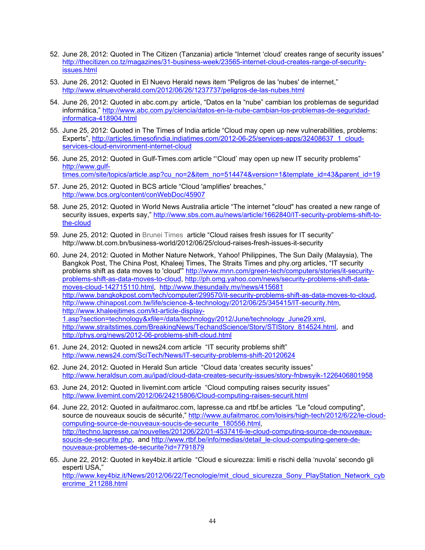- 52. June 28, 2012: Quoted in The Citizen (Tanzania) article "Internet 'cloud' creates range of security issues" [http://thecitizen.co.tz/magazines/31-business-week/23565-internet-cloud-creates-range-of-security](http://thecitizen.co.tz/magazines/31-business-week/23565-internet-cloud-creates-range-of-security-issues.html)[issues.html](http://thecitizen.co.tz/magazines/31-business-week/23565-internet-cloud-creates-range-of-security-issues.html)
- 53. June 26, 2012: Quoted in El Nuevo Herald news item "Peligros de las 'nubes' de internet," <http://www.elnuevoherald.com/2012/06/26/1237737/peligros-de-las-nubes.html>
- 54. June 26, 2012: Quoted in abc.com.py article, "Datos en la "nube" cambian los problemas de seguridad informática," [http://www.abc.com.py/ciencia/datos-en-la-nube-cambian-los-problemas-de-seguridad](http://www.abc.com.py/ciencia/datos-en-la-nube-cambian-los-problemas-de-seguridad-informatica-418904.html)[informatica-418904.html](http://www.abc.com.py/ciencia/datos-en-la-nube-cambian-los-problemas-de-seguridad-informatica-418904.html)
- 55. June 25, 2012: Quoted in The Times of India article "Cloud may open up new vulnerabilities, problems: Experts", [http://articles.timesofindia.indiatimes.com/2012-06-25/services-apps/32408637\\_1\\_cloud](http://articles.timesofindia.indiatimes.com/2012-06-25/services-apps/32408637_1_cloud-services-cloud-environment-internet-cloud)[services-cloud-environment-internet-cloud](http://articles.timesofindia.indiatimes.com/2012-06-25/services-apps/32408637_1_cloud-services-cloud-environment-internet-cloud)
- 56. June 25, 2012: Quoted in Gulf-Times.com article "'Cloud' may open up new IT security problems" [http://www.gulf](http://www.gulf-times.com/site/topics/article.asp?cu_no=2&item_no=514474&version=1&template_id=43&parent_id=19)[times.com/site/topics/article.asp?cu\\_no=2&item\\_no=514474&version=1&template\\_id=43&parent\\_id=19](http://www.gulf-times.com/site/topics/article.asp?cu_no=2&item_no=514474&version=1&template_id=43&parent_id=19)
- 57. June 25, 2012: Quoted in BCS article "Cloud 'amplifies' breaches," <http://www.bcs.org/content/conWebDoc/45907>
- 58. June 25, 2012: Quoted in World News Australia article "The internet "cloud" has created a new range of security issues, experts say," [http://www.sbs.com.au/news/article/1662840/IT-security-problems-shift-to](http://www.sbs.com.au/news/article/1662840/IT-security-problems-shift-to-the-cloud)[the-cloud](http://www.sbs.com.au/news/article/1662840/IT-security-problems-shift-to-the-cloud)
- 59. June 25, 2012: Quoted in Brunei Times article "Cloud raises fresh issues for IT security" http://www.bt.com.bn/business-world/2012/06/25/cloud-raises-fresh-issues-it-security
- 60. June 24, 2012: Quoted in Mother Nature Network, Yahoo! Philippines, The Sun Daily (Malaysia), The Bangkok Post, The China Post, Khaleej Times, The Straits Times and phy.org articles, "IT security problems shift as data moves to 'cloud'" <u>http://www.mnn.com/green-tech/computers/stories/it-security-</u> [problems-shift-as-data-moves-to-cloud,](http://www.mnn.com/green-tech/computers/stories/it-security-problems-shift-as-data-moves-to-cloud) [http://ph.omg.yahoo.com/news/security-problems-shift-data](http://ph.omg.yahoo.com/news/security-problems-shift-data-moves-cloud-142715110.html)[moves-cloud-142715110.html,](http://ph.omg.yahoo.com/news/security-problems-shift-data-moves-cloud-142715110.html) <http://www.thesundaily.my/news/415681> [http://www.bangkokpost.com/tech/computer/299570/it-security-problems-shift-as-data-moves-to-cloud,](http://www.bangkokpost.com/tech/computer/299570/it-security-problems-shift-as-data-moves-to-cloud) [http://www.chinapost.com.tw/life/science-&-technology/2012/06/25/345415/IT-security.htm,](http://www.chinapost.com.tw/life/science-&-technology/2012/06/25/345415/IT-security.htm) [http://www.khaleejtimes.com/kt-article-display-](http://www.khaleejtimes.com/kt-article-display-1.asp?section=technology&xfile=/data/technology/2012/June/technology_June29.xml)[1.asp?section=technology&xfile=/data/technology/2012/June/technology\\_June29.xml,](http://www.khaleejtimes.com/kt-article-display-1.asp?section=technology&xfile=/data/technology/2012/June/technology_June29.xml) [http://www.straitstimes.com/BreakingNews/TechandScience/Story/STIStory\\_814524.html,](http://www.straitstimes.com/BreakingNews/TechandScience/Story/STIStory_814524.html) and <http://phys.org/news/2012-06-problems-shift-cloud.html>
- 61. June 24, 2012: Quoted in news24.com article "IT security problems shift" <http://www.news24.com/SciTech/News/IT-security-problems-shift-20120624>
- 62. June 24, 2012: Quoted in Herald Sun article "Cloud data 'creates security issues" <http://www.heraldsun.com.au/ipad/cloud-data-creates-security-issues/story-fnbwsyik-1226406801958>
- 63. June 24, 2012: Quoted in livemint.com article "Cloud computing raises security issues" <http://www.livemint.com/2012/06/24215806/Cloud-computing-raises-securit.html>
- 64. June 22, 2012: Quoted in aufaitmaroc.com, lapresse.ca and rtbf.be articles "Le "cloud computing", source de nouveaux soucis de sécurité," [http://www.aufaitmaroc.com/loisirs/high-tech/2012/6/22/le-cloud](http://www.aufaitmaroc.com/loisirs/high-tech/2012/6/22/le-cloud-computing-source-de-nouveaux-soucis-de-securite_180556.html)[computing-source-de-nouveaux-soucis-de-securite\\_180556.html,](http://www.aufaitmaroc.com/loisirs/high-tech/2012/6/22/le-cloud-computing-source-de-nouveaux-soucis-de-securite_180556.html) [http://techno.lapresse.ca/nouvelles/201206/22/01-4537416-le-cloud-computing-source-de-nouveaux](http://techno.lapresse.ca/nouvelles/201206/22/01-4537416-le-cloud-computing-source-de-nouveaux-soucis-de-securite.php)[soucis-de-securite.php,](http://techno.lapresse.ca/nouvelles/201206/22/01-4537416-le-cloud-computing-source-de-nouveaux-soucis-de-securite.php) and [http://www.rtbf.be/info/medias/detail\\_le-cloud-computing-genere-de](http://www.rtbf.be/info/medias/detail_le-cloud-computing-genere-de-nouveaux-problemes-de-securite?id=7791879)[nouveaux-problemes-de-securite?id=7791879](http://www.rtbf.be/info/medias/detail_le-cloud-computing-genere-de-nouveaux-problemes-de-securite?id=7791879)
- 65. June 22, 2012: Quoted in key4biz.it article "Cloud e sicurezza: limiti e rischi della 'nuvola' secondo gli esperti USA," [http://www.key4biz.it/News/2012/06/22/Tecnologie/mit\\_cloud\\_sicurezza\\_Sony\\_PlayStation\\_Network\\_cyb](http://www.key4biz.it/News/2012/06/22/Tecnologie/mit_cloud_sicurezza_Sony_PlayStation_Network_cybercrime_211288.html) [ercrime\\_211288.html](http://www.key4biz.it/News/2012/06/22/Tecnologie/mit_cloud_sicurezza_Sony_PlayStation_Network_cybercrime_211288.html)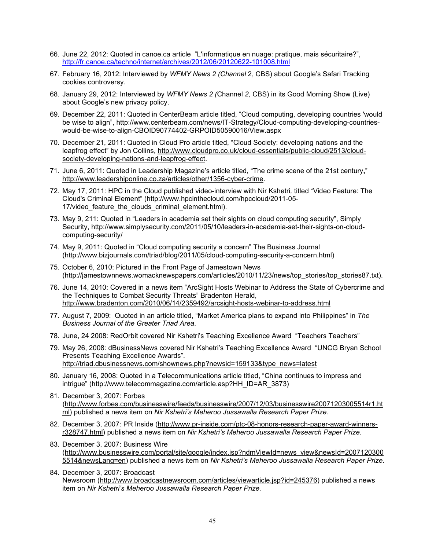- 66. June 22, 2012: Quoted in canoe.ca article "L'informatique en nuage: pratique, mais sécuritaire?", <http://fr.canoe.ca/techno/internet/archives/2012/06/20120622-101008.html>
- 67. February 16, 2012: Interviewed by *WFMY News 2 (Channel* 2, CBS) about Google's Safari Tracking cookies controversy.
- 68. January 29, 2012: Interviewed by *WFMY News 2 (*Channel *2,* CBS) in its Good Morning Show (Live) about Google's new privacy policy.
- 69. December 22, 2011: Quoted in CenterBeam article titled, "Cloud computing, developing countries 'would be wise to align", [http://www.centerbeam.com/news/IT-Strategy/Cloud-computing-developing-countries](http://www.centerbeam.com/news/IT-Strategy/Cloud-computing-developing-countries-would-be-wise-to-align-CBOID90774402-GRPOID50590016/View.aspx)[would-be-wise-to-align-CBOID90774402-GRPOID50590016/View.aspx](http://www.centerbeam.com/news/IT-Strategy/Cloud-computing-developing-countries-would-be-wise-to-align-CBOID90774402-GRPOID50590016/View.aspx)
- 70. December 21, 2011: Quoted in Cloud Pro article titled, "Cloud Society: developing nations and the leapfrog effect" by Jon Collins, [http://www.cloudpro.co.uk/cloud-essentials/public-cloud/2513/cloud](http://www.cloudpro.co.uk/cloud-essentials/public-cloud/2513/cloud-society-developing-nations-and-leapfrog-effect)[society-developing-nations-and-leapfrog-effect.](http://www.cloudpro.co.uk/cloud-essentials/public-cloud/2513/cloud-society-developing-nations-and-leapfrog-effect)
- 71. June 6, 2011: Quoted in Leadership Magazine's article titled, "The crime scene of the 21st century**,**" [http://www.leadershiponline.co.za/articles/other/1356-cyber-crime.](http://www.leadershiponline.co.za/articles/other/1356-cyber-crime)
- 72. May 17, 2011*:* HPC in the Cloud published video-interview with Nir Kshetri*,* titled *"*Video Feature: The Cloud's Criminal Element" (http://www.hpcinthecloud.com/hpccloud/2011-05- 17/video feature the clouds criminal element.html).
- 73. May 9, 211: Quoted in "Leaders in academia set their sights on cloud computing security", Simply Security, http://www.simplysecurity.com/2011/05/10/leaders-in-academia-set-their-sights-on-cloudcomputing-security/
- 74. May 9, 2011: Quoted in "Cloud computing security a concern" The Business Journal (http://www.bizjournals.com/triad/blog/2011/05/cloud-computing-security-a-concern.html)
- 75. October 6, 2010: Pictured in the Front Page of Jamestown News (http://jamestownnews.womacknewspapers.com/articles/2010/11/23/news/top\_stories/top\_stories87.txt).
- 76. June 14, 2010: Covered in a news item "ArcSight Hosts Webinar to Address the State of Cybercrime and the Techniques to Combat Security Threats" Bradenton Herald, <http://www.bradenton.com/2010/06/14/2359492/arcsight-hosts-webinar-to-address.html>
- 77. August 7, 2009: Quoted in an article titled, "Market America plans to expand into Philippines" in *The Business Journal of the Greater Triad Area*.
- 78. June, 24 2008: RedOrbit covered Nir Kshetri's Teaching Excellence Award "Teachers Teachers"
- 79. May 26, 2008: dBusinessNews covered Nir Kshetri's Teaching Excellence Award "UNCG Bryan School Presents Teaching Excellence Awards". [http://triad.dbusinessnews.com/shownews.php?newsid=159133&type\\_news=latest](http://triad.dbusinessnews.com/shownews.php?newsid=159133&type_news=latest)
- 80. January 16, 2008: Quoted in a Telecommunications article titled, "China continues to impress and intrigue" (http://www.telecommagazine.com/article.asp?HH\_ID=AR\_3873)
- 81. December 3, 2007: Forbes [\(http://www.forbes.com/businesswire/feeds/businesswire/2007/12/03/businesswire20071203005514r1.ht](http://www.forbes.com/businesswire/feeds/businesswire/2007/12/03/businesswire20071203005514r1.html) [ml\)](http://www.forbes.com/businesswire/feeds/businesswire/2007/12/03/businesswire20071203005514r1.html) published a news item on *Nir Kshetri's Meheroo Jussawalla Research Paper Prize.*
- 82. December 3, 2007: PR Inside [\(http://www.pr-inside.com/ptc-08-honors-research-paper-award-winners](http://www.pr-inside.com/ptc-08-honors-research-paper-award-winners-r328747.html)[r328747.html\)](http://www.pr-inside.com/ptc-08-honors-research-paper-award-winners-r328747.html) published a news item on *Nir Kshetri's Meheroo Jussawalla Research Paper Prize.*
- 83. December 3, 2007: Business Wire [\(http://www.businesswire.com/portal/site/google/index.jsp?ndmViewId=news\\_view&newsId=2007120300](http://www.businesswire.com/portal/site/google/index.jsp?ndmViewId=news_view&newsId=20071203005514&newsLang=en) [5514&newsLang=en\)](http://www.businesswire.com/portal/site/google/index.jsp?ndmViewId=news_view&newsId=20071203005514&newsLang=en) published a news item on *Nir Kshetri's Meheroo Jussawalla Research Paper Prize.*
- 84. December 3, 2007: Broadcast Newsroom [\(http://www.broadcastnewsroom.com/articles/viewarticle.jsp?id=245376\)](http://www.broadcastnewsroom.com/articles/viewarticle.jsp?id=245376) published a news item on *Nir Kshetri's Meheroo Jussawalla Research Paper Prize.*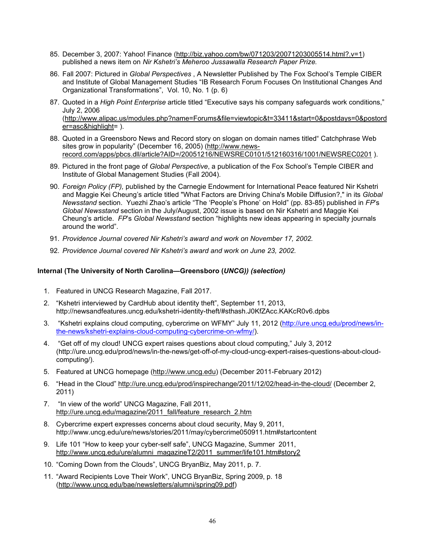- 85. December 3, 2007: Yahoo! Finance [\(http://biz.yahoo.com/bw/071203/20071203005514.html?.v=1\)](http://biz.yahoo.com/bw/071203/20071203005514.html?.v=1) published a news item on *Nir Kshetri's Meheroo Jussawalla Research Paper Prize.*
- 86. Fall 2007: Pictured in *Global Perspectives* , A Newsletter Published by The Fox School's Temple CIBER and Institute of Global Management Studies "IB Research Forum Focuses On Institutional Changes And Organizational Transformations", Vol. 10, No. 1 (p. 6)
- 87. Quoted in a *High Point Enterprise* article titled "Executive says his company safeguards work conditions," July 2, 2006 [\(http://www.alipac.us/modules.php?name=Forums&file=viewtopic&t=33411&start=0&postdays=0&postord](http://www.alipac.us/modules.php?name=Forums&file=viewtopic&t=33411&start=0&postdays=0&postorder=asc&highlight) [er=asc&highlight=](http://www.alipac.us/modules.php?name=Forums&file=viewtopic&t=33411&start=0&postdays=0&postorder=asc&highlight) ).
- 88. Quoted in a Greensboro News and Record story on slogan on domain names titled" Catchphrase Web sites grow in popularity" (December 16, 2005) [\(http://www.news](http://www.news-record.com/apps/pbcs.dll/article?AID=/20051216/NEWSREC0101/512160316/1001/NEWSREC0201)[record.com/apps/pbcs.dll/article?AID=/20051216/NEWSREC0101/512160316/1001/NEWSREC0201](http://www.news-record.com/apps/pbcs.dll/article?AID=/20051216/NEWSREC0101/512160316/1001/NEWSREC0201) ).
- 89. Pictured in the front page of *Global Perspective*, a publication of the Fox School's Temple CIBER and Institute of Global Management Studies (Fall 2004).
- 90. *Foreign Policy (FP),* published by the Carnegie Endowment for International Peace featured Nir Kshetri and Maggie Kei Cheung's article titled "What Factors are Driving China's Mobile Diffusion?," in its *Global Newsstand* section. Yuezhi Zhao's article "The 'People's Phone' on Hold" (pp. 83-85) published in *FP*'s *Global Newsstand* section in the July/August, 2002 issue is based on Nir Kshetri and Maggie Kei Cheung's article. *FP*'s *Global Newsstand* section "highlights new ideas appearing in specialty journals around the world".
- 91. *Providence Journal covered Nir Kshetri's award and work on November 17, 2002.*
- 92. *Providence Journal covered Nir Kshetri's award and work on June 23, 2002.*

# **Internal (The University of North Carolina—Greensboro (***UNCG)) (selection)*

- 1. Featured in UNCG Research Magazine, Fall 2017.
- 2. "Kshetri interviewed by CardHub about identity theft", September 11, 2013, http://newsandfeatures.uncg.edu/kshetri-identity-theft/#sthash.J0KfZAcc.KAKcR0v6.dpbs
- 3. "Kshetri explains cloud computing, cybercrime on WFMY" July 11, 2012 [\(http://ure.uncg.edu/prod/news/in](http://ure.uncg.edu/prod/news/in-the-news/kshetri-explains-cloud-computing-cybercrime-on-wfmy/)[the-news/kshetri-explains-cloud-computing-cybercrime-on-wfmy/\)](http://ure.uncg.edu/prod/news/in-the-news/kshetri-explains-cloud-computing-cybercrime-on-wfmy/).
- 4. "Get off of my cloud! UNCG expert raises questions about cloud computing," July 3, 2012 (http://ure.uncg.edu/prod/news/in-the-news/get-off-of-my-cloud-uncg-expert-raises-questions-about-cloudcomputing/).
- 5. Featured at UNCG homepage [\(http://www.uncg.edu\)](http://www.uncg.edu/) (December 2011-February 2012)
- 6. "Head in the Cloud"<http://ure.uncg.edu/prod/inspirechange/2011/12/02/head-in-the-cloud/> (December 2, 2011)
- 7. "In view of the world" UNCG Magazine, Fall 2011, [http://ure.uncg.edu/magazine/2011\\_fall/feature\\_research\\_2.htm](http://ure.uncg.edu/magazine/2011_fall/feature_research_2.htm)
- 8. Cybercrime expert expresses concerns about cloud security, May 9, 2011, http://www.uncg.edu/ure/news/stories/2011/may/cybercrime050911.htm#startcontent
- 9. Life 101 "How to keep your cyber-self safe", UNCG Magazine, Summer 2011, [http://www.uncg.edu/ure/alumni\\_magazineT2/2011\\_summer/life101.htm#story2](http://www.uncg.edu/ure/alumni_magazineT2/2011_summer/life101.htm#story2)
- 10. "Coming Down from the Clouds", UNCG BryanBiz, May 2011, p. 7.
- 11. "Award Recipients Love Their Work", UNCG BryanBiz, Spring 2009, p. 18 [\(http://www.uncg.edu/bae/newsletters/alumni/spring09.pdf\)](http://www.uncg.edu/bae/newsletters/alumni/spring09.pdf)